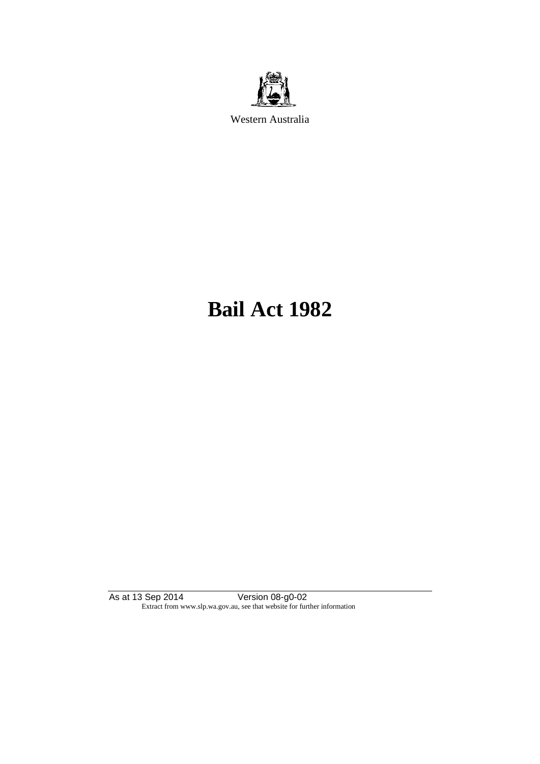

Western Australia

# **Bail Act 1982**

As at 13 Sep 2014 Version 08-g0-02 Extract from www.slp.wa.gov.au, see that website for further information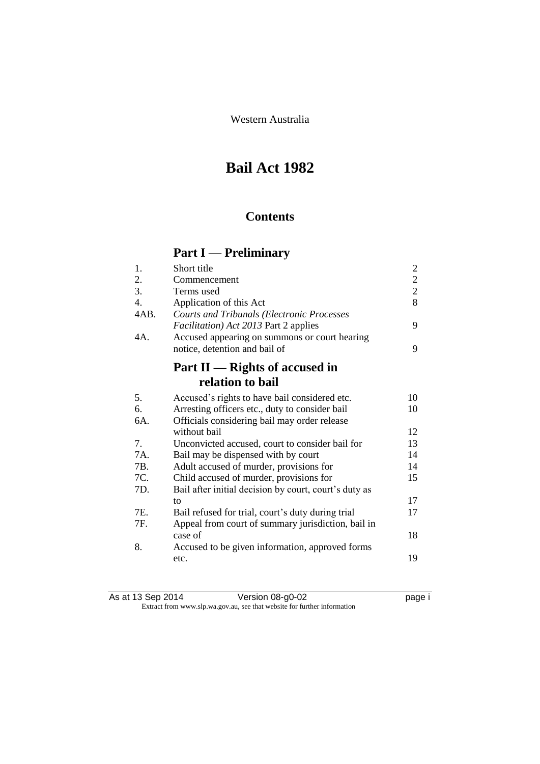Western Australia

## **Bail Act 1982**

## **Contents**

## **Part I — Preliminary**

| 1.               | Short title                                           | $\overline{2}$ |
|------------------|-------------------------------------------------------|----------------|
| 2.               | Commencement                                          | $\overline{2}$ |
| 3.               | Terms used                                            | $\overline{2}$ |
| $\overline{4}$ . | Application of this Act                               | 8              |
| 4AB.             | <b>Courts and Tribunals (Electronic Processes</b>     |                |
|                  | <i>Facilitation</i> ) Act 2013 Part 2 applies         | 9              |
| 4A.              | Accused appearing on summons or court hearing         |                |
|                  | notice, detention and bail of                         | 9              |
|                  | Part II — Rights of accused in                        |                |
|                  | relation to bail                                      |                |
| 5.               | Accused's rights to have bail considered etc.         | 10             |
| 6.               | Arresting officers etc., duty to consider bail        | 10             |
| 6A.              | Officials considering bail may order release          |                |
|                  | without bail                                          | 12             |
| 7.               | Unconvicted accused, court to consider bail for       | 13             |
| 7A.              | Bail may be dispensed with by court                   | 14             |
| 7B.              | Adult accused of murder, provisions for               | 14             |
| 7C.              | Child accused of murder, provisions for               | 15             |
| 7D.              | Bail after initial decision by court, court's duty as |                |
|                  | tο                                                    | 17             |
| 7E.              | Bail refused for trial, court's duty during trial     | 17             |
| 7F.              | Appeal from court of summary jurisdiction, bail in    |                |
|                  | case of                                               | 18             |
| 8.               | Accused to be given information, approved forms       |                |
|                  | etc.                                                  | 19             |
|                  |                                                       |                |

| As at 13 Sep 2014 | Version 08-g0-02                                                         | page i |
|-------------------|--------------------------------------------------------------------------|--------|
|                   | Extract from www.slp.wa.gov.au, see that website for further information |        |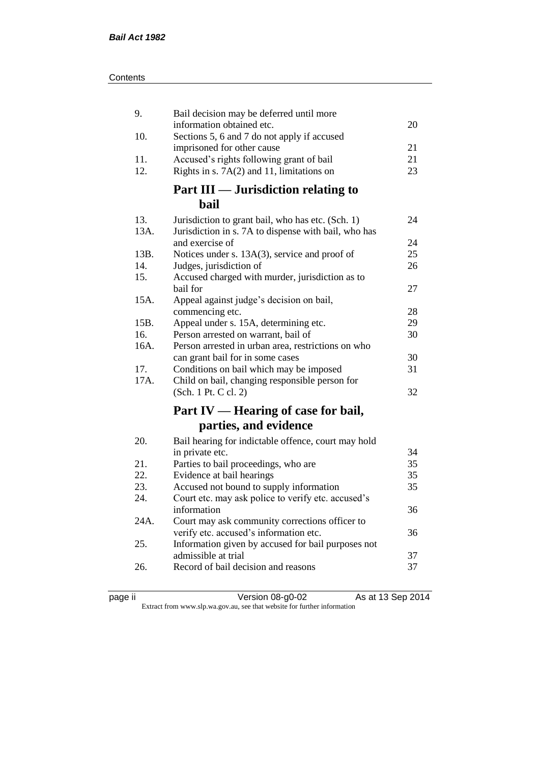| 9.          | Bail decision may be deferred until more                                     |          |
|-------------|------------------------------------------------------------------------------|----------|
| 10.         | information obtained etc.<br>Sections 5, 6 and 7 do not apply if accused     | 20       |
|             | imprisoned for other cause                                                   | 21       |
| 11.         | Accused's rights following grant of bail                                     | 21       |
| 12.         | Rights in s. $7A(2)$ and 11, limitations on                                  | 23       |
|             | Part III — Jurisdiction relating to                                          |          |
|             | bail                                                                         |          |
| 13.         | Jurisdiction to grant bail, who has etc. (Sch. 1)                            | 24       |
| 13A.        | Jurisdiction in s. 7A to dispense with bail, who has                         |          |
|             | and exercise of                                                              | 24       |
| 13B.        | Notices under s. 13A(3), service and proof of                                | 25       |
| 14.         | Judges, jurisdiction of                                                      | 26       |
| 15.         | Accused charged with murder, jurisdiction as to                              |          |
|             | bail for                                                                     | 27       |
| 15A.        | Appeal against judge's decision on bail,                                     |          |
|             | commencing etc.                                                              | 28       |
| 15B.<br>16. | Appeal under s. 15A, determining etc.<br>Person arrested on warrant, bail of | 29<br>30 |
| 16A.        | Person arrested in urban area, restrictions on who                           |          |
|             | can grant bail for in some cases                                             | 30       |
| 17.         | Conditions on bail which may be imposed                                      | 31       |
| 17A.        | Child on bail, changing responsible person for                               |          |
|             | (Sch. 1 Pt. C cl. 2)                                                         | 32       |
|             | Part IV — Hearing of case for bail,                                          |          |
|             | parties, and evidence                                                        |          |
| 20.         | Bail hearing for indictable offence, court may hold                          |          |
|             | in private etc.                                                              | 34       |
| 21.         | Parties to bail proceedings, who are                                         | 35       |
| 22.         | Evidence at bail hearings                                                    | 35       |
| 23.         | Accused not bound to supply information                                      | 35       |
| 24.         | Court etc. may ask police to verify etc. accused's                           |          |
|             | information                                                                  | 36       |
| 24A.        | Court may ask community corrections officer to                               |          |
|             | verify etc. accused's information etc.                                       | 36       |
| 25.         | Information given by accused for bail purposes not                           |          |
|             | admissible at trial                                                          | 37       |
| 26.         | Record of bail decision and reasons                                          | 37       |

| æ<br>ı sa<br>г |  |
|----------------|--|
|                |  |

page ii Version 08-g0-02 As at 13 Sep 2014

Extract from www.slp.wa.gov.au, see that website for further information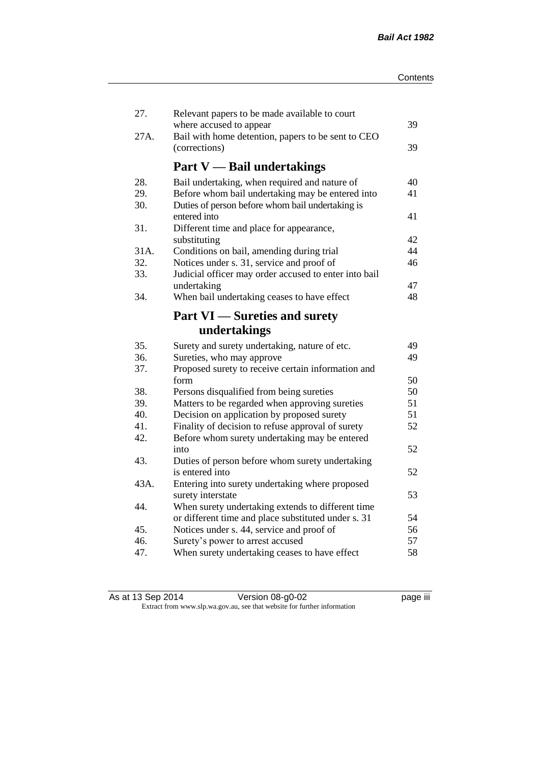| 27.  | Relevant papers to be made available to court<br>where accused to appear | 39 |
|------|--------------------------------------------------------------------------|----|
| 27A. | Bail with home detention, papers to be sent to CEO<br>(corrections)      | 39 |
|      | <b>Part V</b> — Bail undertakings                                        |    |
| 28.  | Bail undertaking, when required and nature of                            | 40 |
| 29.  | Before whom bail undertaking may be entered into                         | 41 |
| 30.  | Duties of person before whom bail undertaking is                         |    |
|      | entered into                                                             | 41 |
| 31.  | Different time and place for appearance,                                 |    |
|      | substituting                                                             | 42 |
| 31A. | Conditions on bail, amending during trial                                | 44 |
| 32.  | Notices under s. 31, service and proof of                                | 46 |
| 33.  | Judicial officer may order accused to enter into bail                    |    |
|      | undertaking                                                              | 47 |
| 34.  | When bail undertaking ceases to have effect                              | 48 |
|      | <b>Part VI</b> — Sureties and surety                                     |    |
|      | undertakings                                                             |    |
| 35.  | Surety and surety undertaking, nature of etc.                            | 49 |
| 36.  | Sureties, who may approve                                                | 49 |
| 37.  | Proposed surety to receive certain information and                       |    |
|      | form                                                                     | 50 |
| 38.  | Persons disqualified from being sureties                                 | 50 |
| 39.  | Matters to be regarded when approving sureties                           | 51 |
| 40.  | Decision on application by proposed surety                               | 51 |
| 41.  | Finality of decision to refuse approval of surety                        | 52 |
| 42.  | Before whom surety undertaking may be entered                            |    |
|      | into                                                                     | 52 |
| 43.  | Duties of person before whom surety undertaking                          |    |
|      | is entered into                                                          | 52 |
| 43A. | Entering into surety undertaking where proposed                          |    |
|      | surety interstate                                                        | 53 |
| 44.  | When surety undertaking extends to different time                        |    |
|      | or different time and place substituted under s. 31                      | 54 |
| 45.  | Notices under s. 44, service and proof of                                | 56 |
| 46.  | Surety's power to arrest accused                                         | 57 |
| 47.  | When surety undertaking ceases to have effect                            | 58 |
|      |                                                                          |    |

As at 13 Sep 2014 **Version 08-g0-02 Page iii** Page iii Extract from www.slp.wa.gov.au, see that website for further information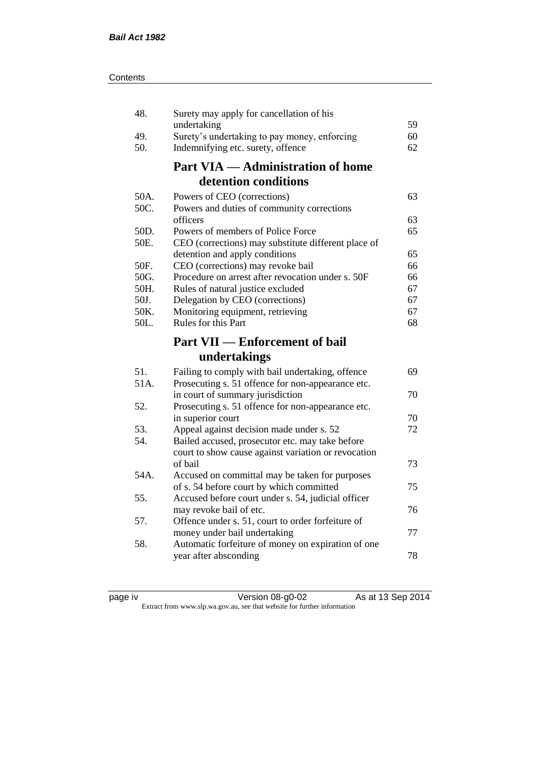| 48.  | Surety may apply for cancellation of his                                                              |    |
|------|-------------------------------------------------------------------------------------------------------|----|
|      | undertaking                                                                                           | 59 |
| 49.  | Surety's undertaking to pay money, enforcing                                                          | 60 |
| 50.  | Indemnifying etc. surety, offence                                                                     | 62 |
|      | <b>Part VIA — Administration of home</b>                                                              |    |
|      | detention conditions                                                                                  |    |
| 50A. | Powers of CEO (corrections)                                                                           | 63 |
| 50C. | Powers and duties of community corrections                                                            |    |
|      | officers                                                                                              | 63 |
| 50D. | Powers of members of Police Force                                                                     | 65 |
| 50E. | CEO (corrections) may substitute different place of                                                   |    |
|      | detention and apply conditions                                                                        | 65 |
| 50F. | CEO (corrections) may revoke bail                                                                     | 66 |
| 50G. | Procedure on arrest after revocation under s. 50F                                                     | 66 |
| 50H. | Rules of natural justice excluded                                                                     | 67 |
| 50J. | Delegation by CEO (corrections)                                                                       | 67 |
| 50K. | Monitoring equipment, retrieving                                                                      | 67 |
| 50L. | Rules for this Part                                                                                   | 68 |
|      |                                                                                                       |    |
|      | <b>Part VII — Enforcement of bail</b>                                                                 |    |
|      | undertakings                                                                                          |    |
| 51.  |                                                                                                       | 69 |
| 51A. | Failing to comply with bail undertaking, offence<br>Prosecuting s. 51 offence for non-appearance etc. |    |
|      | in court of summary jurisdiction                                                                      | 70 |
| 52.  | Prosecuting s. 51 offence for non-appearance etc.                                                     |    |
|      | in superior court                                                                                     | 70 |
| 53.  | Appeal against decision made under s. 52                                                              | 72 |
| 54.  | Bailed accused, prosecutor etc. may take before                                                       |    |
|      | court to show cause against variation or revocation                                                   |    |
|      | of bail                                                                                               | 73 |
| 54A. | Accused on committal may be taken for purposes                                                        |    |
|      | of s. 54 before court by which committed                                                              | 75 |
| 55.  | Accused before court under s. 54, judicial officer                                                    |    |
|      | may revoke bail of etc.                                                                               | 76 |
| 57.  | Offence under s. 51, court to order forfeiture of                                                     |    |
|      | money under bail undertaking                                                                          | 77 |
| 58.  | Automatic forfeiture of money on expiration of one                                                    |    |
|      | year after absconding                                                                                 | 78 |

| page | ιv |
|------|----|
|      |    |
|      |    |

page iv Version 08-g0-02 As at 13 Sep 2014 Extract from www.slp.wa.gov.au, see that website for further information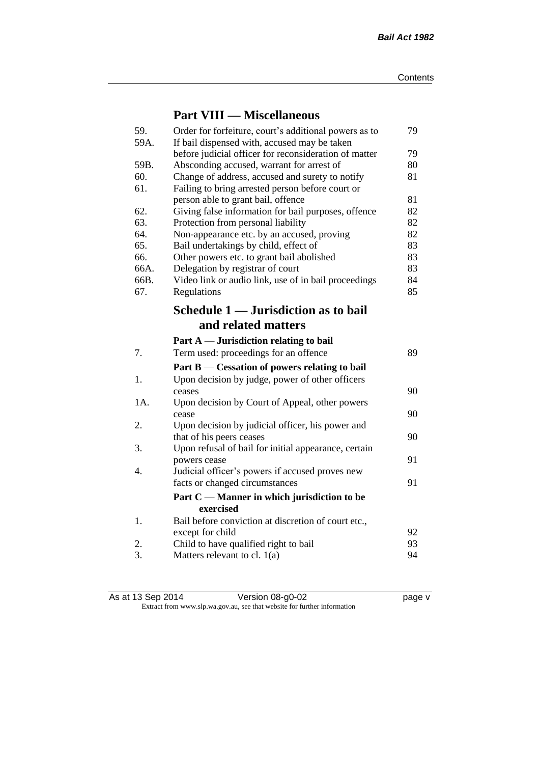## **Part VIII — Miscellaneous**

| 59.        | Order for forfeiture, court's additional powers as to                            | 79       |
|------------|----------------------------------------------------------------------------------|----------|
| 59A.       | If bail dispensed with, accused may be taken                                     |          |
|            | before judicial officer for reconsideration of matter                            | 79       |
| 59B.       | Absconding accused, warrant for arrest of                                        | 80       |
| 60.        | Change of address, accused and surety to notify                                  | 81       |
| 61.        | Failing to bring arrested person before court or                                 |          |
|            | person able to grant bail, offence                                               | 81       |
| 62.<br>63. | Giving false information for bail purposes, offence                              | 82<br>82 |
| 64.        | Protection from personal liability<br>Non-appearance etc. by an accused, proving | 82       |
| 65.        | Bail undertakings by child, effect of                                            | 83       |
| 66.        | Other powers etc. to grant bail abolished                                        | 83       |
| 66A.       | Delegation by registrar of court                                                 | 83       |
| 66B.       | Video link or audio link, use of in bail proceedings                             | 84       |
| 67.        | Regulations                                                                      | 85       |
|            |                                                                                  |          |
|            | Schedule 1 — Jurisdiction as to bail                                             |          |
|            | and related matters                                                              |          |
|            | Part $A$ — Jurisdiction relating to bail                                         |          |
| 7.         | Term used: proceedings for an offence                                            | 89       |
|            | Part B — Cessation of powers relating to bail                                    |          |
| 1.         | Upon decision by judge, power of other officers                                  |          |
|            | ceases                                                                           | 90       |
| 1A.        | Upon decision by Court of Appeal, other powers                                   |          |
|            | cease                                                                            | 90       |
| 2.         | Upon decision by judicial officer, his power and                                 |          |
|            | that of his peers ceases                                                         | 90       |
| 3.         | Upon refusal of bail for initial appearance, certain                             |          |
|            | powers cease                                                                     | 91       |
| 4.         | Judicial officer's powers if accused proves new                                  |          |
|            | facts or changed circumstances                                                   | 91       |
|            | Part C — Manner in which jurisdiction to be                                      |          |
|            | exercised                                                                        |          |
| 1.         | Bail before conviction at discretion of court etc.,                              |          |
|            | except for child                                                                 | 92       |
| 2.         | Child to have qualified right to bail                                            | 93       |
| 3.         | Matters relevant to cl. $1(a)$                                                   | 94       |

As at 13 Sep 2014 **Version 08-g0-02 page v** Extract from www.slp.wa.gov.au, see that website for further information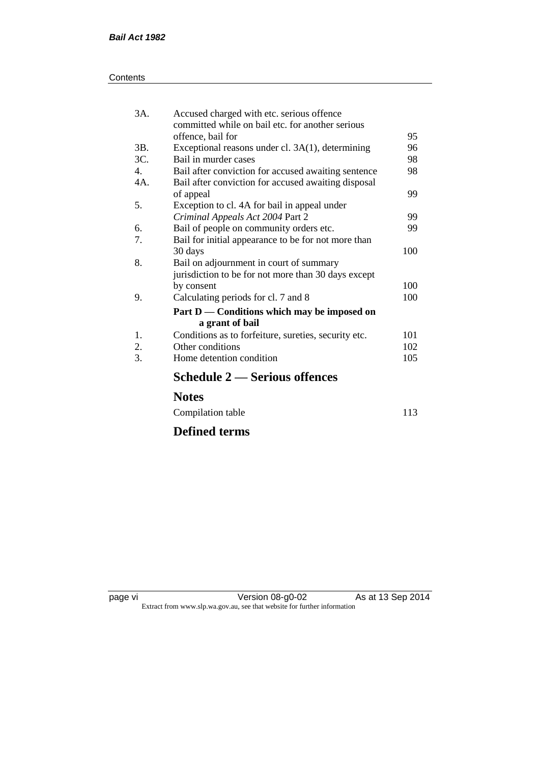| Contents |
|----------|
|----------|

| 3A. | Accused charged with etc. serious offence<br>committed while on bail etc. for another serious |     |
|-----|-----------------------------------------------------------------------------------------------|-----|
|     | offence, bail for                                                                             | 95  |
| 3B. | Exceptional reasons under cl. 3A(1), determining                                              | 96  |
| 3C. | Bail in murder cases                                                                          | 98  |
| 4.  | Bail after conviction for accused awaiting sentence                                           | 98  |
| 4A. | Bail after conviction for accused awaiting disposal                                           |     |
|     | of appeal                                                                                     | 99  |
| 5.  | Exception to cl. 4A for bail in appeal under                                                  |     |
|     | Criminal Appeals Act 2004 Part 2                                                              | 99  |
| 6.  | Bail of people on community orders etc.                                                       | 99  |
| 7.  | Bail for initial appearance to be for not more than                                           |     |
|     | 30 days                                                                                       | 100 |
| 8.  | Bail on adjournment in court of summary                                                       |     |
|     | jurisdiction to be for not more than 30 days except                                           |     |
|     | by consent                                                                                    | 100 |
| 9.  | Calculating periods for cl. 7 and 8                                                           | 100 |
|     | Part D — Conditions which may be imposed on                                                   |     |
|     | a grant of bail                                                                               |     |
| 1.  | Conditions as to forfeiture, sureties, security etc.                                          | 101 |
| 2.  | Other conditions                                                                              | 102 |
| 3.  | Home detention condition                                                                      | 105 |
|     | Schedule 2 — Serious offences                                                                 |     |
|     | Notes                                                                                         |     |

| 113<br>Compilation table | - - - - - - - |  |
|--------------------------|---------------|--|
|                          |               |  |

### **Defined terms**

page vi Version 08-g0-02 As at 13 Sep 2014 Extract from www.slp.wa.gov.au, see that website for further information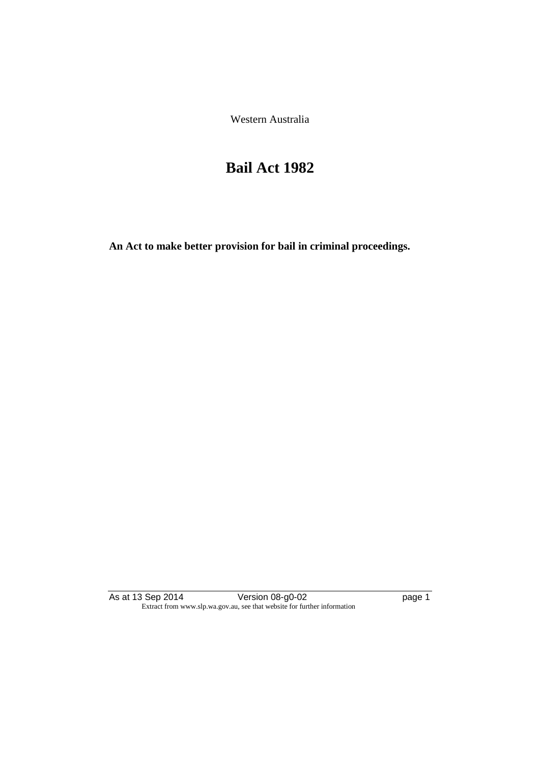Western Australia

## **Bail Act 1982**

**An Act to make better provision for bail in criminal proceedings.** 

As at 13 Sep 2014 **Version 08-g0-02 page 1** Extract from www.slp.wa.gov.au, see that website for further information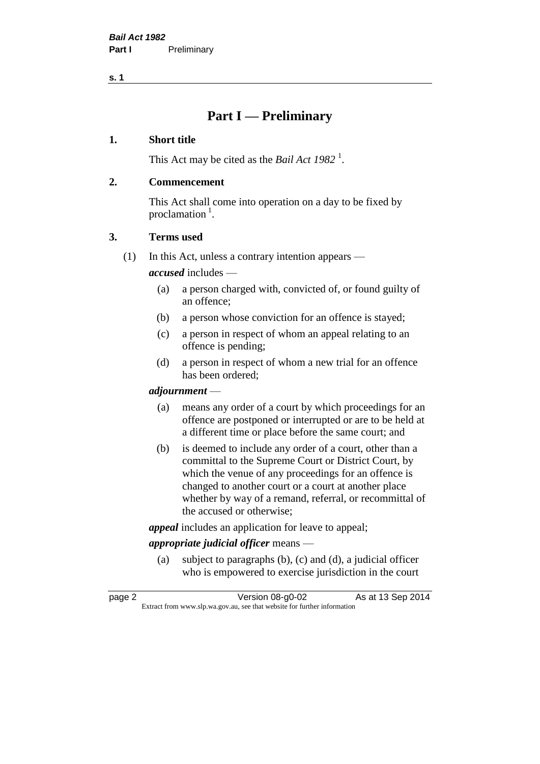**s. 1**

## **Part I — Preliminary**

#### **1. Short title**

This Act may be cited as the *Bail Act* 1982<sup>1</sup>.

#### **2. Commencement**

This Act shall come into operation on a day to be fixed by proclamation  $<sup>1</sup>$ .</sup>

#### **3. Terms used**

(1) In this Act, unless a contrary intention appears —

*accused* includes —

- (a) a person charged with, convicted of, or found guilty of an offence;
- (b) a person whose conviction for an offence is stayed;
- (c) a person in respect of whom an appeal relating to an offence is pending;
- (d) a person in respect of whom a new trial for an offence has been ordered;

#### *adjournment* —

- (a) means any order of a court by which proceedings for an offence are postponed or interrupted or are to be held at a different time or place before the same court; and
- (b) is deemed to include any order of a court, other than a committal to the Supreme Court or District Court, by which the venue of any proceedings for an offence is changed to another court or a court at another place whether by way of a remand, referral, or recommittal of the accused or otherwise;

*appeal* includes an application for leave to appeal;

#### *appropriate judicial officer* means —

(a) subject to paragraphs (b), (c) and (d), a judicial officer who is empowered to exercise jurisdiction in the court

| page 2 | Version 08-g0-02                                                         | As at 13 Sep 2014 |
|--------|--------------------------------------------------------------------------|-------------------|
|        | Extract from www.slp.wa.gov.au, see that website for further information |                   |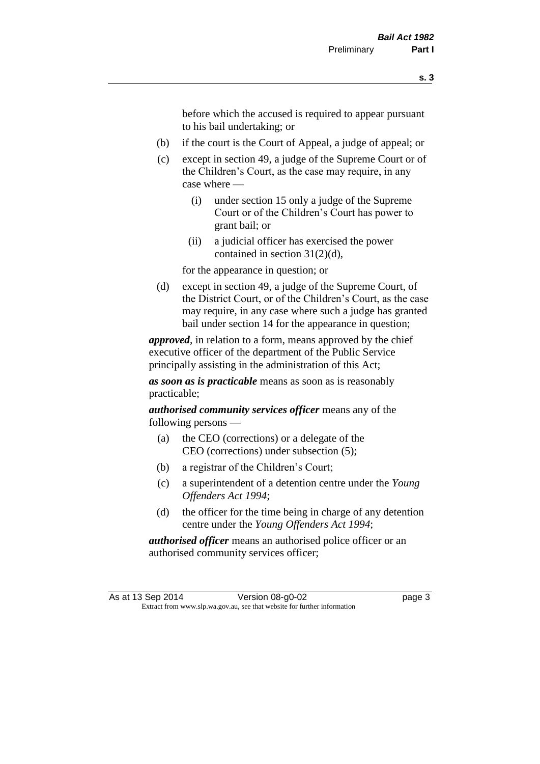before which the accused is required to appear pursuant to his bail undertaking; or

- (b) if the court is the Court of Appeal, a judge of appeal; or
- (c) except in section 49, a judge of the Supreme Court or of the Children's Court, as the case may require, in any case where —
	- (i) under section 15 only a judge of the Supreme Court or of the Children's Court has power to grant bail; or
	- (ii) a judicial officer has exercised the power contained in section 31(2)(d),

for the appearance in question; or

(d) except in section 49, a judge of the Supreme Court, of the District Court, or of the Children's Court, as the case may require, in any case where such a judge has granted bail under section 14 for the appearance in question;

*approved*, in relation to a form, means approved by the chief executive officer of the department of the Public Service principally assisting in the administration of this Act;

*as soon as is practicable* means as soon as is reasonably practicable;

*authorised community services officer* means any of the following persons —

- (a) the CEO (corrections) or a delegate of the CEO (corrections) under subsection (5);
- (b) a registrar of the Children's Court;
- (c) a superintendent of a detention centre under the *Young Offenders Act 1994*;
- (d) the officer for the time being in charge of any detention centre under the *Young Offenders Act 1994*;

*authorised officer* means an authorised police officer or an authorised community services officer;

As at 13 Sep 2014 Version 08-g0-02 page 3 Extract from www.slp.wa.gov.au, see that website for further information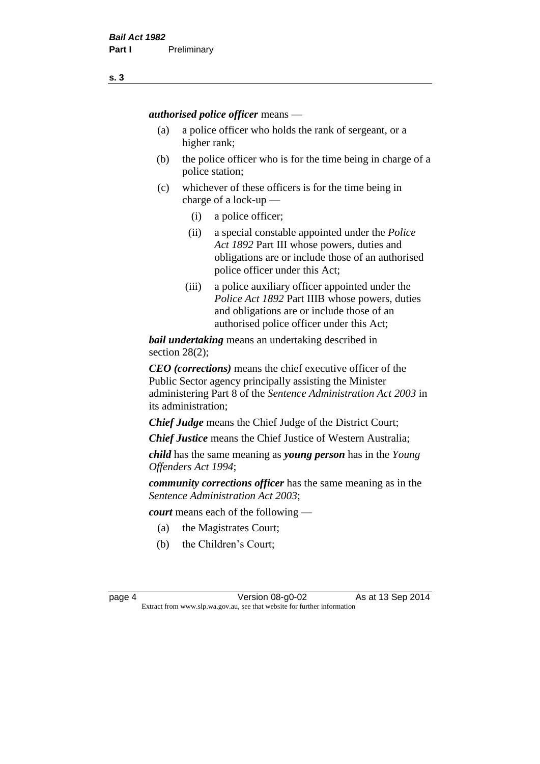*authorised police officer* means —

- (a) a police officer who holds the rank of sergeant, or a higher rank;
- (b) the police officer who is for the time being in charge of a police station;
- (c) whichever of these officers is for the time being in charge of a lock-up —
	- (i) a police officer;
	- (ii) a special constable appointed under the *Police Act 1892* Part III whose powers, duties and obligations are or include those of an authorised police officer under this Act;
	- (iii) a police auxiliary officer appointed under the *Police Act 1892* Part IIIB whose powers, duties and obligations are or include those of an authorised police officer under this Act;

*bail undertaking* means an undertaking described in section 28(2);

*CEO (corrections)* means the chief executive officer of the Public Sector agency principally assisting the Minister administering Part 8 of the *Sentence Administration Act 2003* in its administration;

*Chief Judge* means the Chief Judge of the District Court;

*Chief Justice* means the Chief Justice of Western Australia;

*child* has the same meaning as *young person* has in the *Young Offenders Act 1994*;

*community corrections officer* has the same meaning as in the *Sentence Administration Act 2003*;

*court* means each of the following —

- (a) the Magistrates Court;
- (b) the Children's Court;

page 4 Version 08-g0-02 As at 13 Sep 2014 Extract from www.slp.wa.gov.au, see that website for further information

#### **s. 3**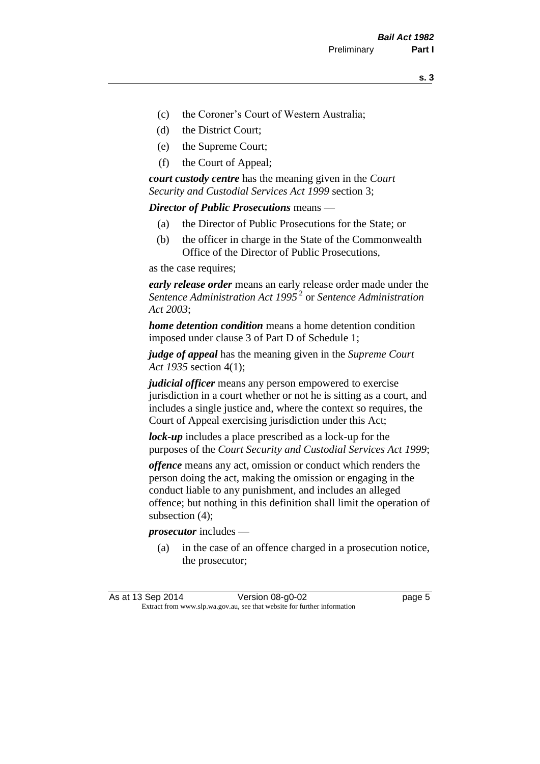- (c) the Coroner's Court of Western Australia;
- (d) the District Court;
- (e) the Supreme Court;
- (f) the Court of Appeal;

*court custody centre* has the meaning given in the *Court Security and Custodial Services Act 1999* section 3;

*Director of Public Prosecutions* means —

- (a) the Director of Public Prosecutions for the State; or
- (b) the officer in charge in the State of the Commonwealth Office of the Director of Public Prosecutions,

as the case requires;

*early release order* means an early release order made under the *Sentence Administration Act 1995* <sup>2</sup> or *Sentence Administration Act 2003*;

*home detention condition* means a home detention condition imposed under clause 3 of Part D of Schedule 1;

*judge of appeal* has the meaning given in the *Supreme Court Act 1935* section 4(1);

*judicial officer* means any person empowered to exercise jurisdiction in a court whether or not he is sitting as a court, and includes a single justice and, where the context so requires, the Court of Appeal exercising jurisdiction under this Act;

*lock-up* includes a place prescribed as a lock-up for the purposes of the *Court Security and Custodial Services Act 1999*;

*offence* means any act, omission or conduct which renders the person doing the act, making the omission or engaging in the conduct liable to any punishment, and includes an alleged offence; but nothing in this definition shall limit the operation of subsection (4);

*prosecutor* includes —

(a) in the case of an offence charged in a prosecution notice, the prosecutor;

As at 13 Sep 2014 Version 08-g0-02 Page 5 Extract from www.slp.wa.gov.au, see that website for further information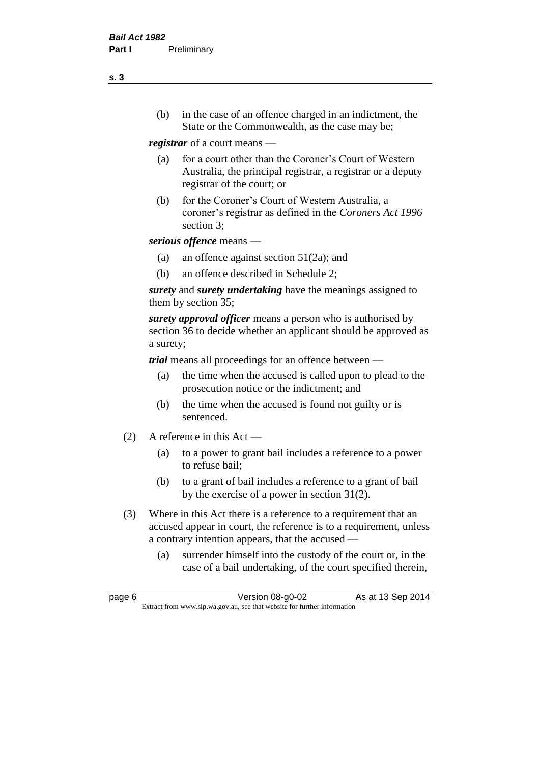(b) in the case of an offence charged in an indictment, the State or the Commonwealth, as the case may be;

*registrar* of a court means —

- (a) for a court other than the Coroner's Court of Western Australia, the principal registrar, a registrar or a deputy registrar of the court; or
- (b) for the Coroner's Court of Western Australia, a coroner's registrar as defined in the *Coroners Act 1996* section 3;

*serious offence* means —

- (a) an offence against section 51(2a); and
- (b) an offence described in Schedule 2;

*surety* and *surety undertaking* have the meanings assigned to them by section 35;

*surety approval officer* means a person who is authorised by section 36 to decide whether an applicant should be approved as a surety;

*trial* means all proceedings for an offence between —

- (a) the time when the accused is called upon to plead to the prosecution notice or the indictment; and
- (b) the time when the accused is found not guilty or is sentenced.
- (2) A reference in this Act
	- (a) to a power to grant bail includes a reference to a power to refuse bail;
	- (b) to a grant of bail includes a reference to a grant of bail by the exercise of a power in section 31(2).
- (3) Where in this Act there is a reference to a requirement that an accused appear in court, the reference is to a requirement, unless a contrary intention appears, that the accused —
	- (a) surrender himself into the custody of the court or, in the case of a bail undertaking, of the court specified therein,

**s. 3**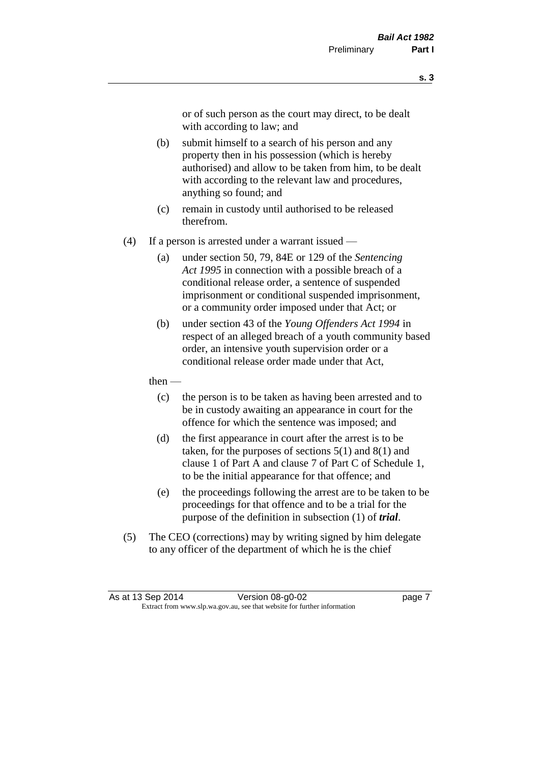or of such person as the court may direct, to be dealt with according to law; and

- (b) submit himself to a search of his person and any property then in his possession (which is hereby authorised) and allow to be taken from him, to be dealt with according to the relevant law and procedures, anything so found; and
- (c) remain in custody until authorised to be released therefrom.
- (4) If a person is arrested under a warrant issued
	- (a) under section 50, 79, 84E or 129 of the *Sentencing Act 1995* in connection with a possible breach of a conditional release order, a sentence of suspended imprisonment or conditional suspended imprisonment, or a community order imposed under that Act; or
	- (b) under section 43 of the *Young Offenders Act 1994* in respect of an alleged breach of a youth community based order, an intensive youth supervision order or a conditional release order made under that Act,
	- then
		- (c) the person is to be taken as having been arrested and to be in custody awaiting an appearance in court for the offence for which the sentence was imposed; and
		- (d) the first appearance in court after the arrest is to be taken, for the purposes of sections  $5(1)$  and  $8(1)$  and clause 1 of Part A and clause 7 of Part C of Schedule 1, to be the initial appearance for that offence; and
		- (e) the proceedings following the arrest are to be taken to be proceedings for that offence and to be a trial for the purpose of the definition in subsection (1) of *trial*.
- (5) The CEO (corrections) may by writing signed by him delegate to any officer of the department of which he is the chief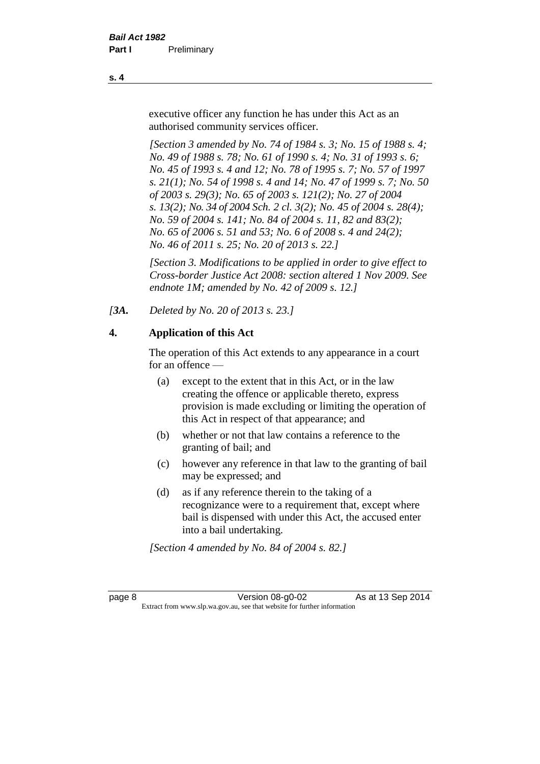executive officer any function he has under this Act as an authorised community services officer.

*[Section 3 amended by No. 74 of 1984 s. 3; No. 15 of 1988 s. 4; No. 49 of 1988 s. 78; No. 61 of 1990 s. 4; No. 31 of 1993 s. 6; No. 45 of 1993 s. 4 and 12; No. 78 of 1995 s. 7; No. 57 of 1997 s. 21(1); No. 54 of 1998 s. 4 and 14; No. 47 of 1999 s. 7; No. 50 of 2003 s. 29(3); No. 65 of 2003 s. 121(2); No. 27 of 2004 s. 13(2); No. 34 of 2004 Sch. 2 cl. 3(2); No. 45 of 2004 s. 28(4); No. 59 of 2004 s. 141; No. 84 of 2004 s. 11, 82 and 83(2); No. 65 of 2006 s. 51 and 53; No. 6 of 2008 s. 4 and 24(2); No. 46 of 2011 s. 25; No. 20 of 2013 s. 22.]* 

*[Section 3. Modifications to be applied in order to give effect to Cross-border Justice Act 2008: section altered 1 Nov 2009. See endnote 1M; amended by No. 42 of 2009 s. 12.]*

*[3A. Deleted by No. 20 of 2013 s. 23.]*

#### **4. Application of this Act**

The operation of this Act extends to any appearance in a court for an offence —

- (a) except to the extent that in this Act, or in the law creating the offence or applicable thereto, express provision is made excluding or limiting the operation of this Act in respect of that appearance; and
- (b) whether or not that law contains a reference to the granting of bail; and
- (c) however any reference in that law to the granting of bail may be expressed; and
- (d) as if any reference therein to the taking of a recognizance were to a requirement that, except where bail is dispensed with under this Act, the accused enter into a bail undertaking.

*[Section 4 amended by No. 84 of 2004 s. 82.]*

page 8 **Version 08-g0-02** As at 13 Sep 2014 Extract from www.slp.wa.gov.au, see that website for further information

**s. 4**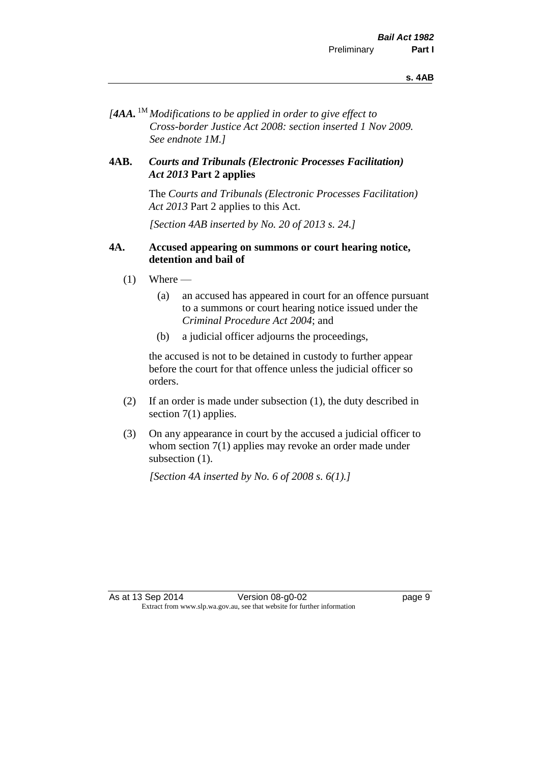*[4AA.* 1M *Modifications to be applied in order to give effect to Cross-border Justice Act 2008: section inserted 1 Nov 2009. See endnote 1M.]*

#### **4AB.** *Courts and Tribunals (Electronic Processes Facilitation) Act 2013* **Part 2 applies**

The *Courts and Tribunals (Electronic Processes Facilitation) Act 2013* Part 2 applies to this Act.

*[Section 4AB inserted by No. 20 of 2013 s. 24.]*

#### **4A. Accused appearing on summons or court hearing notice, detention and bail of**

- $(1)$  Where
	- (a) an accused has appeared in court for an offence pursuant to a summons or court hearing notice issued under the *Criminal Procedure Act 2004*; and
	- (b) a judicial officer adjourns the proceedings,

the accused is not to be detained in custody to further appear before the court for that offence unless the judicial officer so orders.

- (2) If an order is made under subsection (1), the duty described in section 7(1) applies.
- (3) On any appearance in court by the accused a judicial officer to whom section 7(1) applies may revoke an order made under subsection  $(1)$ .

*[Section 4A inserted by No. 6 of 2008 s. 6(1).]*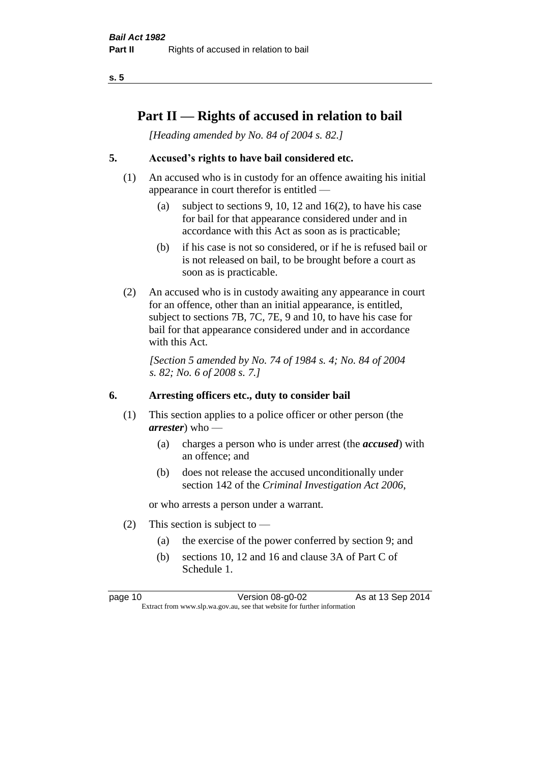**s. 5**

## **Part II — Rights of accused in relation to bail**

*[Heading amended by No. 84 of 2004 s. 82.]* 

#### **5. Accused's rights to have bail considered etc.**

- (1) An accused who is in custody for an offence awaiting his initial appearance in court therefor is entitled —
	- (a) subject to sections 9, 10, 12 and 16(2), to have his case for bail for that appearance considered under and in accordance with this Act as soon as is practicable;
	- (b) if his case is not so considered, or if he is refused bail or is not released on bail, to be brought before a court as soon as is practicable.
- (2) An accused who is in custody awaiting any appearance in court for an offence, other than an initial appearance, is entitled, subject to sections 7B, 7C, 7E, 9 and 10, to have his case for bail for that appearance considered under and in accordance with this Act.

*[Section 5 amended by No. 74 of 1984 s. 4; No. 84 of 2004 s. 82; No. 6 of 2008 s. 7.]* 

#### **6. Arresting officers etc., duty to consider bail**

- (1) This section applies to a police officer or other person (the *arrester*) who —
	- (a) charges a person who is under arrest (the *accused*) with an offence; and
	- (b) does not release the accused unconditionally under section 142 of the *Criminal Investigation Act 2006*,

or who arrests a person under a warrant.

- (2) This section is subject to  $-$ 
	- (a) the exercise of the power conferred by section 9; and
	- (b) sections 10, 12 and 16 and clause 3A of Part C of Schedule 1.

page 10 Version 08-g0-02 As at 13 Sep 2014 Extract from www.slp.wa.gov.au, see that website for further information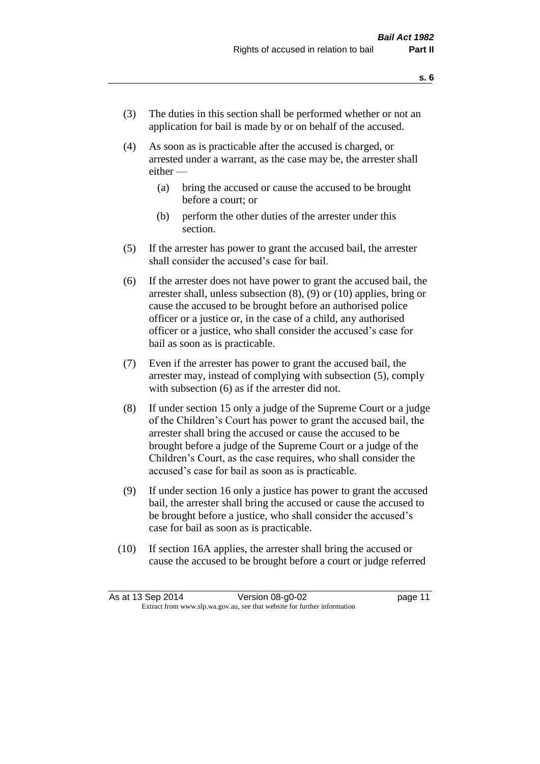- (3) The duties in this section shall be performed whether or not an application for bail is made by or on behalf of the accused.
- (4) As soon as is practicable after the accused is charged, or arrested under a warrant, as the case may be, the arrester shall either —
	- (a) bring the accused or cause the accused to be brought before a court; or
	- (b) perform the other duties of the arrester under this section.
- (5) If the arrester has power to grant the accused bail, the arrester shall consider the accused's case for bail.
- (6) If the arrester does not have power to grant the accused bail, the arrester shall, unless subsection (8), (9) or (10) applies, bring or cause the accused to be brought before an authorised police officer or a justice or, in the case of a child, any authorised officer or a justice, who shall consider the accused's case for bail as soon as is practicable.
- (7) Even if the arrester has power to grant the accused bail, the arrester may, instead of complying with subsection (5), comply with subsection (6) as if the arrester did not.
- (8) If under section 15 only a judge of the Supreme Court or a judge of the Children's Court has power to grant the accused bail, the arrester shall bring the accused or cause the accused to be brought before a judge of the Supreme Court or a judge of the Children's Court, as the case requires, who shall consider the accused's case for bail as soon as is practicable.
- (9) If under section 16 only a justice has power to grant the accused bail, the arrester shall bring the accused or cause the accused to be brought before a justice, who shall consider the accused's case for bail as soon as is practicable.
- (10) If section 16A applies, the arrester shall bring the accused or cause the accused to be brought before a court or judge referred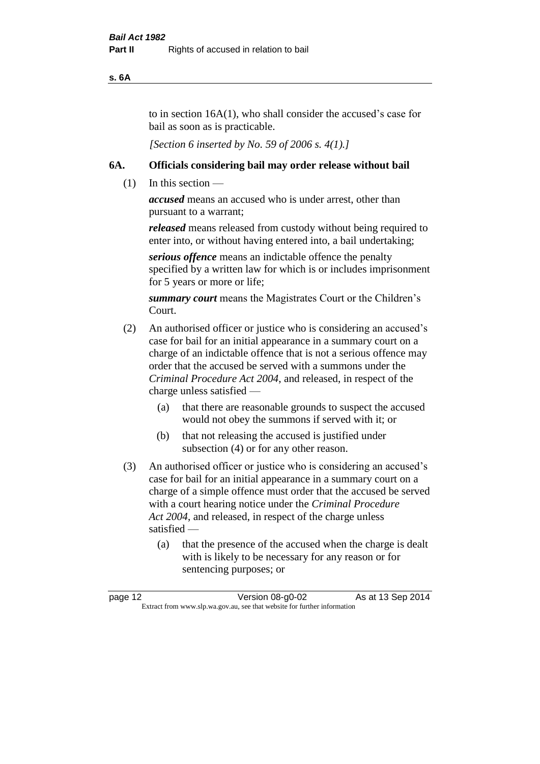#### **s. 6A**

to in section 16A(1), who shall consider the accused's case for bail as soon as is practicable.

*[Section 6 inserted by No. 59 of 2006 s. 4(1).]* 

#### **6A. Officials considering bail may order release without bail**

 $(1)$  In this section —

*accused* means an accused who is under arrest, other than pursuant to a warrant;

*released* means released from custody without being required to enter into, or without having entered into, a bail undertaking;

*serious offence* means an indictable offence the penalty specified by a written law for which is or includes imprisonment for 5 years or more or life;

*summary court* means the Magistrates Court or the Children's Court.

- (2) An authorised officer or justice who is considering an accused's case for bail for an initial appearance in a summary court on a charge of an indictable offence that is not a serious offence may order that the accused be served with a summons under the *Criminal Procedure Act 2004*, and released, in respect of the charge unless satisfied —
	- (a) that there are reasonable grounds to suspect the accused would not obey the summons if served with it; or
	- (b) that not releasing the accused is justified under subsection (4) or for any other reason.
- (3) An authorised officer or justice who is considering an accused's case for bail for an initial appearance in a summary court on a charge of a simple offence must order that the accused be served with a court hearing notice under the *Criminal Procedure Act 2004*, and released, in respect of the charge unless satisfied —
	- (a) that the presence of the accused when the charge is dealt with is likely to be necessary for any reason or for sentencing purposes; or

| page 12 | Version 08-g0-02                                                         | As at 13 Sep 2014 |
|---------|--------------------------------------------------------------------------|-------------------|
|         | Extract from www.slp.wa.gov.au, see that website for further information |                   |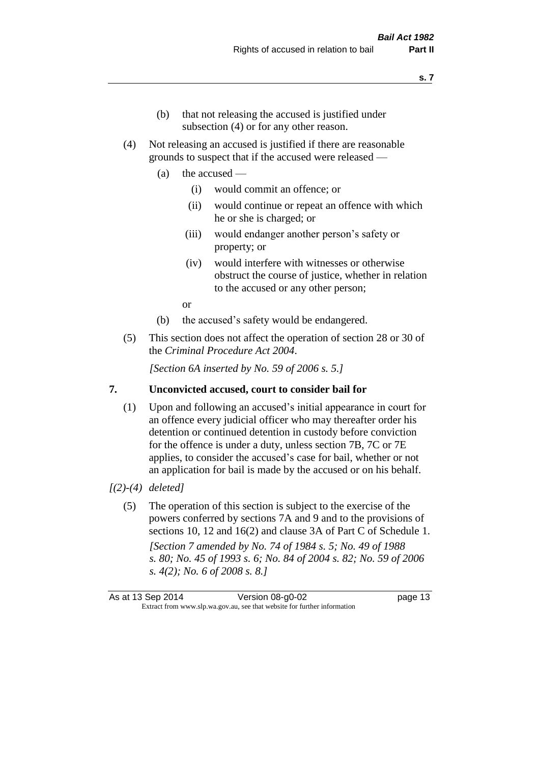- (b) that not releasing the accused is justified under subsection (4) or for any other reason.
- (4) Not releasing an accused is justified if there are reasonable grounds to suspect that if the accused were released —
	- (a) the accused
		- (i) would commit an offence; or
		- (ii) would continue or repeat an offence with which he or she is charged; or
		- (iii) would endanger another person's safety or property; or
		- (iv) would interfere with witnesses or otherwise obstruct the course of justice, whether in relation to the accused or any other person;

or

- (b) the accused's safety would be endangered.
- (5) This section does not affect the operation of section 28 or 30 of the *Criminal Procedure Act 2004*.

*[Section 6A inserted by No. 59 of 2006 s. 5.]* 

#### **7. Unconvicted accused, court to consider bail for**

(1) Upon and following an accused's initial appearance in court for an offence every judicial officer who may thereafter order his detention or continued detention in custody before conviction for the offence is under a duty, unless section 7B, 7C or 7E applies, to consider the accused's case for bail, whether or not an application for bail is made by the accused or on his behalf.

#### *[(2)-(4) deleted]*

(5) The operation of this section is subject to the exercise of the powers conferred by sections 7A and 9 and to the provisions of sections 10, 12 and 16(2) and clause 3A of Part C of Schedule 1. *[Section 7 amended by No. 74 of 1984 s. 5; No. 49 of 1988 s. 80; No. 45 of 1993 s. 6; No. 84 of 2004 s. 82; No. 59 of 2006 s. 4(2); No. 6 of 2008 s. 8.]* 

| As at 13 Sep 2014                                                        | Version 08-g0-02 | page 13 |
|--------------------------------------------------------------------------|------------------|---------|
| Extract from www.slp.wa.gov.au, see that website for further information |                  |         |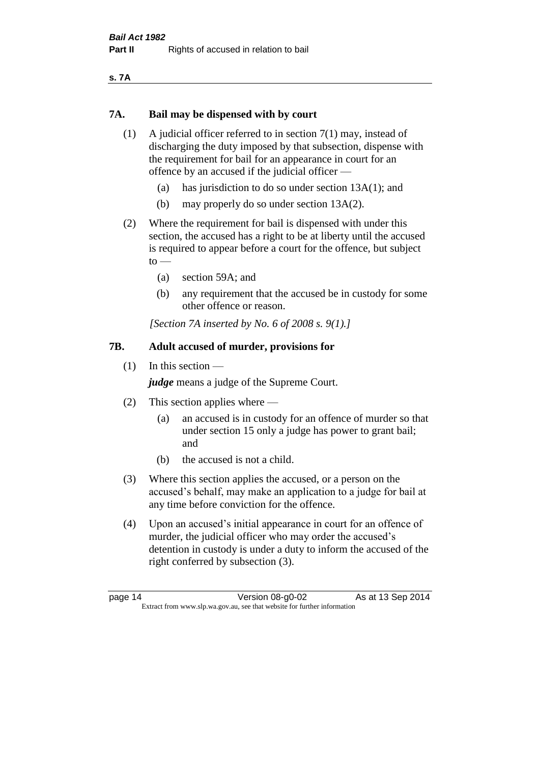**s. 7A**

#### **7A. Bail may be dispensed with by court**

- (1) A judicial officer referred to in section 7(1) may, instead of discharging the duty imposed by that subsection, dispense with the requirement for bail for an appearance in court for an offence by an accused if the judicial officer —
	- (a) has jurisdiction to do so under section 13A(1); and
	- (b) may properly do so under section 13A(2).
- (2) Where the requirement for bail is dispensed with under this section, the accused has a right to be at liberty until the accused is required to appear before a court for the offence, but subject  $to -$ 
	- (a) section 59A; and
	- (b) any requirement that the accused be in custody for some other offence or reason.

*[Section 7A inserted by No. 6 of 2008 s. 9(1).]*

#### **7B. Adult accused of murder, provisions for**

(1) In this section —

*judge* means a judge of the Supreme Court.

- (2) This section applies where
	- (a) an accused is in custody for an offence of murder so that under section 15 only a judge has power to grant bail; and
	- (b) the accused is not a child.
- (3) Where this section applies the accused, or a person on the accused's behalf, may make an application to a judge for bail at any time before conviction for the offence.
- (4) Upon an accused's initial appearance in court for an offence of murder, the judicial officer who may order the accused's detention in custody is under a duty to inform the accused of the right conferred by subsection (3).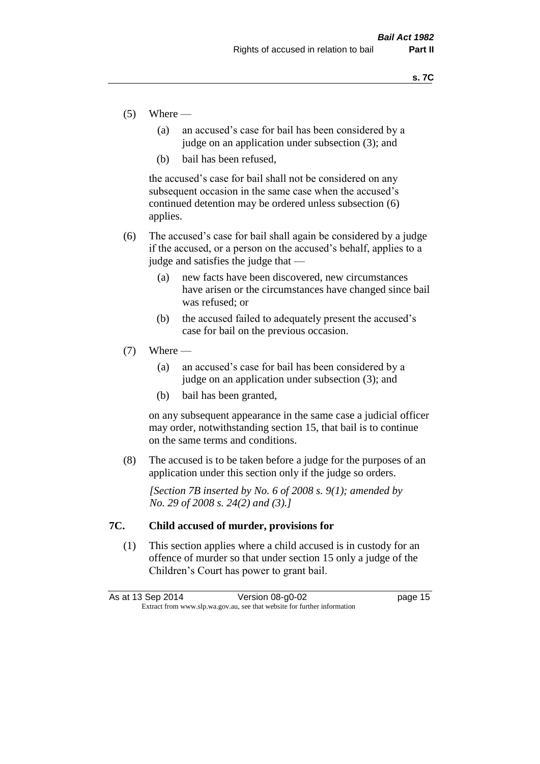**s. 7C**

- $(5)$  Where
	- (a) an accused's case for bail has been considered by a judge on an application under subsection (3); and
	- (b) bail has been refused,

the accused's case for bail shall not be considered on any subsequent occasion in the same case when the accused's continued detention may be ordered unless subsection (6) applies.

- (6) The accused's case for bail shall again be considered by a judge if the accused, or a person on the accused's behalf, applies to a judge and satisfies the judge that —
	- (a) new facts have been discovered, new circumstances have arisen or the circumstances have changed since bail was refused; or
	- (b) the accused failed to adequately present the accused's case for bail on the previous occasion.
- $(7)$  Where
	- (a) an accused's case for bail has been considered by a judge on an application under subsection (3); and
	- (b) bail has been granted,

on any subsequent appearance in the same case a judicial officer may order, notwithstanding section 15, that bail is to continue on the same terms and conditions.

(8) The accused is to be taken before a judge for the purposes of an application under this section only if the judge so orders.

*[Section 7B inserted by No. 6 of 2008 s. 9(1); amended by No. 29 of 2008 s. 24(2) and (3).]*

#### **7C. Child accused of murder, provisions for**

(1) This section applies where a child accused is in custody for an offence of murder so that under section 15 only a judge of the Children's Court has power to grant bail.

| As at 13 Sep 2014                                                        | Version 08-g0-02 | page 15 |
|--------------------------------------------------------------------------|------------------|---------|
| Extract from www.slp.wa.gov.au, see that website for further information |                  |         |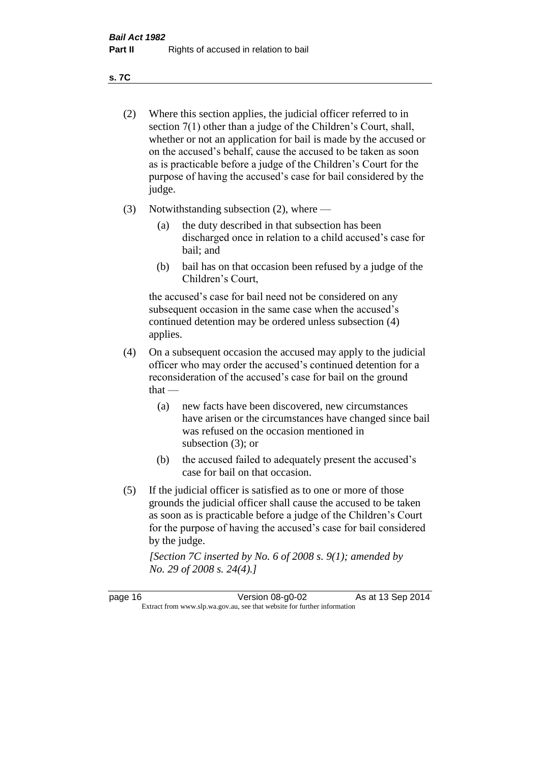**s. 7C**

- (2) Where this section applies, the judicial officer referred to in section 7(1) other than a judge of the Children's Court, shall, whether or not an application for bail is made by the accused or on the accused's behalf, cause the accused to be taken as soon as is practicable before a judge of the Children's Court for the purpose of having the accused's case for bail considered by the judge.
- (3) Notwithstanding subsection (2), where
	- (a) the duty described in that subsection has been discharged once in relation to a child accused's case for bail; and
	- (b) bail has on that occasion been refused by a judge of the Children's Court,

the accused's case for bail need not be considered on any subsequent occasion in the same case when the accused's continued detention may be ordered unless subsection (4) applies.

- (4) On a subsequent occasion the accused may apply to the judicial officer who may order the accused's continued detention for a reconsideration of the accused's case for bail on the ground  $that -$ 
	- (a) new facts have been discovered, new circumstances have arisen or the circumstances have changed since bail was refused on the occasion mentioned in subsection (3); or
	- (b) the accused failed to adequately present the accused's case for bail on that occasion.
- (5) If the judicial officer is satisfied as to one or more of those grounds the judicial officer shall cause the accused to be taken as soon as is practicable before a judge of the Children's Court for the purpose of having the accused's case for bail considered by the judge.

*[Section 7C inserted by No. 6 of 2008 s. 9(1); amended by No. 29 of 2008 s. 24(4).]*

page 16 Version 08-g0-02 As at 13 Sep 2014 Extract from www.slp.wa.gov.au, see that website for further information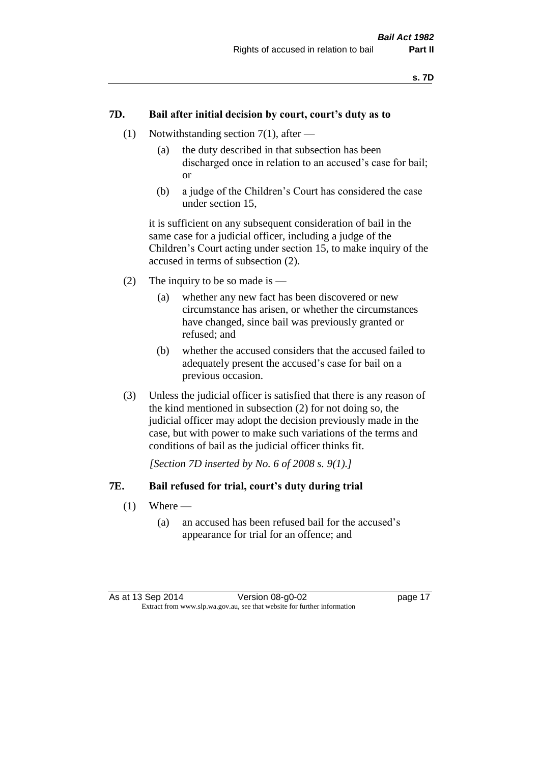#### **7D. Bail after initial decision by court, court's duty as to**

- (1) Notwithstanding section 7(1), after
	- (a) the duty described in that subsection has been discharged once in relation to an accused's case for bail; or
	- (b) a judge of the Children's Court has considered the case under section 15,

it is sufficient on any subsequent consideration of bail in the same case for a judicial officer, including a judge of the Children's Court acting under section 15, to make inquiry of the accused in terms of subsection (2).

- (2) The inquiry to be so made is  $-$ 
	- (a) whether any new fact has been discovered or new circumstance has arisen, or whether the circumstances have changed, since bail was previously granted or refused; and
	- (b) whether the accused considers that the accused failed to adequately present the accused's case for bail on a previous occasion.
- (3) Unless the judicial officer is satisfied that there is any reason of the kind mentioned in subsection (2) for not doing so, the judicial officer may adopt the decision previously made in the case, but with power to make such variations of the terms and conditions of bail as the judicial officer thinks fit.

*[Section 7D inserted by No. 6 of 2008 s. 9(1).]*

#### **7E. Bail refused for trial, court's duty during trial**

- $(1)$  Where
	- (a) an accused has been refused bail for the accused's appearance for trial for an offence; and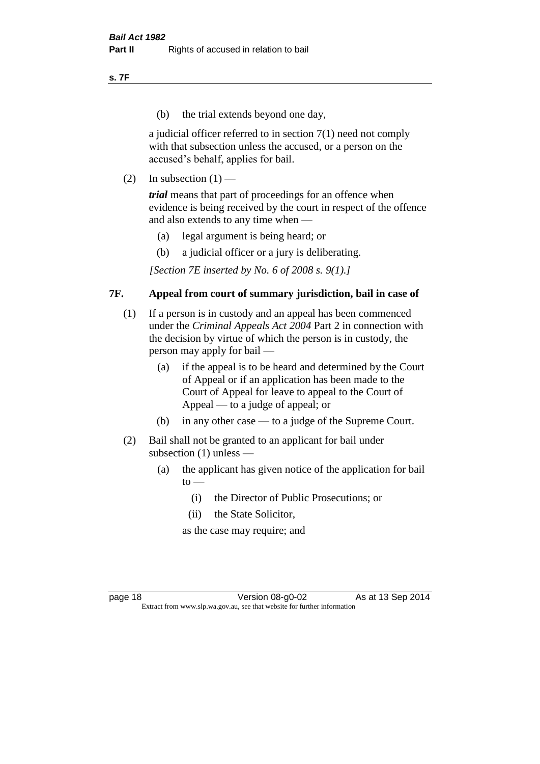**s. 7F**

(b) the trial extends beyond one day,

a judicial officer referred to in section 7(1) need not comply with that subsection unless the accused, or a person on the accused's behalf, applies for bail.

(2) In subsection  $(1)$  —

*trial* means that part of proceedings for an offence when evidence is being received by the court in respect of the offence and also extends to any time when —

- (a) legal argument is being heard; or
- (b) a judicial officer or a jury is deliberating.

*[Section 7E inserted by No. 6 of 2008 s. 9(1).]*

#### **7F. Appeal from court of summary jurisdiction, bail in case of**

- (1) If a person is in custody and an appeal has been commenced under the *Criminal Appeals Act 2004* Part 2 in connection with the decision by virtue of which the person is in custody, the person may apply for bail —
	- (a) if the appeal is to be heard and determined by the Court of Appeal or if an application has been made to the Court of Appeal for leave to appeal to the Court of Appeal — to a judge of appeal; or
	- (b) in any other case to a judge of the Supreme Court.
- (2) Bail shall not be granted to an applicant for bail under subsection (1) unless —
	- (a) the applicant has given notice of the application for bail  $\mathrm{to}$  —
		- (i) the Director of Public Prosecutions; or
		- (ii) the State Solicitor,

as the case may require; and

page 18 Version 08-g0-02 As at 13 Sep 2014 Extract from www.slp.wa.gov.au, see that website for further information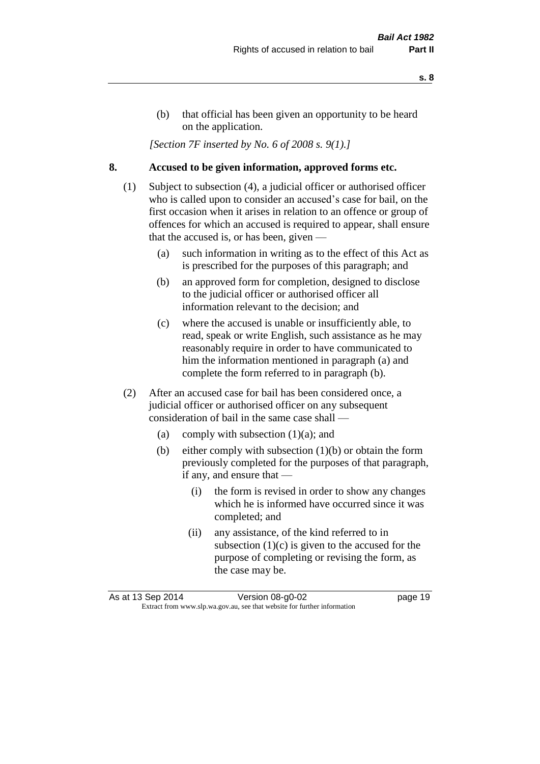(b) that official has been given an opportunity to be heard on the application.

*[Section 7F inserted by No. 6 of 2008 s. 9(1).]*

#### **8. Accused to be given information, approved forms etc.**

- (1) Subject to subsection (4), a judicial officer or authorised officer who is called upon to consider an accused's case for bail, on the first occasion when it arises in relation to an offence or group of offences for which an accused is required to appear, shall ensure that the accused is, or has been, given —
	- (a) such information in writing as to the effect of this Act as is prescribed for the purposes of this paragraph; and
	- (b) an approved form for completion, designed to disclose to the judicial officer or authorised officer all information relevant to the decision; and
	- (c) where the accused is unable or insufficiently able, to read, speak or write English, such assistance as he may reasonably require in order to have communicated to him the information mentioned in paragraph (a) and complete the form referred to in paragraph (b).
- (2) After an accused case for bail has been considered once, a judicial officer or authorised officer on any subsequent consideration of bail in the same case shall —
	- (a) comply with subsection (1)(a); and
	- (b) either comply with subsection (1)(b) or obtain the form previously completed for the purposes of that paragraph, if any, and ensure that —
		- (i) the form is revised in order to show any changes which he is informed have occurred since it was completed; and
		- (ii) any assistance, of the kind referred to in subsection  $(1)(c)$  is given to the accused for the purpose of completing or revising the form, as the case may be.

**s. 8**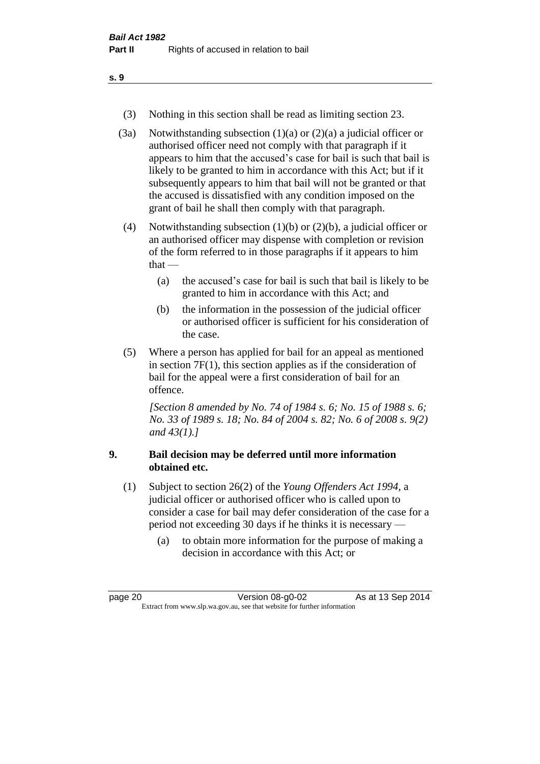- (3) Nothing in this section shall be read as limiting section 23.
- (3a) Notwithstanding subsection  $(1)(a)$  or  $(2)(a)$  a judicial officer or authorised officer need not comply with that paragraph if it appears to him that the accused's case for bail is such that bail is likely to be granted to him in accordance with this Act; but if it subsequently appears to him that bail will not be granted or that the accused is dissatisfied with any condition imposed on the grant of bail he shall then comply with that paragraph.
- (4) Notwithstanding subsection (1)(b) or (2)(b), a judicial officer or an authorised officer may dispense with completion or revision of the form referred to in those paragraphs if it appears to him that —
	- (a) the accused's case for bail is such that bail is likely to be granted to him in accordance with this Act; and
	- (b) the information in the possession of the judicial officer or authorised officer is sufficient for his consideration of the case.
- (5) Where a person has applied for bail for an appeal as mentioned in section 7F(1), this section applies as if the consideration of bail for the appeal were a first consideration of bail for an offence.

*[Section 8 amended by No. 74 of 1984 s. 6; No. 15 of 1988 s. 6; No. 33 of 1989 s. 18; No. 84 of 2004 s. 82; No. 6 of 2008 s. 9(2) and 43(1).]* 

#### **9. Bail decision may be deferred until more information obtained etc.**

- (1) Subject to section 26(2) of the *Young Offenders Act 1994*, a judicial officer or authorised officer who is called upon to consider a case for bail may defer consideration of the case for a period not exceeding 30 days if he thinks it is necessary —
	- (a) to obtain more information for the purpose of making a decision in accordance with this Act; or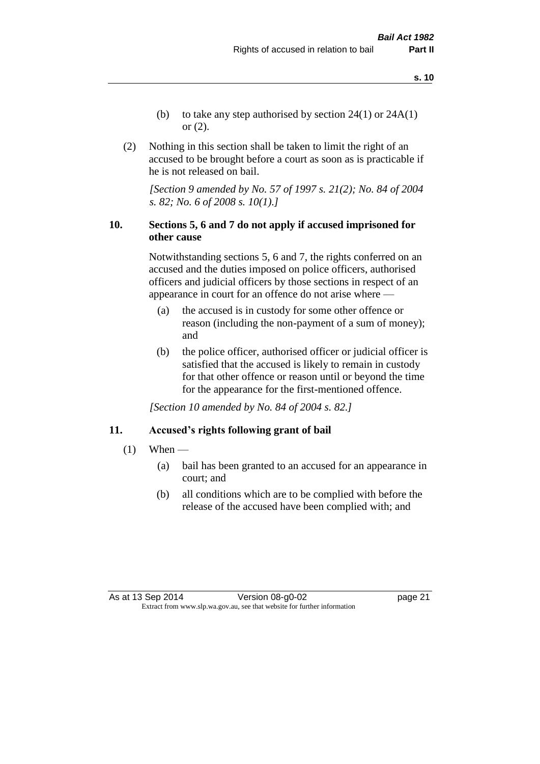- (b) to take any step authorised by section  $24(1)$  or  $24A(1)$ or (2).
- (2) Nothing in this section shall be taken to limit the right of an accused to be brought before a court as soon as is practicable if he is not released on bail.

*[Section 9 amended by No. 57 of 1997 s. 21(2); No. 84 of 2004 s. 82; No. 6 of 2008 s. 10(1).]*

#### **10. Sections 5, 6 and 7 do not apply if accused imprisoned for other cause**

Notwithstanding sections 5, 6 and 7, the rights conferred on an accused and the duties imposed on police officers, authorised officers and judicial officers by those sections in respect of an appearance in court for an offence do not arise where —

- (a) the accused is in custody for some other offence or reason (including the non-payment of a sum of money); and
- (b) the police officer, authorised officer or judicial officer is satisfied that the accused is likely to remain in custody for that other offence or reason until or beyond the time for the appearance for the first-mentioned offence.

*[Section 10 amended by No. 84 of 2004 s. 82.]*

#### **11. Accused's rights following grant of bail**

- $(1)$  When
	- (a) bail has been granted to an accused for an appearance in court; and
	- (b) all conditions which are to be complied with before the release of the accused have been complied with; and

As at 13 Sep 2014 Version 08-g0-02 Page 21 Extract from www.slp.wa.gov.au, see that website for further information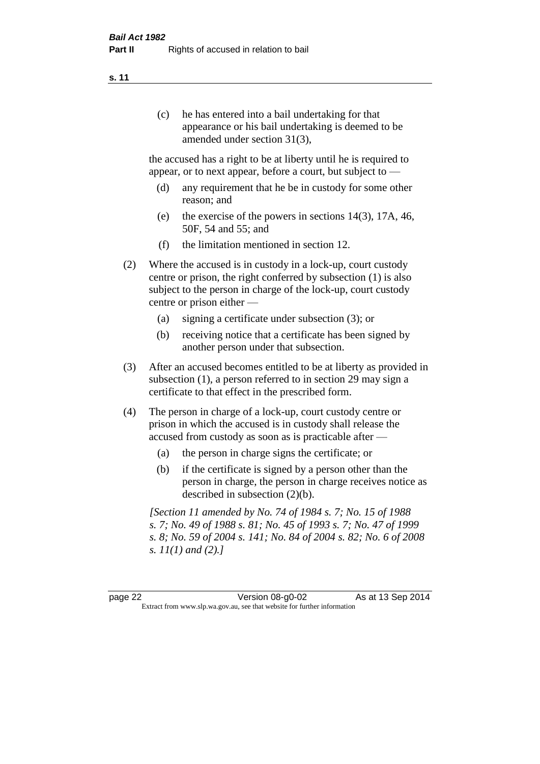**s. 11**

(c) he has entered into a bail undertaking for that appearance or his bail undertaking is deemed to be amended under section 31(3),

the accused has a right to be at liberty until he is required to appear, or to next appear, before a court, but subject to —

- (d) any requirement that he be in custody for some other reason; and
- (e) the exercise of the powers in sections 14(3), 17A, 46, 50F, 54 and 55; and
- (f) the limitation mentioned in section 12.
- (2) Where the accused is in custody in a lock-up, court custody centre or prison, the right conferred by subsection (1) is also subject to the person in charge of the lock-up, court custody centre or prison either —
	- (a) signing a certificate under subsection (3); or
	- (b) receiving notice that a certificate has been signed by another person under that subsection.
- (3) After an accused becomes entitled to be at liberty as provided in subsection (1), a person referred to in section 29 may sign a certificate to that effect in the prescribed form.
- (4) The person in charge of a lock-up, court custody centre or prison in which the accused is in custody shall release the accused from custody as soon as is practicable after —
	- (a) the person in charge signs the certificate; or
	- (b) if the certificate is signed by a person other than the person in charge, the person in charge receives notice as described in subsection (2)(b).

*[Section 11 amended by No. 74 of 1984 s. 7; No. 15 of 1988 s. 7; No. 49 of 1988 s. 81; No. 45 of 1993 s. 7; No. 47 of 1999 s. 8; No. 59 of 2004 s. 141; No. 84 of 2004 s. 82; No. 6 of 2008 s. 11(1) and (2).]*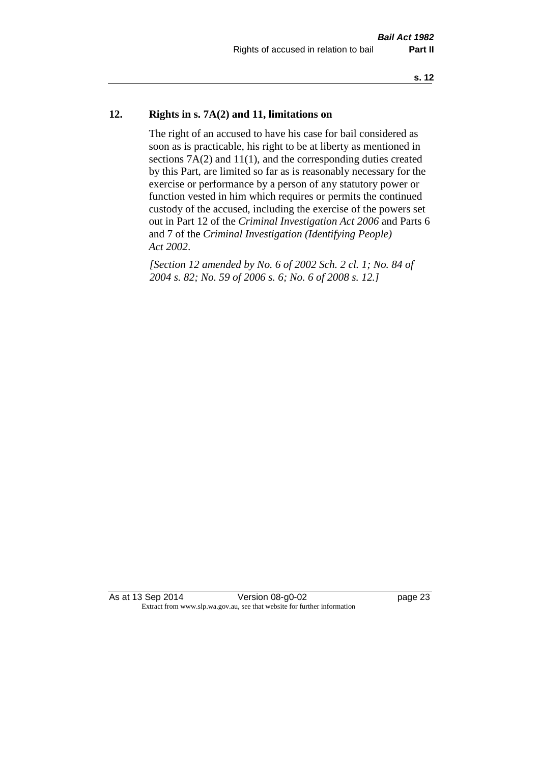#### **12. Rights in s. 7A(2) and 11, limitations on**

The right of an accused to have his case for bail considered as soon as is practicable, his right to be at liberty as mentioned in sections 7A(2) and 11(1), and the corresponding duties created by this Part, are limited so far as is reasonably necessary for the exercise or performance by a person of any statutory power or function vested in him which requires or permits the continued custody of the accused, including the exercise of the powers set out in Part 12 of the *Criminal Investigation Act 2006* and Parts 6 and 7 of the *Criminal Investigation (Identifying People) Act 2002*.

*[Section 12 amended by No. 6 of 2002 Sch. 2 cl. 1; No. 84 of 2004 s. 82; No. 59 of 2006 s. 6; No. 6 of 2008 s. 12.]*

As at 13 Sep 2014 Version 08-g0-02 page 23 Extract from www.slp.wa.gov.au, see that website for further information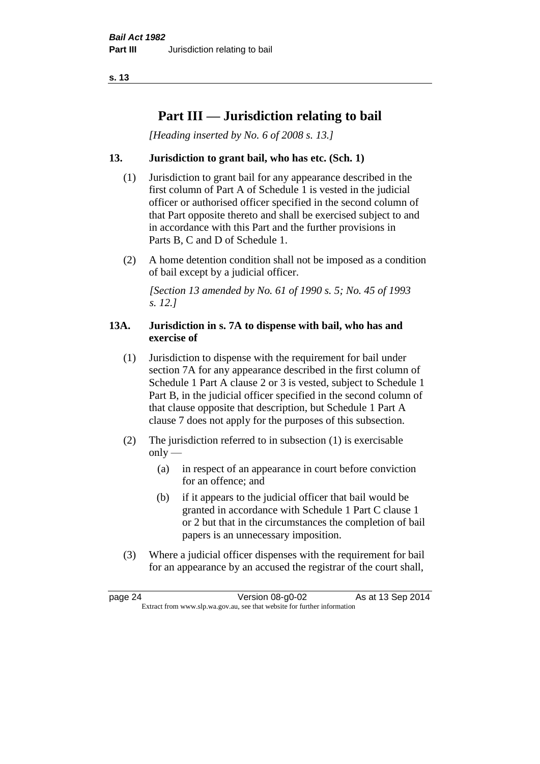**s. 13**

## **Part III — Jurisdiction relating to bail**

*[Heading inserted by No. 6 of 2008 s. 13.]*

#### **13. Jurisdiction to grant bail, who has etc. (Sch. 1)**

- (1) Jurisdiction to grant bail for any appearance described in the first column of Part A of Schedule 1 is vested in the judicial officer or authorised officer specified in the second column of that Part opposite thereto and shall be exercised subject to and in accordance with this Part and the further provisions in Parts B, C and D of Schedule 1.
- (2) A home detention condition shall not be imposed as a condition of bail except by a judicial officer.

*[Section 13 amended by No. 61 of 1990 s. 5; No. 45 of 1993 s. 12.]* 

#### **13A. Jurisdiction in s. 7A to dispense with bail, who has and exercise of**

- (1) Jurisdiction to dispense with the requirement for bail under section 7A for any appearance described in the first column of Schedule 1 Part A clause 2 or 3 is vested, subject to Schedule 1 Part B, in the judicial officer specified in the second column of that clause opposite that description, but Schedule 1 Part A clause 7 does not apply for the purposes of this subsection.
- (2) The jurisdiction referred to in subsection (1) is exercisable  $only$ —
	- (a) in respect of an appearance in court before conviction for an offence; and
	- (b) if it appears to the judicial officer that bail would be granted in accordance with Schedule 1 Part C clause 1 or 2 but that in the circumstances the completion of bail papers is an unnecessary imposition.
- (3) Where a judicial officer dispenses with the requirement for bail for an appearance by an accused the registrar of the court shall,

page 24 Version 08-g0-02 As at 13 Sep 2014 Extract from www.slp.wa.gov.au, see that website for further information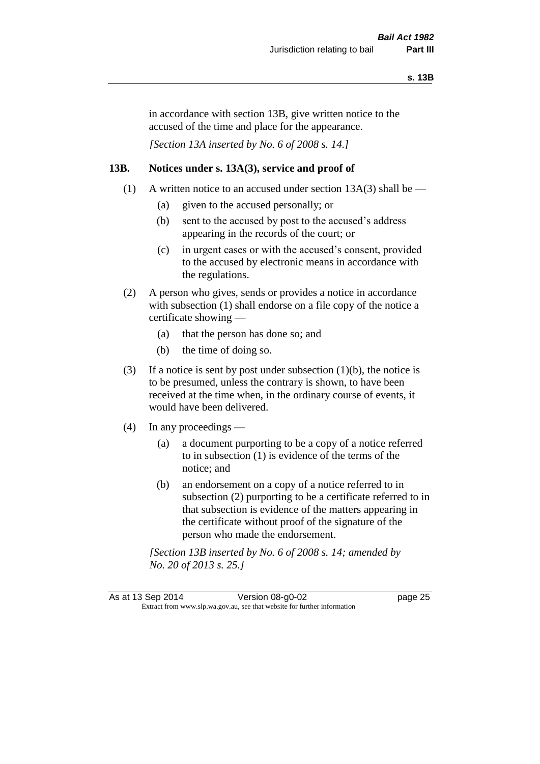in accordance with section 13B, give written notice to the accused of the time and place for the appearance.

*[Section 13A inserted by No. 6 of 2008 s. 14.]*

#### **13B. Notices under s. 13A(3), service and proof of**

- (1) A written notice to an accused under section 13A(3) shall be
	- (a) given to the accused personally; or
	- (b) sent to the accused by post to the accused's address appearing in the records of the court; or
	- (c) in urgent cases or with the accused's consent, provided to the accused by electronic means in accordance with the regulations.
- (2) A person who gives, sends or provides a notice in accordance with subsection (1) shall endorse on a file copy of the notice a certificate showing —
	- (a) that the person has done so; and
	- (b) the time of doing so.
- (3) If a notice is sent by post under subsection  $(1)(b)$ , the notice is to be presumed, unless the contrary is shown, to have been received at the time when, in the ordinary course of events, it would have been delivered.
- (4) In any proceedings
	- (a) a document purporting to be a copy of a notice referred to in subsection (1) is evidence of the terms of the notice; and
	- (b) an endorsement on a copy of a notice referred to in subsection (2) purporting to be a certificate referred to in that subsection is evidence of the matters appearing in the certificate without proof of the signature of the person who made the endorsement.

*[Section 13B inserted by No. 6 of 2008 s. 14; amended by No. 20 of 2013 s. 25.]*

As at 13 Sep 2014 Version 08-g0-02 Page 25 Extract from www.slp.wa.gov.au, see that website for further information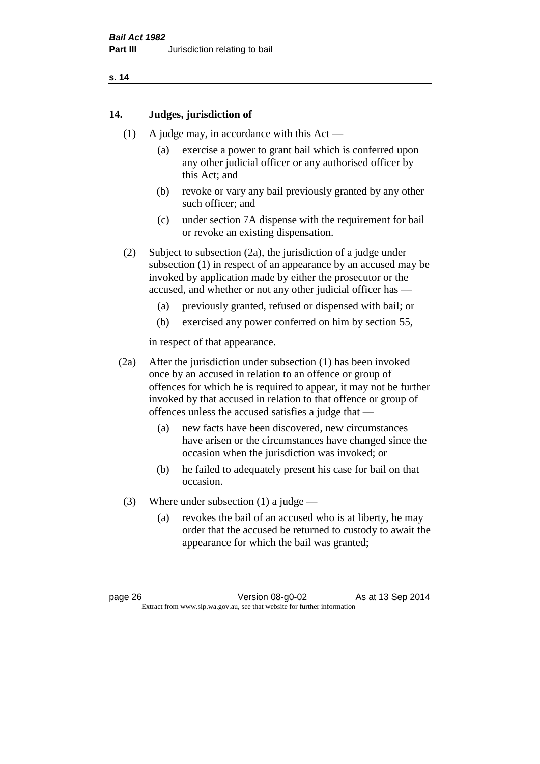#### **s. 14**

#### **14. Judges, jurisdiction of**

- (1) A judge may, in accordance with this Act
	- (a) exercise a power to grant bail which is conferred upon any other judicial officer or any authorised officer by this Act; and
	- (b) revoke or vary any bail previously granted by any other such officer; and
	- (c) under section 7A dispense with the requirement for bail or revoke an existing dispensation.
- (2) Subject to subsection (2a), the jurisdiction of a judge under subsection (1) in respect of an appearance by an accused may be invoked by application made by either the prosecutor or the accused, and whether or not any other judicial officer has —
	- (a) previously granted, refused or dispensed with bail; or
	- (b) exercised any power conferred on him by section 55,

in respect of that appearance.

- (2a) After the jurisdiction under subsection (1) has been invoked once by an accused in relation to an offence or group of offences for which he is required to appear, it may not be further invoked by that accused in relation to that offence or group of offences unless the accused satisfies a judge that —
	- (a) new facts have been discovered, new circumstances have arisen or the circumstances have changed since the occasion when the jurisdiction was invoked; or
	- (b) he failed to adequately present his case for bail on that occasion.
- (3) Where under subsection (1) a judge
	- (a) revokes the bail of an accused who is at liberty, he may order that the accused be returned to custody to await the appearance for which the bail was granted;

page 26 Version 08-g0-02 As at 13 Sep 2014 Extract from www.slp.wa.gov.au, see that website for further information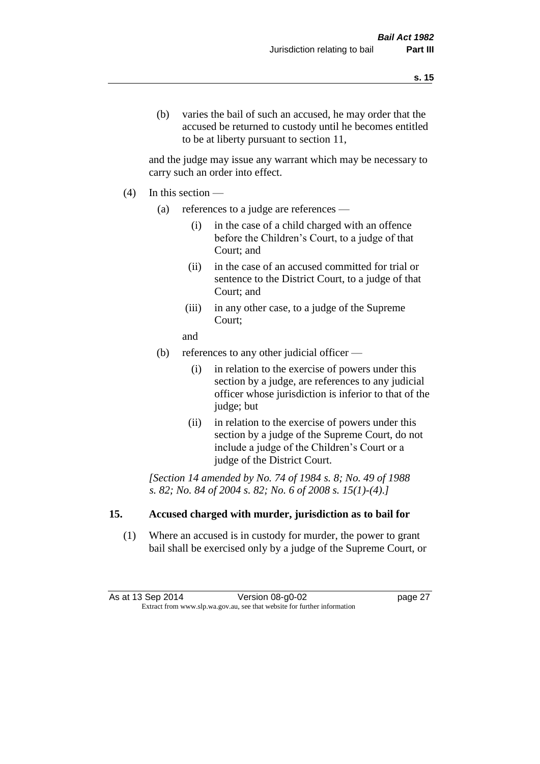(b) varies the bail of such an accused, he may order that the accused be returned to custody until he becomes entitled to be at liberty pursuant to section 11,

and the judge may issue any warrant which may be necessary to carry such an order into effect.

- (4) In this section
	- (a) references to a judge are references
		- (i) in the case of a child charged with an offence before the Children's Court, to a judge of that Court; and
		- (ii) in the case of an accused committed for trial or sentence to the District Court, to a judge of that Court; and
		- (iii) in any other case, to a judge of the Supreme Court;
		- and
	- (b) references to any other judicial officer
		- (i) in relation to the exercise of powers under this section by a judge, are references to any judicial officer whose jurisdiction is inferior to that of the judge; but
		- (ii) in relation to the exercise of powers under this section by a judge of the Supreme Court, do not include a judge of the Children's Court or a judge of the District Court.

*[Section 14 amended by No. 74 of 1984 s. 8; No. 49 of 1988 s. 82; No. 84 of 2004 s. 82; No. 6 of 2008 s. 15(1)-(4).]* 

#### **15. Accused charged with murder, jurisdiction as to bail for**

(1) Where an accused is in custody for murder, the power to grant bail shall be exercised only by a judge of the Supreme Court, or

| As at 13 Sep 2014 | Version 08-g0-02                                                         | page 27 |
|-------------------|--------------------------------------------------------------------------|---------|
|                   | Extract from www.slp.wa.gov.au, see that website for further information |         |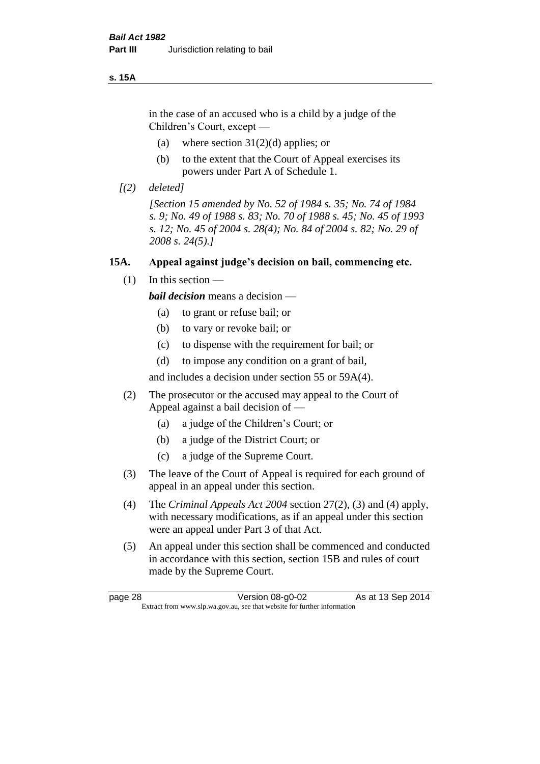#### **s. 15A**

in the case of an accused who is a child by a judge of the Children's Court, except —

- (a) where section  $31(2)(d)$  applies; or
- (b) to the extent that the Court of Appeal exercises its powers under Part A of Schedule 1.
- *[(2) deleted]*

*[Section 15 amended by No. 52 of 1984 s. 35; No. 74 of 1984 s. 9; No. 49 of 1988 s. 83; No. 70 of 1988 s. 45; No. 45 of 1993 s. 12; No. 45 of 2004 s. 28(4); No. 84 of 2004 s. 82; No. 29 of 2008 s. 24(5).]* 

#### **15A. Appeal against judge's decision on bail, commencing etc.**

 $(1)$  In this section —

*bail decision* means a decision —

- (a) to grant or refuse bail; or
- (b) to vary or revoke bail; or
- (c) to dispense with the requirement for bail; or
- (d) to impose any condition on a grant of bail,

and includes a decision under section 55 or 59A(4).

- (2) The prosecutor or the accused may appeal to the Court of Appeal against a bail decision of —
	- (a) a judge of the Children's Court; or
	- (b) a judge of the District Court; or
	- (c) a judge of the Supreme Court.
- (3) The leave of the Court of Appeal is required for each ground of appeal in an appeal under this section.
- (4) The *Criminal Appeals Act 2004* section 27(2), (3) and (4) apply, with necessary modifications, as if an appeal under this section were an appeal under Part 3 of that Act.
- (5) An appeal under this section shall be commenced and conducted in accordance with this section, section 15B and rules of court made by the Supreme Court.

page 28 **Version 08-g0-02** As at 13 Sep 2014 Extract from www.slp.wa.gov.au, see that website for further information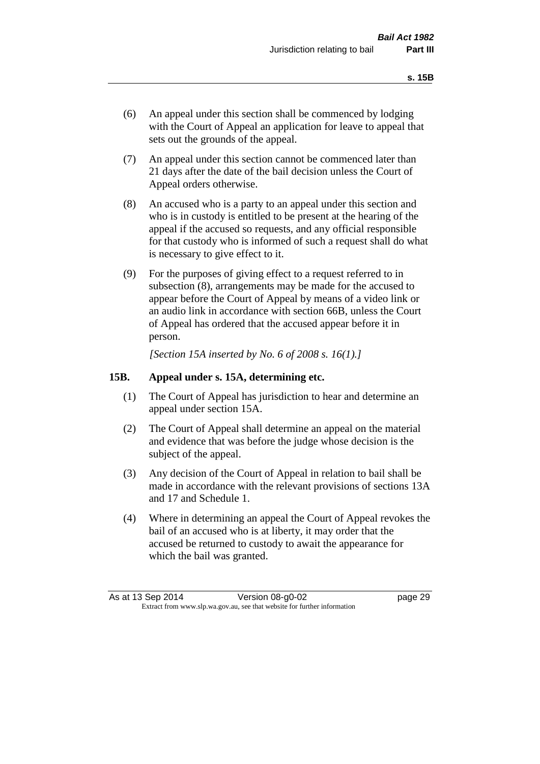- (6) An appeal under this section shall be commenced by lodging with the Court of Appeal an application for leave to appeal that sets out the grounds of the appeal.
- (7) An appeal under this section cannot be commenced later than 21 days after the date of the bail decision unless the Court of Appeal orders otherwise.
- (8) An accused who is a party to an appeal under this section and who is in custody is entitled to be present at the hearing of the appeal if the accused so requests, and any official responsible for that custody who is informed of such a request shall do what is necessary to give effect to it.
- (9) For the purposes of giving effect to a request referred to in subsection (8), arrangements may be made for the accused to appear before the Court of Appeal by means of a video link or an audio link in accordance with section 66B, unless the Court of Appeal has ordered that the accused appear before it in person.

*[Section 15A inserted by No. 6 of 2008 s. 16(1).]*

#### **15B. Appeal under s. 15A, determining etc.**

- (1) The Court of Appeal has jurisdiction to hear and determine an appeal under section 15A.
- (2) The Court of Appeal shall determine an appeal on the material and evidence that was before the judge whose decision is the subject of the appeal.
- (3) Any decision of the Court of Appeal in relation to bail shall be made in accordance with the relevant provisions of sections 13A and 17 and Schedule 1.
- (4) Where in determining an appeal the Court of Appeal revokes the bail of an accused who is at liberty, it may order that the accused be returned to custody to await the appearance for which the bail was granted.

As at 13 Sep 2014 Version 08-g0-02 page 29 Extract from www.slp.wa.gov.au, see that website for further information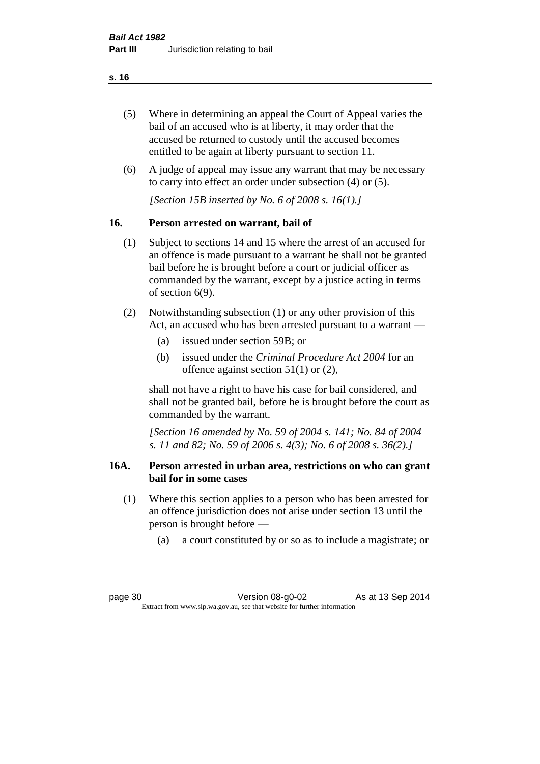(5) Where in determining an appeal the Court of Appeal varies the bail of an accused who is at liberty, it may order that the accused be returned to custody until the accused becomes

(6) A judge of appeal may issue any warrant that may be necessary to carry into effect an order under subsection (4) or (5).

*[Section 15B inserted by No. 6 of 2008 s. 16(1).]*

entitled to be again at liberty pursuant to section 11.

#### **16. Person arrested on warrant, bail of**

- (1) Subject to sections 14 and 15 where the arrest of an accused for an offence is made pursuant to a warrant he shall not be granted bail before he is brought before a court or judicial officer as commanded by the warrant, except by a justice acting in terms of section 6(9).
- (2) Notwithstanding subsection (1) or any other provision of this Act, an accused who has been arrested pursuant to a warrant —
	- (a) issued under section 59B; or
	- (b) issued under the *Criminal Procedure Act 2004* for an offence against section 51(1) or (2),

shall not have a right to have his case for bail considered, and shall not be granted bail, before he is brought before the court as commanded by the warrant.

*[Section 16 amended by No. 59 of 2004 s. 141; No. 84 of 2004 s. 11 and 82; No. 59 of 2006 s. 4(3); No. 6 of 2008 s. 36(2).]*

#### **16A. Person arrested in urban area, restrictions on who can grant bail for in some cases**

- (1) Where this section applies to a person who has been arrested for an offence jurisdiction does not arise under section 13 until the person is brought before —
	- (a) a court constituted by or so as to include a magistrate; or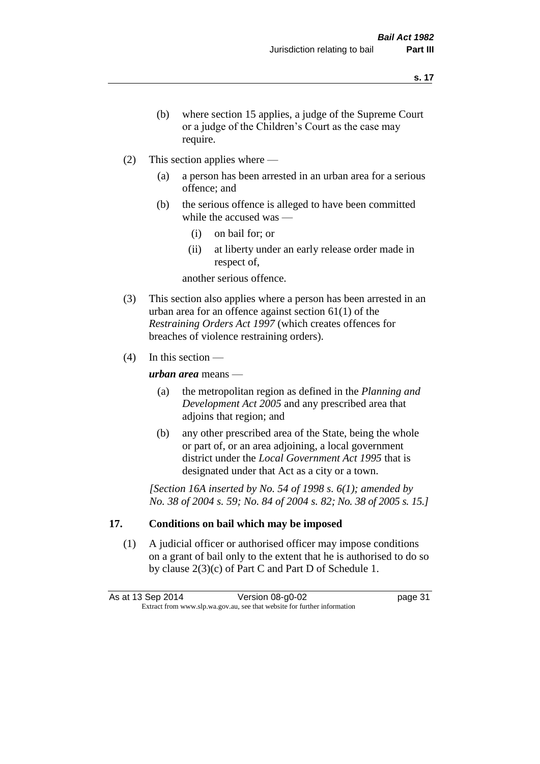- (b) where section 15 applies, a judge of the Supreme Court or a judge of the Children's Court as the case may require.
- (2) This section applies where
	- (a) a person has been arrested in an urban area for a serious offence; and
	- (b) the serious offence is alleged to have been committed while the accused was —
		- (i) on bail for; or
		- (ii) at liberty under an early release order made in respect of,

another serious offence.

- (3) This section also applies where a person has been arrested in an urban area for an offence against section 61(1) of the *Restraining Orders Act 1997* (which creates offences for breaches of violence restraining orders).
- (4) In this section —

*urban area* means —

- (a) the metropolitan region as defined in the *Planning and Development Act 2005* and any prescribed area that adjoins that region; and
- (b) any other prescribed area of the State, being the whole or part of, or an area adjoining, a local government district under the *Local Government Act 1995* that is designated under that Act as a city or a town.

*[Section 16A inserted by No. 54 of 1998 s. 6(1); amended by No. 38 of 2004 s. 59; No. 84 of 2004 s. 82; No. 38 of 2005 s. 15.]*

# **17. Conditions on bail which may be imposed**

(1) A judicial officer or authorised officer may impose conditions on a grant of bail only to the extent that he is authorised to do so by clause 2(3)(c) of Part C and Part D of Schedule 1.

As at 13 Sep 2014 Version 08-g0-02 page 31 Extract from www.slp.wa.gov.au, see that website for further information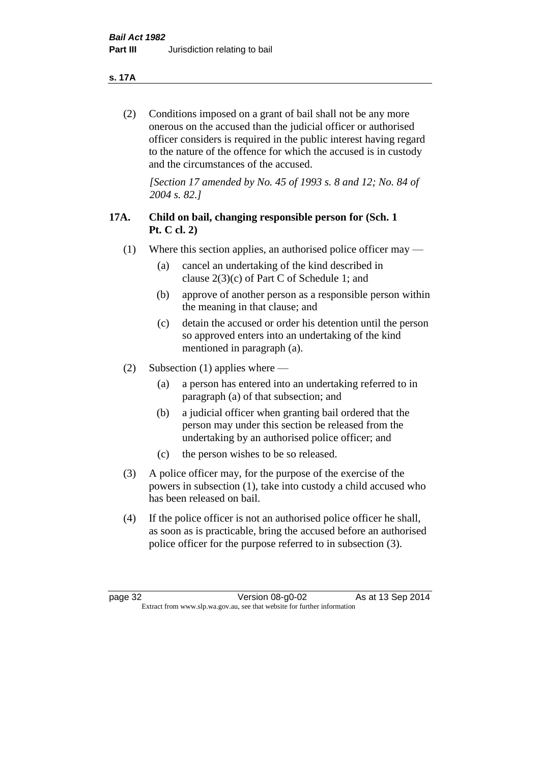**s. 17A**

(2) Conditions imposed on a grant of bail shall not be any more onerous on the accused than the judicial officer or authorised officer considers is required in the public interest having regard to the nature of the offence for which the accused is in custody and the circumstances of the accused.

*[Section 17 amended by No. 45 of 1993 s. 8 and 12; No. 84 of 2004 s. 82.]* 

# **17A. Child on bail, changing responsible person for (Sch. 1 Pt. C cl. 2)**

- (1) Where this section applies, an authorised police officer may
	- (a) cancel an undertaking of the kind described in clause 2(3)(c) of Part C of Schedule 1; and
	- (b) approve of another person as a responsible person within the meaning in that clause; and
	- (c) detain the accused or order his detention until the person so approved enters into an undertaking of the kind mentioned in paragraph (a).
- (2) Subsection (1) applies where
	- (a) a person has entered into an undertaking referred to in paragraph (a) of that subsection; and
	- (b) a judicial officer when granting bail ordered that the person may under this section be released from the undertaking by an authorised police officer; and
	- (c) the person wishes to be so released.
- (3) A police officer may, for the purpose of the exercise of the powers in subsection (1), take into custody a child accused who has been released on bail.
- (4) If the police officer is not an authorised police officer he shall, as soon as is practicable, bring the accused before an authorised police officer for the purpose referred to in subsection (3).

page 32 Version 08-g0-02 As at 13 Sep 2014 Extract from www.slp.wa.gov.au, see that website for further information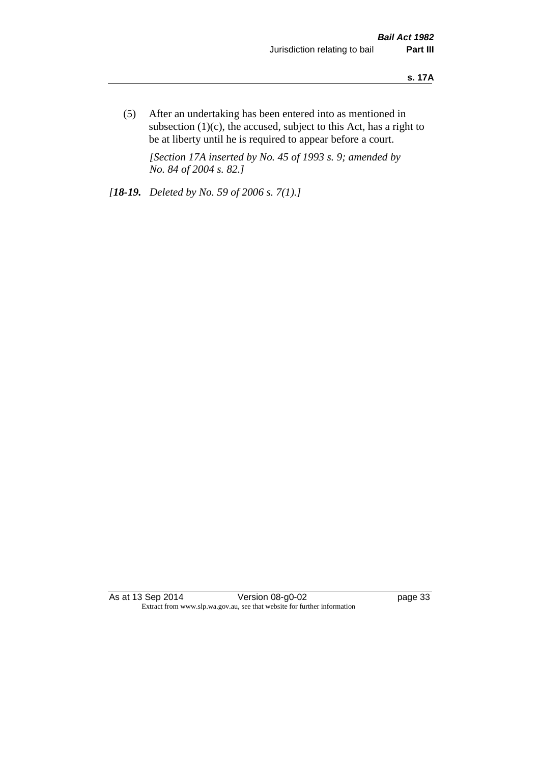(5) After an undertaking has been entered into as mentioned in subsection  $(1)(c)$ , the accused, subject to this Act, has a right to be at liberty until he is required to appear before a court.

*[Section 17A inserted by No. 45 of 1993 s. 9; amended by No. 84 of 2004 s. 82.]* 

*[18-19. Deleted by No. 59 of 2006 s. 7(1).]*

As at 13 Sep 2014 Version 08-g0-02 Page 33 Extract from www.slp.wa.gov.au, see that website for further information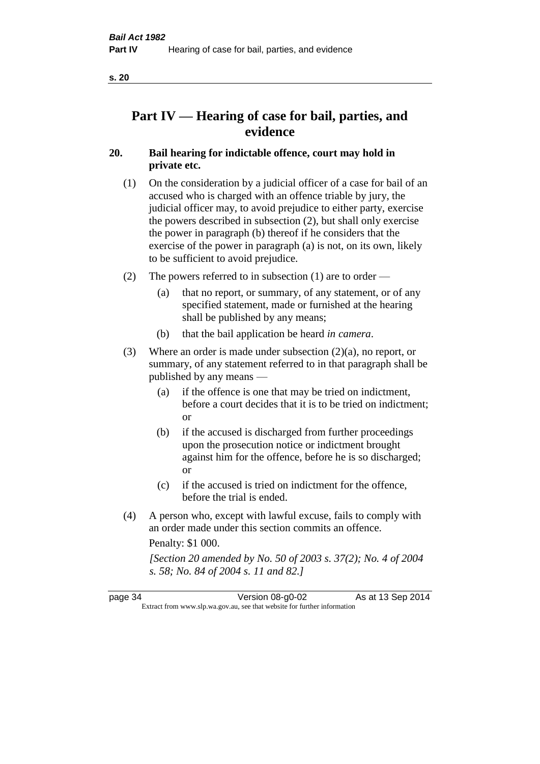# **Part IV — Hearing of case for bail, parties, and evidence**

# **20. Bail hearing for indictable offence, court may hold in private etc.**

- (1) On the consideration by a judicial officer of a case for bail of an accused who is charged with an offence triable by jury, the judicial officer may, to avoid prejudice to either party, exercise the powers described in subsection (2), but shall only exercise the power in paragraph (b) thereof if he considers that the exercise of the power in paragraph (a) is not, on its own, likely to be sufficient to avoid prejudice.
- (2) The powers referred to in subsection (1) are to order
	- (a) that no report, or summary, of any statement, or of any specified statement, made or furnished at the hearing shall be published by any means;
	- (b) that the bail application be heard *in camera*.
- (3) Where an order is made under subsection (2)(a), no report, or summary, of any statement referred to in that paragraph shall be published by any means —
	- (a) if the offence is one that may be tried on indictment, before a court decides that it is to be tried on indictment; or
	- (b) if the accused is discharged from further proceedings upon the prosecution notice or indictment brought against him for the offence, before he is so discharged; or
	- (c) if the accused is tried on indictment for the offence, before the trial is ended.
- (4) A person who, except with lawful excuse, fails to comply with an order made under this section commits an offence.

Penalty: \$1 000.

*[Section 20 amended by No. 50 of 2003 s. 37(2); No. 4 of 2004 s. 58; No. 84 of 2004 s. 11 and 82.]*

page 34 Version 08-g0-02 As at 13 Sep 2014 Extract from www.slp.wa.gov.au, see that website for further information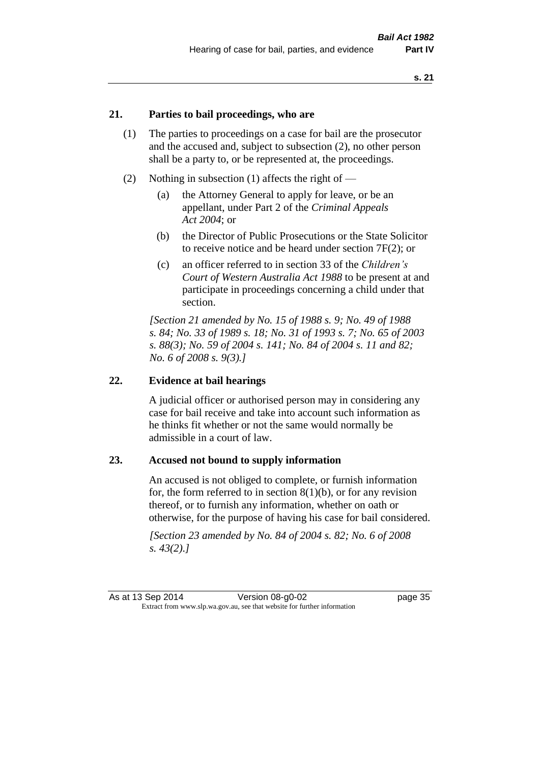## **21. Parties to bail proceedings, who are**

- (1) The parties to proceedings on a case for bail are the prosecutor and the accused and, subject to subsection (2), no other person shall be a party to, or be represented at, the proceedings.
- (2) Nothing in subsection (1) affects the right of
	- (a) the Attorney General to apply for leave, or be an appellant, under Part 2 of the *Criminal Appeals Act 2004*; or
	- (b) the Director of Public Prosecutions or the State Solicitor to receive notice and be heard under section 7F(2); or
	- (c) an officer referred to in section 33 of the *Children's Court of Western Australia Act 1988* to be present at and participate in proceedings concerning a child under that section.

*[Section 21 amended by No. 15 of 1988 s. 9; No. 49 of 1988 s. 84; No. 33 of 1989 s. 18; No. 31 of 1993 s. 7; No. 65 of 2003 s. 88(3); No. 59 of 2004 s. 141; No. 84 of 2004 s. 11 and 82; No. 6 of 2008 s. 9(3).]* 

#### **22. Evidence at bail hearings**

A judicial officer or authorised person may in considering any case for bail receive and take into account such information as he thinks fit whether or not the same would normally be admissible in a court of law.

#### **23. Accused not bound to supply information**

An accused is not obliged to complete, or furnish information for, the form referred to in section  $8(1)(b)$ , or for any revision thereof, or to furnish any information, whether on oath or otherwise, for the purpose of having his case for bail considered.

*[Section 23 amended by No. 84 of 2004 s. 82; No. 6 of 2008 s. 43(2).]*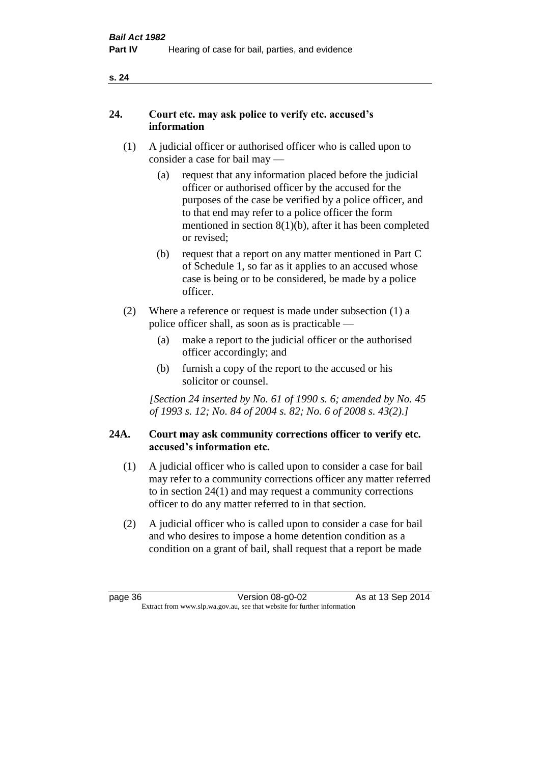| ×<br>۰.<br>. . |  |
|----------------|--|
|                |  |

# **24. Court etc. may ask police to verify etc. accused's information**

- (1) A judicial officer or authorised officer who is called upon to consider a case for bail may —
	- (a) request that any information placed before the judicial officer or authorised officer by the accused for the purposes of the case be verified by a police officer, and to that end may refer to a police officer the form mentioned in section 8(1)(b), after it has been completed or revised;
	- (b) request that a report on any matter mentioned in Part C of Schedule 1, so far as it applies to an accused whose case is being or to be considered, be made by a police officer.
- (2) Where a reference or request is made under subsection (1) a police officer shall, as soon as is practicable —
	- (a) make a report to the judicial officer or the authorised officer accordingly; and
	- (b) furnish a copy of the report to the accused or his solicitor or counsel.

*[Section 24 inserted by No. 61 of 1990 s. 6; amended by No. 45 of 1993 s. 12; No. 84 of 2004 s. 82; No. 6 of 2008 s. 43(2).]* 

# **24A. Court may ask community corrections officer to verify etc. accused's information etc.**

- (1) A judicial officer who is called upon to consider a case for bail may refer to a community corrections officer any matter referred to in section 24(1) and may request a community corrections officer to do any matter referred to in that section.
- (2) A judicial officer who is called upon to consider a case for bail and who desires to impose a home detention condition as a condition on a grant of bail, shall request that a report be made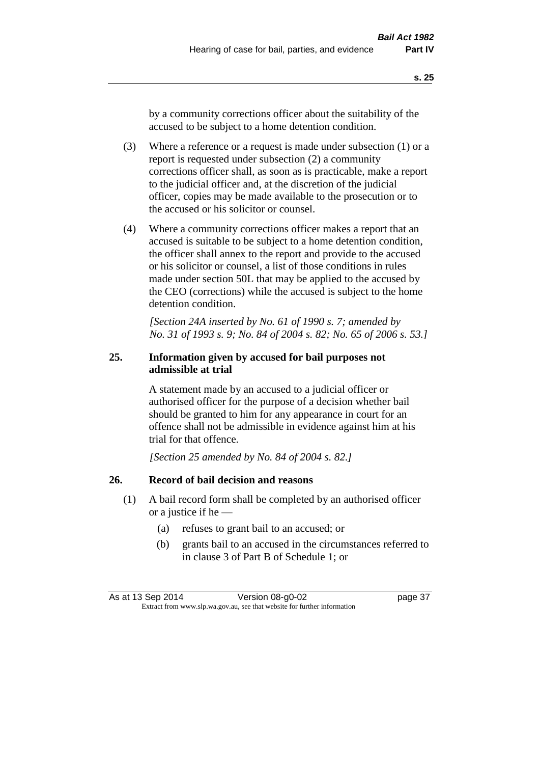by a community corrections officer about the suitability of the accused to be subject to a home detention condition.

- (3) Where a reference or a request is made under subsection (1) or a report is requested under subsection (2) a community corrections officer shall, as soon as is practicable, make a report to the judicial officer and, at the discretion of the judicial officer, copies may be made available to the prosecution or to the accused or his solicitor or counsel.
- (4) Where a community corrections officer makes a report that an accused is suitable to be subject to a home detention condition, the officer shall annex to the report and provide to the accused or his solicitor or counsel, a list of those conditions in rules made under section 50L that may be applied to the accused by the CEO (corrections) while the accused is subject to the home detention condition.

*[Section 24A inserted by No. 61 of 1990 s. 7; amended by No. 31 of 1993 s. 9; No. 84 of 2004 s. 82; No. 65 of 2006 s. 53.]* 

# **25. Information given by accused for bail purposes not admissible at trial**

A statement made by an accused to a judicial officer or authorised officer for the purpose of a decision whether bail should be granted to him for any appearance in court for an offence shall not be admissible in evidence against him at his trial for that offence.

*[Section 25 amended by No. 84 of 2004 s. 82.]* 

# **26. Record of bail decision and reasons**

- (1) A bail record form shall be completed by an authorised officer or a justice if he —
	- (a) refuses to grant bail to an accused; or
	- (b) grants bail to an accused in the circumstances referred to in clause 3 of Part B of Schedule 1; or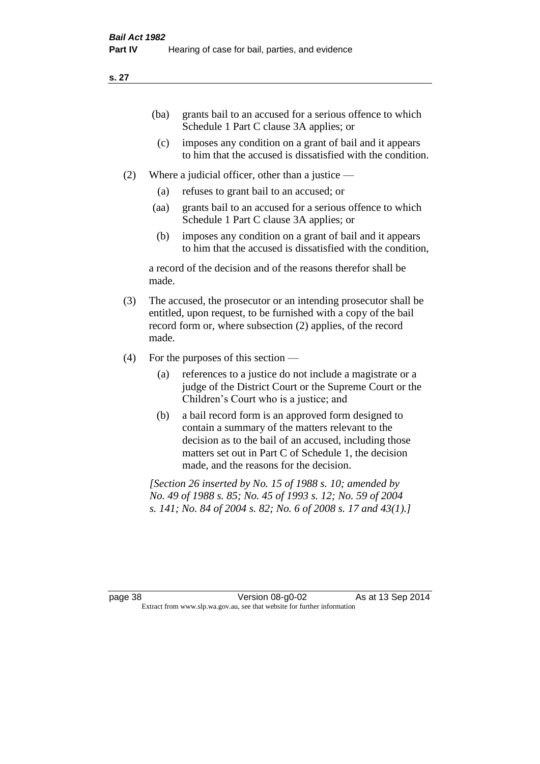| (ba) | grants bail to an accused for a serious offence to which |
|------|----------------------------------------------------------|
|      | Schedule 1 Part C clause 3A applies; or                  |

- (c) imposes any condition on a grant of bail and it appears to him that the accused is dissatisfied with the condition.
- (2) Where a judicial officer, other than a justice
	- (a) refuses to grant bail to an accused; or
	- (aa) grants bail to an accused for a serious offence to which Schedule 1 Part C clause 3A applies; or
	- (b) imposes any condition on a grant of bail and it appears to him that the accused is dissatisfied with the condition,

a record of the decision and of the reasons therefor shall be made.

- (3) The accused, the prosecutor or an intending prosecutor shall be entitled, upon request, to be furnished with a copy of the bail record form or, where subsection (2) applies, of the record made.
- (4) For the purposes of this section
	- (a) references to a justice do not include a magistrate or a judge of the District Court or the Supreme Court or the Children's Court who is a justice; and
	- (b) a bail record form is an approved form designed to contain a summary of the matters relevant to the decision as to the bail of an accused, including those matters set out in Part C of Schedule 1, the decision made, and the reasons for the decision.

*[Section 26 inserted by No. 15 of 1988 s. 10; amended by No. 49 of 1988 s. 85; No. 45 of 1993 s. 12; No. 59 of 2004 s. 141; No. 84 of 2004 s. 82; No. 6 of 2008 s. 17 and 43(1).]* 

page 38 Version 08-g0-02 As at 13 Sep 2014 Extract from www.slp.wa.gov.au, see that website for further information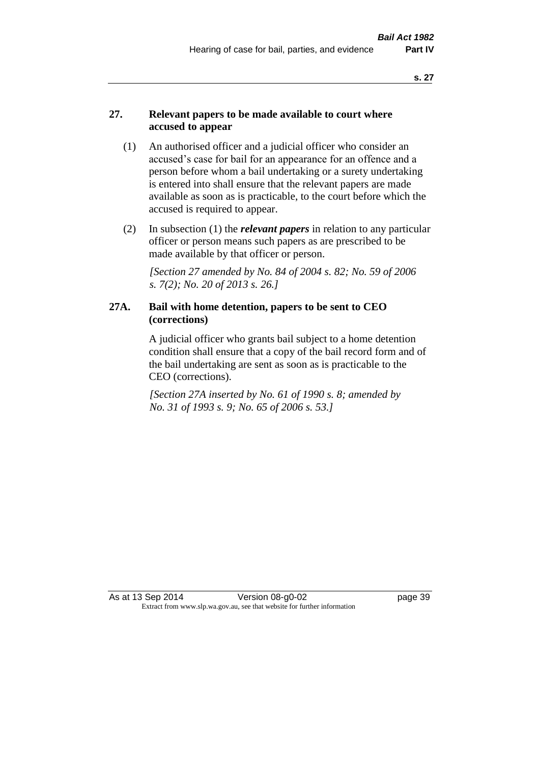# **27. Relevant papers to be made available to court where accused to appear**

- (1) An authorised officer and a judicial officer who consider an accused's case for bail for an appearance for an offence and a person before whom a bail undertaking or a surety undertaking is entered into shall ensure that the relevant papers are made available as soon as is practicable, to the court before which the accused is required to appear.
- (2) In subsection (1) the *relevant papers* in relation to any particular officer or person means such papers as are prescribed to be made available by that officer or person.

*[Section 27 amended by No. 84 of 2004 s. 82; No. 59 of 2006 s. 7(2); No. 20 of 2013 s. 26.]* 

# **27A. Bail with home detention, papers to be sent to CEO (corrections)**

A judicial officer who grants bail subject to a home detention condition shall ensure that a copy of the bail record form and of the bail undertaking are sent as soon as is practicable to the CEO (corrections).

*[Section 27A inserted by No. 61 of 1990 s. 8; amended by No. 31 of 1993 s. 9; No. 65 of 2006 s. 53.]*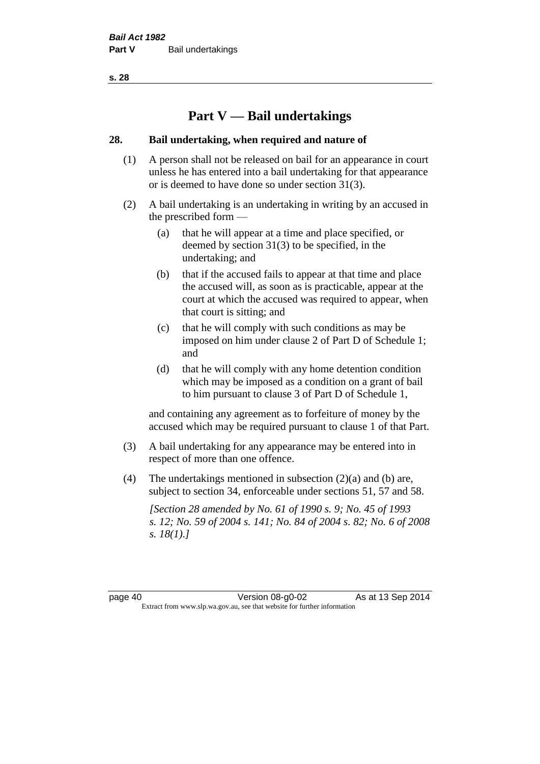# **Part V — Bail undertakings**

#### **28. Bail undertaking, when required and nature of**

- (1) A person shall not be released on bail for an appearance in court unless he has entered into a bail undertaking for that appearance or is deemed to have done so under section 31(3).
- (2) A bail undertaking is an undertaking in writing by an accused in the prescribed form —
	- (a) that he will appear at a time and place specified, or deemed by section 31(3) to be specified, in the undertaking; and
	- (b) that if the accused fails to appear at that time and place the accused will, as soon as is practicable, appear at the court at which the accused was required to appear, when that court is sitting; and
	- (c) that he will comply with such conditions as may be imposed on him under clause 2 of Part D of Schedule 1; and
	- (d) that he will comply with any home detention condition which may be imposed as a condition on a grant of bail to him pursuant to clause 3 of Part D of Schedule 1,

and containing any agreement as to forfeiture of money by the accused which may be required pursuant to clause 1 of that Part.

- (3) A bail undertaking for any appearance may be entered into in respect of more than one offence.
- (4) The undertakings mentioned in subsection  $(2)(a)$  and  $(b)$  are, subject to section 34, enforceable under sections 51, 57 and 58.

*[Section 28 amended by No. 61 of 1990 s. 9; No. 45 of 1993 s. 12; No. 59 of 2004 s. 141; No. 84 of 2004 s. 82; No. 6 of 2008 s. 18(1).]*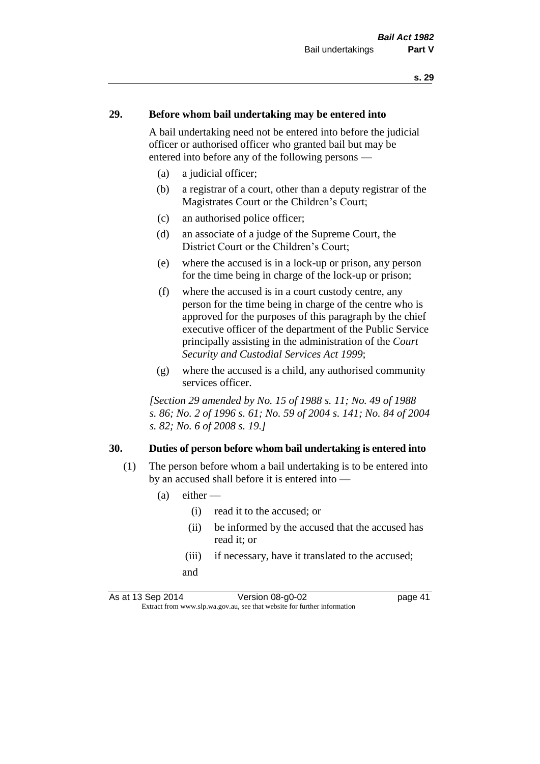#### **29. Before whom bail undertaking may be entered into**

A bail undertaking need not be entered into before the judicial officer or authorised officer who granted bail but may be entered into before any of the following persons —

- (a) a judicial officer;
- (b) a registrar of a court, other than a deputy registrar of the Magistrates Court or the Children's Court;
- (c) an authorised police officer;
- (d) an associate of a judge of the Supreme Court, the District Court or the Children's Court;
- (e) where the accused is in a lock-up or prison, any person for the time being in charge of the lock-up or prison;
- (f) where the accused is in a court custody centre, any person for the time being in charge of the centre who is approved for the purposes of this paragraph by the chief executive officer of the department of the Public Service principally assisting in the administration of the *Court Security and Custodial Services Act 1999*;
- (g) where the accused is a child, any authorised community services officer.

*[Section 29 amended by No. 15 of 1988 s. 11; No. 49 of 1988 s. 86; No. 2 of 1996 s. 61; No. 59 of 2004 s. 141; No. 84 of 2004 s. 82; No. 6 of 2008 s. 19.]* 

#### **30. Duties of person before whom bail undertaking is entered into**

- (1) The person before whom a bail undertaking is to be entered into by an accused shall before it is entered into —
	- $(a)$  either
		- (i) read it to the accused; or
		- (ii) be informed by the accused that the accused has read it; or
		- (iii) if necessary, have it translated to the accused; and

As at 13 Sep 2014 Version 08-g0-02 page 41 Extract from www.slp.wa.gov.au, see that website for further information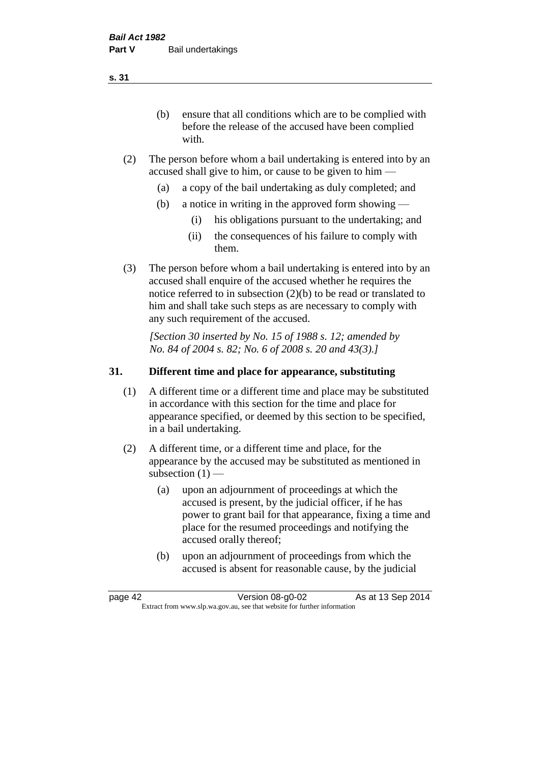(b) ensure that all conditions which are to be complied with before the release of the accused have been complied with.

- (2) The person before whom a bail undertaking is entered into by an accused shall give to him, or cause to be given to him —
	- (a) a copy of the bail undertaking as duly completed; and
	- (b) a notice in writing in the approved form showing
		- (i) his obligations pursuant to the undertaking; and
		- (ii) the consequences of his failure to comply with them.
- (3) The person before whom a bail undertaking is entered into by an accused shall enquire of the accused whether he requires the notice referred to in subsection (2)(b) to be read or translated to him and shall take such steps as are necessary to comply with any such requirement of the accused.

*[Section 30 inserted by No. 15 of 1988 s. 12; amended by No. 84 of 2004 s. 82; No. 6 of 2008 s. 20 and 43(3).]* 

# **31. Different time and place for appearance, substituting**

- (1) A different time or a different time and place may be substituted in accordance with this section for the time and place for appearance specified, or deemed by this section to be specified, in a bail undertaking.
- (2) A different time, or a different time and place, for the appearance by the accused may be substituted as mentioned in subsection  $(1)$  —
	- (a) upon an adjournment of proceedings at which the accused is present, by the judicial officer, if he has power to grant bail for that appearance, fixing a time and place for the resumed proceedings and notifying the accused orally thereof;
	- (b) upon an adjournment of proceedings from which the accused is absent for reasonable cause, by the judicial

page 42 Version 08-g0-02 As at 13 Sep 2014 Extract from www.slp.wa.gov.au, see that website for further information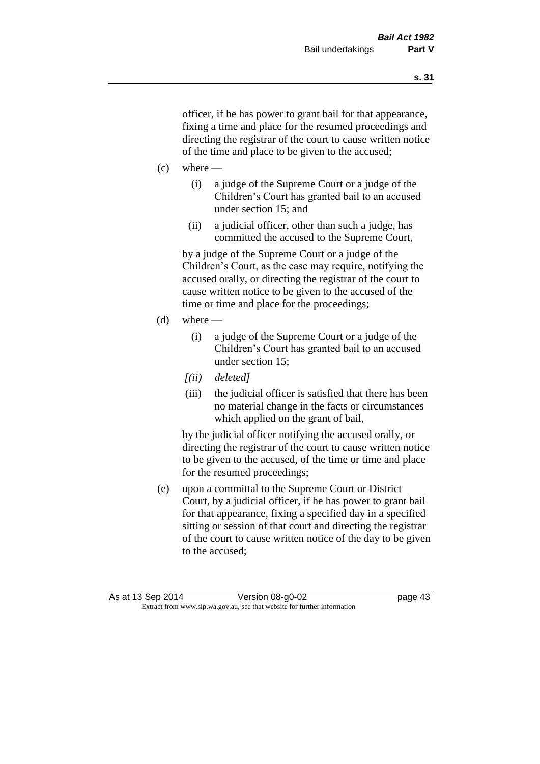officer, if he has power to grant bail for that appearance, fixing a time and place for the resumed proceedings and directing the registrar of the court to cause written notice of the time and place to be given to the accused;

- $(c)$  where
	- (i) a judge of the Supreme Court or a judge of the Children's Court has granted bail to an accused under section 15; and
	- (ii) a judicial officer, other than such a judge, has committed the accused to the Supreme Court,

by a judge of the Supreme Court or a judge of the Children's Court, as the case may require, notifying the accused orally, or directing the registrar of the court to cause written notice to be given to the accused of the time or time and place for the proceedings;

- $(d)$  where
	- (i) a judge of the Supreme Court or a judge of the Children's Court has granted bail to an accused under section 15;
	- *[(ii) deleted]*
	- (iii) the judicial officer is satisfied that there has been no material change in the facts or circumstances which applied on the grant of bail,

by the judicial officer notifying the accused orally, or directing the registrar of the court to cause written notice to be given to the accused, of the time or time and place for the resumed proceedings;

(e) upon a committal to the Supreme Court or District Court, by a judicial officer, if he has power to grant bail for that appearance, fixing a specified day in a specified sitting or session of that court and directing the registrar of the court to cause written notice of the day to be given to the accused;

As at 13 Sep 2014 Version 08-g0-02 page 43 Extract from www.slp.wa.gov.au, see that website for further information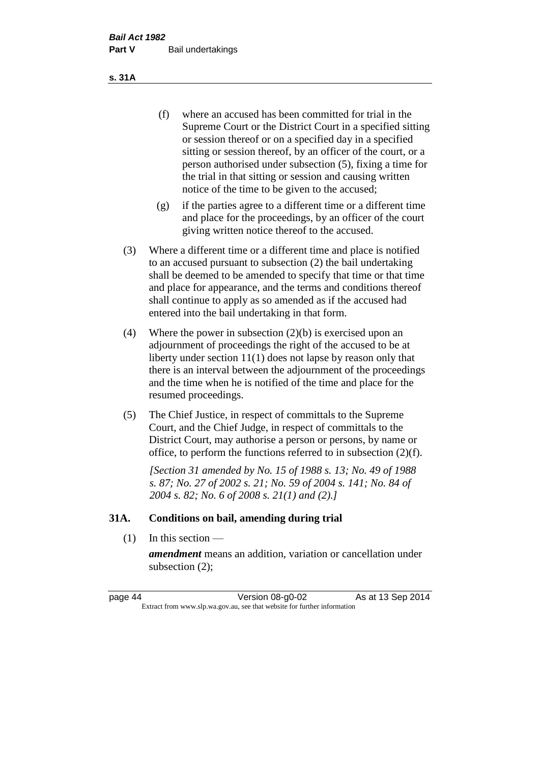- (f) where an accused has been committed for trial in the Supreme Court or the District Court in a specified sitting or session thereof or on a specified day in a specified sitting or session thereof, by an officer of the court, or a person authorised under subsection (5), fixing a time for the trial in that sitting or session and causing written notice of the time to be given to the accused;
- (g) if the parties agree to a different time or a different time and place for the proceedings, by an officer of the court giving written notice thereof to the accused.
- (3) Where a different time or a different time and place is notified to an accused pursuant to subsection (2) the bail undertaking shall be deemed to be amended to specify that time or that time and place for appearance, and the terms and conditions thereof shall continue to apply as so amended as if the accused had entered into the bail undertaking in that form.
- (4) Where the power in subsection (2)(b) is exercised upon an adjournment of proceedings the right of the accused to be at liberty under section 11(1) does not lapse by reason only that there is an interval between the adjournment of the proceedings and the time when he is notified of the time and place for the resumed proceedings.
- (5) The Chief Justice, in respect of committals to the Supreme Court, and the Chief Judge, in respect of committals to the District Court, may authorise a person or persons, by name or office, to perform the functions referred to in subsection (2)(f).

*[Section 31 amended by No. 15 of 1988 s. 13; No. 49 of 1988 s. 87; No. 27 of 2002 s. 21; No. 59 of 2004 s. 141; No. 84 of 2004 s. 82; No. 6 of 2008 s. 21(1) and (2).]* 

#### **31A. Conditions on bail, amending during trial**

(1) In this section —

*amendment* means an addition, variation or cancellation under subsection (2);

page 44 Version 08-g0-02 As at 13 Sep 2014 Extract from www.slp.wa.gov.au, see that website for further information

**s. 31A**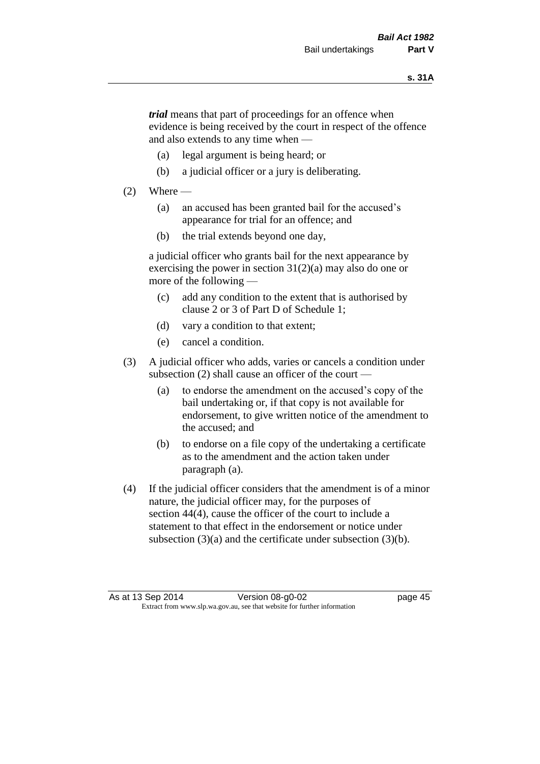*trial* means that part of proceedings for an offence when evidence is being received by the court in respect of the offence and also extends to any time when —

- (a) legal argument is being heard; or
- (b) a judicial officer or a jury is deliberating.

#### $(2)$  Where —

- (a) an accused has been granted bail for the accused's appearance for trial for an offence; and
- (b) the trial extends beyond one day,

a judicial officer who grants bail for the next appearance by exercising the power in section  $31(2)(a)$  may also do one or more of the following —

- (c) add any condition to the extent that is authorised by clause 2 or 3 of Part D of Schedule 1;
- (d) vary a condition to that extent;
- (e) cancel a condition.
- (3) A judicial officer who adds, varies or cancels a condition under subsection (2) shall cause an officer of the court —
	- (a) to endorse the amendment on the accused's copy of the bail undertaking or, if that copy is not available for endorsement, to give written notice of the amendment to the accused; and
	- (b) to endorse on a file copy of the undertaking a certificate as to the amendment and the action taken under paragraph (a).
- (4) If the judicial officer considers that the amendment is of a minor nature, the judicial officer may, for the purposes of section 44(4), cause the officer of the court to include a statement to that effect in the endorsement or notice under subsection (3)(a) and the certificate under subsection (3)(b).

As at 13 Sep 2014 Version 08-g0-02 Page 45 Extract from www.slp.wa.gov.au, see that website for further information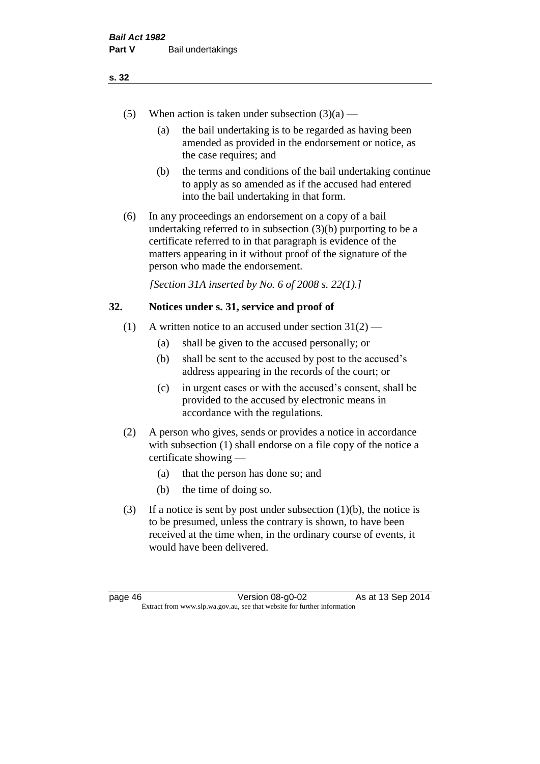- (5) When action is taken under subsection  $(3)(a)$ 
	- (a) the bail undertaking is to be regarded as having been amended as provided in the endorsement or notice, as the case requires; and
	- (b) the terms and conditions of the bail undertaking continue to apply as so amended as if the accused had entered into the bail undertaking in that form.
- (6) In any proceedings an endorsement on a copy of a bail undertaking referred to in subsection (3)(b) purporting to be a certificate referred to in that paragraph is evidence of the matters appearing in it without proof of the signature of the person who made the endorsement.

*[Section 31A inserted by No. 6 of 2008 s. 22(1).]*

# **32. Notices under s. 31, service and proof of**

- (1) A written notice to an accused under section  $31(2)$ 
	- (a) shall be given to the accused personally; or
	- (b) shall be sent to the accused by post to the accused's address appearing in the records of the court; or
	- (c) in urgent cases or with the accused's consent, shall be provided to the accused by electronic means in accordance with the regulations.
- (2) A person who gives, sends or provides a notice in accordance with subsection (1) shall endorse on a file copy of the notice a certificate showing —
	- (a) that the person has done so; and
	- (b) the time of doing so.
- (3) If a notice is sent by post under subsection  $(1)(b)$ , the notice is to be presumed, unless the contrary is shown, to have been received at the time when, in the ordinary course of events, it would have been delivered.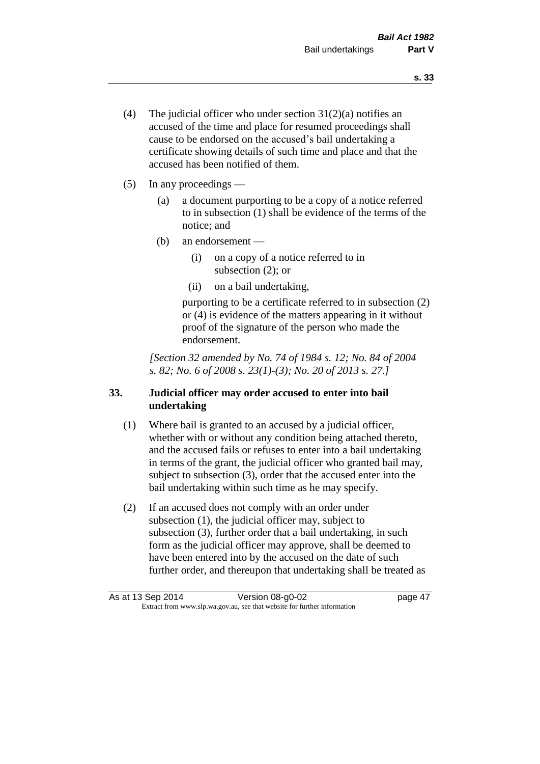- (4) The judicial officer who under section  $31(2)(a)$  notifies an accused of the time and place for resumed proceedings shall cause to be endorsed on the accused's bail undertaking a certificate showing details of such time and place and that the accused has been notified of them.
- (5) In any proceedings
	- (a) a document purporting to be a copy of a notice referred to in subsection (1) shall be evidence of the terms of the notice; and
	- (b) an endorsement
		- (i) on a copy of a notice referred to in subsection (2); or
		- (ii) on a bail undertaking,

purporting to be a certificate referred to in subsection (2) or (4) is evidence of the matters appearing in it without proof of the signature of the person who made the endorsement.

*[Section 32 amended by No. 74 of 1984 s. 12; No. 84 of 2004 s. 82; No. 6 of 2008 s. 23(1)-(3); No. 20 of 2013 s. 27.]* 

# **33. Judicial officer may order accused to enter into bail undertaking**

- (1) Where bail is granted to an accused by a judicial officer, whether with or without any condition being attached thereto, and the accused fails or refuses to enter into a bail undertaking in terms of the grant, the judicial officer who granted bail may, subject to subsection (3), order that the accused enter into the bail undertaking within such time as he may specify.
- (2) If an accused does not comply with an order under subsection (1), the judicial officer may, subject to subsection (3), further order that a bail undertaking, in such form as the judicial officer may approve, shall be deemed to have been entered into by the accused on the date of such further order, and thereupon that undertaking shall be treated as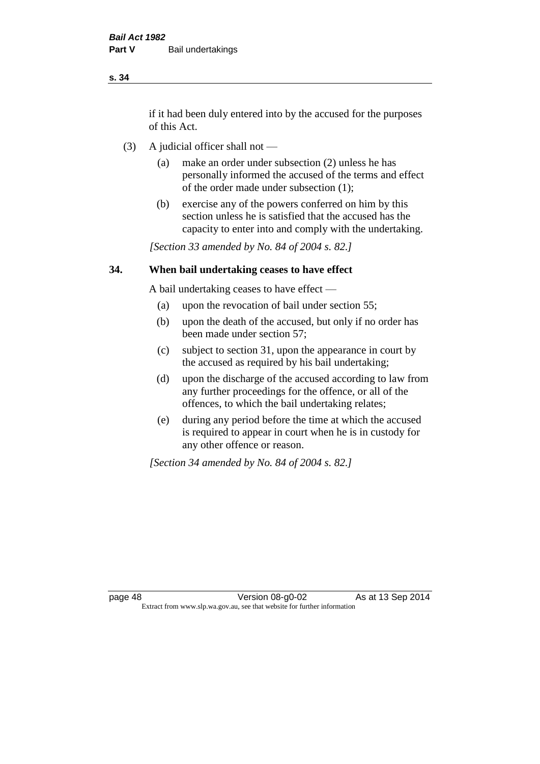if it had been duly entered into by the accused for the purposes of this Act.

- (3) A judicial officer shall not
	- (a) make an order under subsection (2) unless he has personally informed the accused of the terms and effect of the order made under subsection (1);
	- (b) exercise any of the powers conferred on him by this section unless he is satisfied that the accused has the capacity to enter into and comply with the undertaking.

*[Section 33 amended by No. 84 of 2004 s. 82.]* 

#### **34. When bail undertaking ceases to have effect**

A bail undertaking ceases to have effect —

- (a) upon the revocation of bail under section 55;
- (b) upon the death of the accused, but only if no order has been made under section 57;
- (c) subject to section 31, upon the appearance in court by the accused as required by his bail undertaking;
- (d) upon the discharge of the accused according to law from any further proceedings for the offence, or all of the offences, to which the bail undertaking relates;
- (e) during any period before the time at which the accused is required to appear in court when he is in custody for any other offence or reason.

*[Section 34 amended by No. 84 of 2004 s. 82.]* 

page 48 Version 08-g0-02 As at 13 Sep 2014 Extract from www.slp.wa.gov.au, see that website for further information

**s. 34**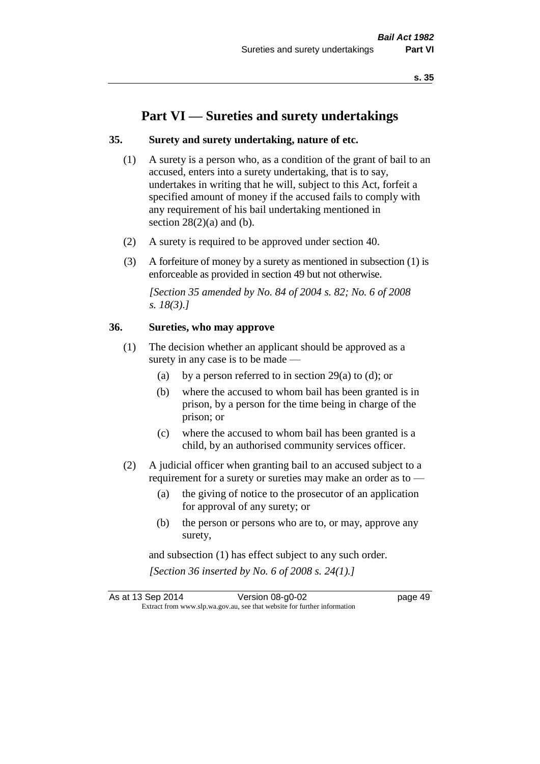# **Part VI — Sureties and surety undertakings**

#### **35. Surety and surety undertaking, nature of etc.**

- (1) A surety is a person who, as a condition of the grant of bail to an accused, enters into a surety undertaking, that is to say, undertakes in writing that he will, subject to this Act, forfeit a specified amount of money if the accused fails to comply with any requirement of his bail undertaking mentioned in section  $28(2)(a)$  and (b).
- (2) A surety is required to be approved under section 40.
- (3) A forfeiture of money by a surety as mentioned in subsection (1) is enforceable as provided in section 49 but not otherwise.

*[Section 35 amended by No. 84 of 2004 s. 82; No. 6 of 2008 s. 18(3).]* 

## **36. Sureties, who may approve**

- (1) The decision whether an applicant should be approved as a surety in any case is to be made —
	- (a) by a person referred to in section 29(a) to (d); or
	- (b) where the accused to whom bail has been granted is in prison, by a person for the time being in charge of the prison; or
	- (c) where the accused to whom bail has been granted is a child, by an authorised community services officer.
- (2) A judicial officer when granting bail to an accused subject to a requirement for a surety or sureties may make an order as to —
	- (a) the giving of notice to the prosecutor of an application for approval of any surety; or
	- (b) the person or persons who are to, or may, approve any surety,

and subsection (1) has effect subject to any such order. *[Section 36 inserted by No. 6 of 2008 s. 24(1).]*

As at 13 Sep 2014 Version 08-g0-02 page 49 Extract from www.slp.wa.gov.au, see that website for further information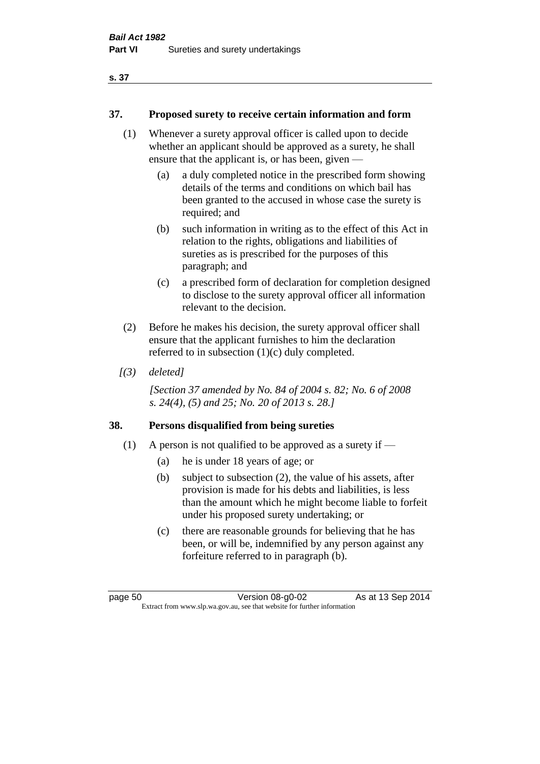#### **37. Proposed surety to receive certain information and form**

- (1) Whenever a surety approval officer is called upon to decide whether an applicant should be approved as a surety, he shall ensure that the applicant is, or has been, given —
	- (a) a duly completed notice in the prescribed form showing details of the terms and conditions on which bail has been granted to the accused in whose case the surety is required; and
	- (b) such information in writing as to the effect of this Act in relation to the rights, obligations and liabilities of sureties as is prescribed for the purposes of this paragraph; and
	- (c) a prescribed form of declaration for completion designed to disclose to the surety approval officer all information relevant to the decision.
- (2) Before he makes his decision, the surety approval officer shall ensure that the applicant furnishes to him the declaration referred to in subsection (1)(c) duly completed.
- *[(3) deleted]*

*[Section 37 amended by No. 84 of 2004 s. 82; No. 6 of 2008 s. 24(4), (5) and 25; No. 20 of 2013 s. 28.]* 

#### **38. Persons disqualified from being sureties**

- (1) A person is not qualified to be approved as a surety if  $-$ 
	- (a) he is under 18 years of age; or
	- (b) subject to subsection (2), the value of his assets, after provision is made for his debts and liabilities, is less than the amount which he might become liable to forfeit under his proposed surety undertaking; or
	- (c) there are reasonable grounds for believing that he has been, or will be, indemnified by any person against any forfeiture referred to in paragraph (b).

page 50 Version 08-g0-02 As at 13 Sep 2014 Extract from www.slp.wa.gov.au, see that website for further information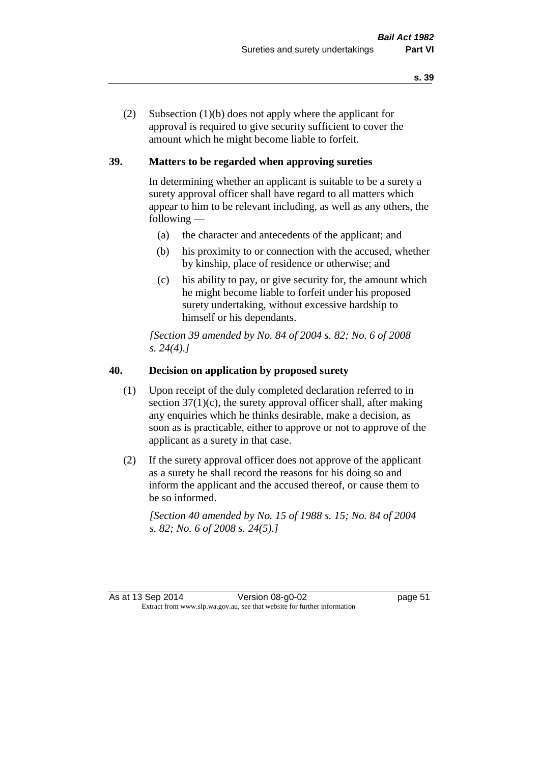(2) Subsection (1)(b) does not apply where the applicant for approval is required to give security sufficient to cover the amount which he might become liable to forfeit.

#### **39. Matters to be regarded when approving sureties**

In determining whether an applicant is suitable to be a surety a surety approval officer shall have regard to all matters which appear to him to be relevant including, as well as any others, the following —

- (a) the character and antecedents of the applicant; and
- (b) his proximity to or connection with the accused, whether by kinship, place of residence or otherwise; and
- (c) his ability to pay, or give security for, the amount which he might become liable to forfeit under his proposed surety undertaking, without excessive hardship to himself or his dependants.

*[Section 39 amended by No. 84 of 2004 s. 82; No. 6 of 2008 s. 24(4).]* 

#### **40. Decision on application by proposed surety**

- (1) Upon receipt of the duly completed declaration referred to in section  $37(1)(c)$ , the surety approval officer shall, after making any enquiries which he thinks desirable, make a decision, as soon as is practicable, either to approve or not to approve of the applicant as a surety in that case.
- (2) If the surety approval officer does not approve of the applicant as a surety he shall record the reasons for his doing so and inform the applicant and the accused thereof, or cause them to be so informed.

*[Section 40 amended by No. 15 of 1988 s. 15; No. 84 of 2004 s. 82; No. 6 of 2008 s. 24(5).]* 

As at 13 Sep 2014 Version 08-g0-02 page 51 Extract from www.slp.wa.gov.au, see that website for further information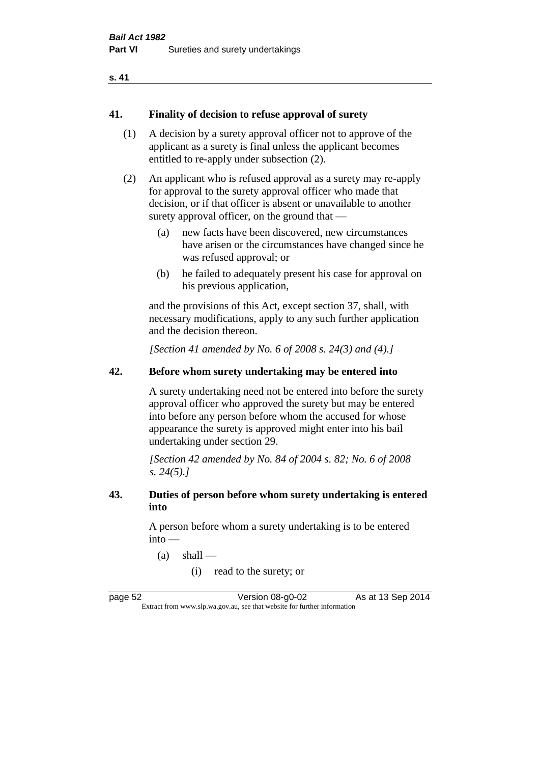#### **41. Finality of decision to refuse approval of surety**

- (1) A decision by a surety approval officer not to approve of the applicant as a surety is final unless the applicant becomes entitled to re-apply under subsection (2).
- (2) An applicant who is refused approval as a surety may re-apply for approval to the surety approval officer who made that decision, or if that officer is absent or unavailable to another surety approval officer, on the ground that —
	- (a) new facts have been discovered, new circumstances have arisen or the circumstances have changed since he was refused approval; or
	- (b) he failed to adequately present his case for approval on his previous application,

and the provisions of this Act, except section 37, shall, with necessary modifications, apply to any such further application and the decision thereon.

*[Section 41 amended by No. 6 of 2008 s. 24(3) and (4).]*

# **42. Before whom surety undertaking may be entered into**

A surety undertaking need not be entered into before the surety approval officer who approved the surety but may be entered into before any person before whom the accused for whose appearance the surety is approved might enter into his bail undertaking under section 29.

*[Section 42 amended by No. 84 of 2004 s. 82; No. 6 of 2008 s. 24(5).]* 

#### **43. Duties of person before whom surety undertaking is entered into**

A person before whom a surety undertaking is to be entered into —

 $(a)$  shall —

(i) read to the surety; or

page 52 Version 08-g0-02 As at 13 Sep 2014 Extract from www.slp.wa.gov.au, see that website for further information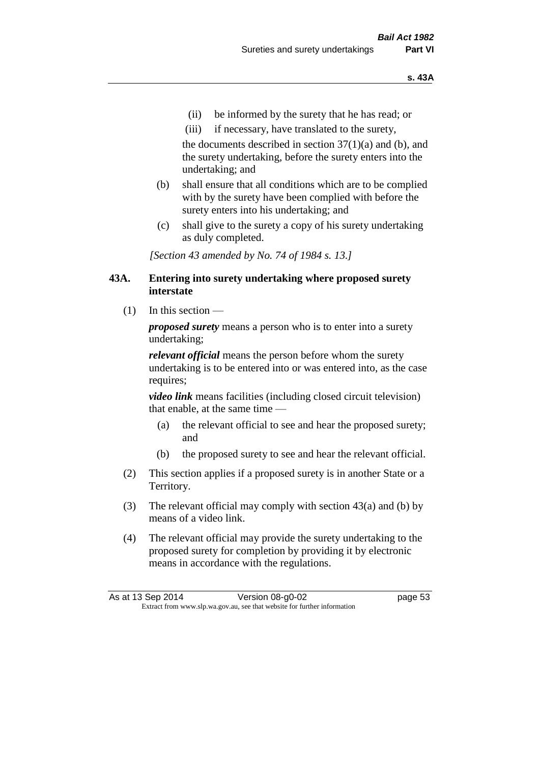- (ii) be informed by the surety that he has read; or
- (iii) if necessary, have translated to the surety,

the documents described in section  $37(1)(a)$  and (b), and the surety undertaking, before the surety enters into the undertaking; and

- (b) shall ensure that all conditions which are to be complied with by the surety have been complied with before the surety enters into his undertaking; and
- (c) shall give to the surety a copy of his surety undertaking as duly completed.

*[Section 43 amended by No. 74 of 1984 s. 13.]* 

#### **43A. Entering into surety undertaking where proposed surety interstate**

 $(1)$  In this section —

*proposed surety* means a person who is to enter into a surety undertaking;

*relevant official* means the person before whom the surety undertaking is to be entered into or was entered into, as the case requires;

*video link* means facilities (including closed circuit television) that enable, at the same time —

- (a) the relevant official to see and hear the proposed surety; and
- (b) the proposed surety to see and hear the relevant official.
- (2) This section applies if a proposed surety is in another State or a Territory.
- (3) The relevant official may comply with section 43(a) and (b) by means of a video link.
- (4) The relevant official may provide the surety undertaking to the proposed surety for completion by providing it by electronic means in accordance with the regulations.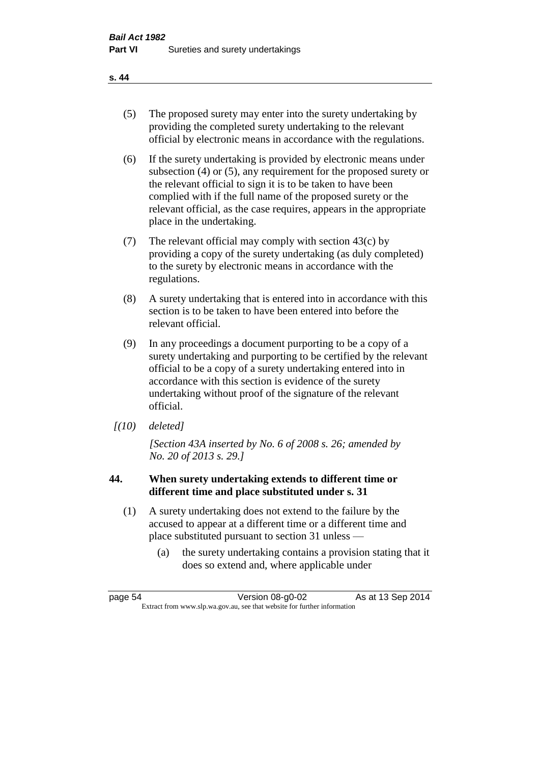(5) The proposed surety may enter into the surety undertaking by providing the completed surety undertaking to the relevant official by electronic means in accordance with the regulations.

- (6) If the surety undertaking is provided by electronic means under subsection (4) or (5), any requirement for the proposed surety or the relevant official to sign it is to be taken to have been complied with if the full name of the proposed surety or the relevant official, as the case requires, appears in the appropriate place in the undertaking.
- (7) The relevant official may comply with section 43(c) by providing a copy of the surety undertaking (as duly completed) to the surety by electronic means in accordance with the regulations.
- (8) A surety undertaking that is entered into in accordance with this section is to be taken to have been entered into before the relevant official.
- (9) In any proceedings a document purporting to be a copy of a surety undertaking and purporting to be certified by the relevant official to be a copy of a surety undertaking entered into in accordance with this section is evidence of the surety undertaking without proof of the signature of the relevant official.
- *[(10) deleted]*

*[Section 43A inserted by No. 6 of 2008 s. 26; amended by No. 20 of 2013 s. 29.]*

# **44. When surety undertaking extends to different time or different time and place substituted under s. 31**

- (1) A surety undertaking does not extend to the failure by the accused to appear at a different time or a different time and place substituted pursuant to section 31 unless —
	- (a) the surety undertaking contains a provision stating that it does so extend and, where applicable under

| page 54                                                                  | Version 08-g0-02 | As at 13 Sep 2014 |
|--------------------------------------------------------------------------|------------------|-------------------|
| Extract from www.slp.wa.gov.au, see that website for further information |                  |                   |

#### **s. 44**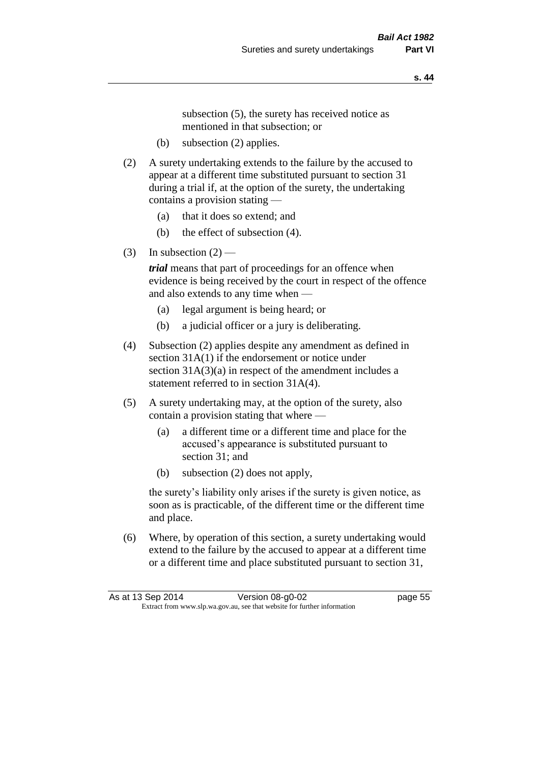subsection (5), the surety has received notice as mentioned in that subsection; or

- (b) subsection (2) applies.
- (2) A surety undertaking extends to the failure by the accused to appear at a different time substituted pursuant to section 31 during a trial if, at the option of the surety, the undertaking contains a provision stating —
	- (a) that it does so extend; and
	- (b) the effect of subsection (4).
- (3) In subsection  $(2)$  —

*trial* means that part of proceedings for an offence when evidence is being received by the court in respect of the offence and also extends to any time when —

- (a) legal argument is being heard; or
- (b) a judicial officer or a jury is deliberating.
- (4) Subsection (2) applies despite any amendment as defined in section 31A(1) if the endorsement or notice under section 31A(3)(a) in respect of the amendment includes a statement referred to in section 31A(4).
- (5) A surety undertaking may, at the option of the surety, also contain a provision stating that where —
	- (a) a different time or a different time and place for the accused's appearance is substituted pursuant to section 31; and
	- (b) subsection (2) does not apply,

the surety's liability only arises if the surety is given notice, as soon as is practicable, of the different time or the different time and place.

(6) Where, by operation of this section, a surety undertaking would extend to the failure by the accused to appear at a different time or a different time and place substituted pursuant to section 31,

| As at 13 Sep 2014 | Version 08-g0-02                                                         | page 55 |
|-------------------|--------------------------------------------------------------------------|---------|
|                   | Extract from www.slp.wa.gov.au, see that website for further information |         |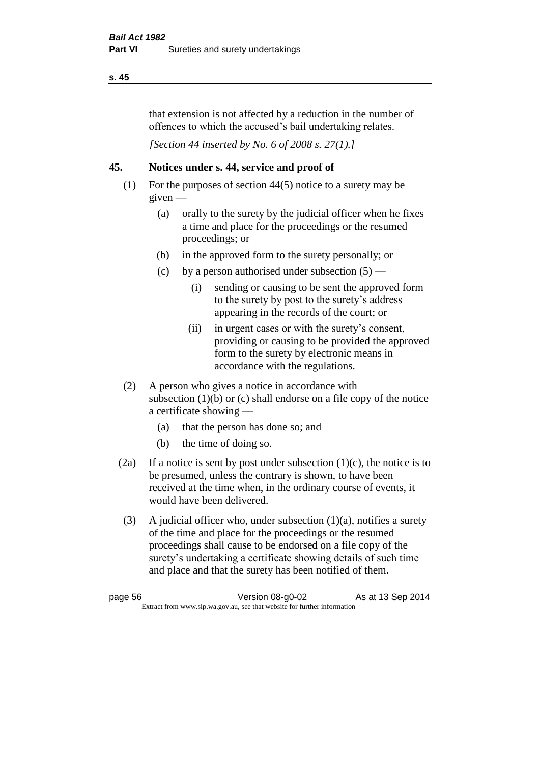that extension is not affected by a reduction in the number of offences to which the accused's bail undertaking relates.

*[Section 44 inserted by No. 6 of 2008 s. 27(1).]*

## **45. Notices under s. 44, service and proof of**

- (1) For the purposes of section 44(5) notice to a surety may be given —
	- (a) orally to the surety by the judicial officer when he fixes a time and place for the proceedings or the resumed proceedings; or
	- (b) in the approved form to the surety personally; or
	- (c) by a person authorised under subsection  $(5)$ 
		- (i) sending or causing to be sent the approved form to the surety by post to the surety's address appearing in the records of the court; or
		- (ii) in urgent cases or with the surety's consent, providing or causing to be provided the approved form to the surety by electronic means in accordance with the regulations.
- (2) A person who gives a notice in accordance with subsection  $(1)(b)$  or  $(c)$  shall endorse on a file copy of the notice a certificate showing —
	- (a) that the person has done so; and
	- (b) the time of doing so.
- (2a) If a notice is sent by post under subsection  $(1)(c)$ , the notice is to be presumed, unless the contrary is shown, to have been received at the time when, in the ordinary course of events, it would have been delivered.
- (3) A judicial officer who, under subsection  $(1)(a)$ , notifies a surety of the time and place for the proceedings or the resumed proceedings shall cause to be endorsed on a file copy of the surety's undertaking a certificate showing details of such time and place and that the surety has been notified of them.

| page 56                                                                  | Version 08-g0-02 | As at 13 Sep 2014 |
|--------------------------------------------------------------------------|------------------|-------------------|
| Extract from www.slp.wa.gov.au, see that website for further information |                  |                   |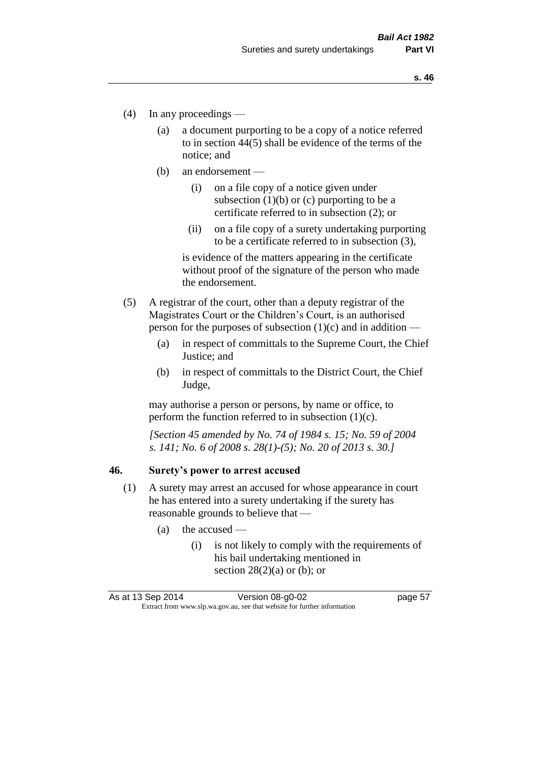- (4) In any proceedings
	- (a) a document purporting to be a copy of a notice referred to in section 44(5) shall be evidence of the terms of the notice; and
	- (b) an endorsement
		- (i) on a file copy of a notice given under subsection  $(1)(b)$  or  $(c)$  purporting to be a certificate referred to in subsection (2); or
		- (ii) on a file copy of a surety undertaking purporting to be a certificate referred to in subsection (3),

is evidence of the matters appearing in the certificate without proof of the signature of the person who made the endorsement.

- (5) A registrar of the court, other than a deputy registrar of the Magistrates Court or the Children's Court, is an authorised person for the purposes of subsection  $(1)(c)$  and in addition —
	- (a) in respect of committals to the Supreme Court, the Chief Justice; and
	- (b) in respect of committals to the District Court, the Chief Judge,

may authorise a person or persons, by name or office, to perform the function referred to in subsection  $(1)(c)$ .

*[Section 45 amended by No. 74 of 1984 s. 15; No. 59 of 2004 s. 141; No. 6 of 2008 s. 28(1)-(5); No. 20 of 2013 s. 30.]* 

#### **46. Surety's power to arrest accused**

- (1) A surety may arrest an accused for whose appearance in court he has entered into a surety undertaking if the surety has reasonable grounds to believe that —
	- (a) the accused
		- (i) is not likely to comply with the requirements of his bail undertaking mentioned in section  $28(2)(a)$  or (b); or

As at 13 Sep 2014 Version 08-g0-02 Page 57 Extract from www.slp.wa.gov.au, see that website for further information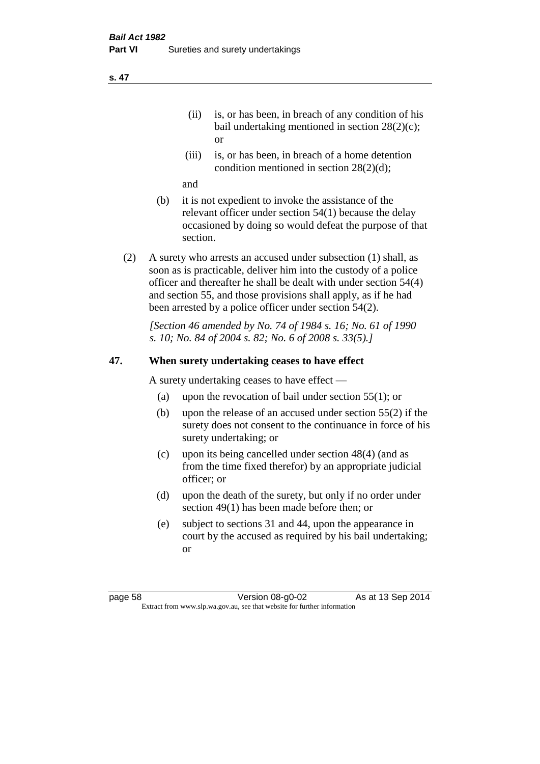- (ii) is, or has been, in breach of any condition of his bail undertaking mentioned in section 28(2)(c); or
- (iii) is, or has been, in breach of a home detention condition mentioned in section 28(2)(d);

and

- (b) it is not expedient to invoke the assistance of the relevant officer under section 54(1) because the delay occasioned by doing so would defeat the purpose of that section.
- (2) A surety who arrests an accused under subsection (1) shall, as soon as is practicable, deliver him into the custody of a police officer and thereafter he shall be dealt with under section 54(4) and section 55, and those provisions shall apply, as if he had been arrested by a police officer under section 54(2).

*[Section 46 amended by No. 74 of 1984 s. 16; No. 61 of 1990 s. 10; No. 84 of 2004 s. 82; No. 6 of 2008 s. 33(5).]* 

# **47. When surety undertaking ceases to have effect**

A surety undertaking ceases to have effect —

- (a) upon the revocation of bail under section 55(1); or
- (b) upon the release of an accused under section 55(2) if the surety does not consent to the continuance in force of his surety undertaking; or
- (c) upon its being cancelled under section 48(4) (and as from the time fixed therefor) by an appropriate judicial officer; or
- (d) upon the death of the surety, but only if no order under section 49(1) has been made before then; or
- (e) subject to sections 31 and 44, upon the appearance in court by the accused as required by his bail undertaking; or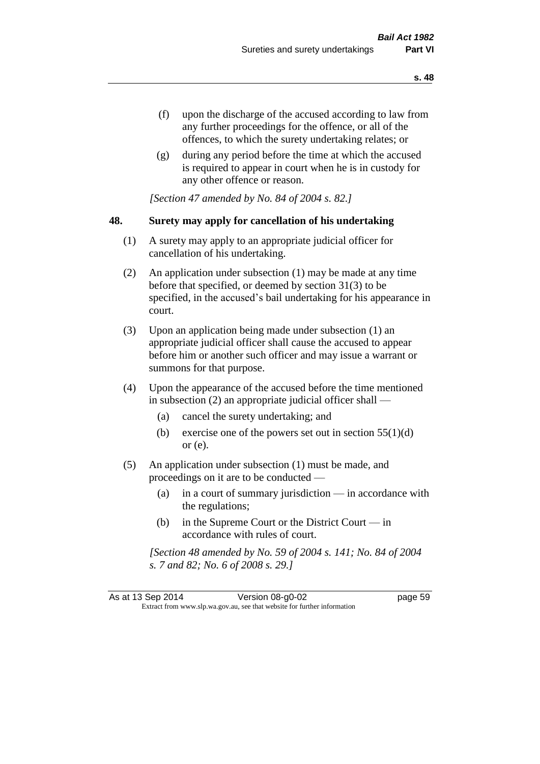- (f) upon the discharge of the accused according to law from any further proceedings for the offence, or all of the offences, to which the surety undertaking relates; or
- (g) during any period before the time at which the accused is required to appear in court when he is in custody for any other offence or reason.

*[Section 47 amended by No. 84 of 2004 s. 82.]* 

#### **48. Surety may apply for cancellation of his undertaking**

- (1) A surety may apply to an appropriate judicial officer for cancellation of his undertaking.
- (2) An application under subsection (1) may be made at any time before that specified, or deemed by section 31(3) to be specified, in the accused's bail undertaking for his appearance in court.
- (3) Upon an application being made under subsection (1) an appropriate judicial officer shall cause the accused to appear before him or another such officer and may issue a warrant or summons for that purpose.
- (4) Upon the appearance of the accused before the time mentioned in subsection (2) an appropriate judicial officer shall —
	- (a) cancel the surety undertaking; and
	- (b) exercise one of the powers set out in section  $55(1)(d)$ or (e).
- (5) An application under subsection (1) must be made, and proceedings on it are to be conducted —
	- (a) in a court of summary jurisdiction in accordance with the regulations;
	- (b) in the Supreme Court or the District Court  $-\text{in}$ accordance with rules of court.

*[Section 48 amended by No. 59 of 2004 s. 141; No. 84 of 2004 s. 7 and 82; No. 6 of 2008 s. 29.]*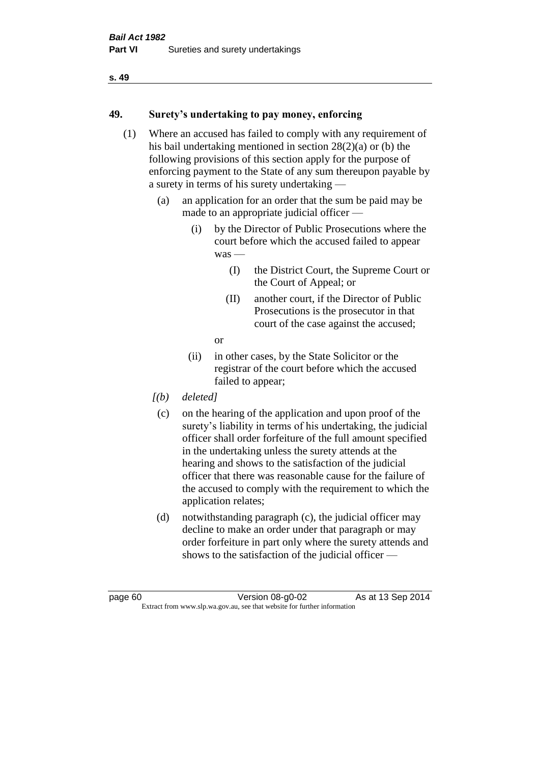#### **49. Surety's undertaking to pay money, enforcing**

- (1) Where an accused has failed to comply with any requirement of his bail undertaking mentioned in section 28(2)(a) or (b) the following provisions of this section apply for the purpose of enforcing payment to the State of any sum thereupon payable by a surety in terms of his surety undertaking —
	- (a) an application for an order that the sum be paid may be made to an appropriate judicial officer —
		- (i) by the Director of Public Prosecutions where the court before which the accused failed to appear was —
			- (I) the District Court, the Supreme Court or the Court of Appeal; or
			- (II) another court, if the Director of Public Prosecutions is the prosecutor in that court of the case against the accused;
			- or
		- (ii) in other cases, by the State Solicitor or the registrar of the court before which the accused failed to appear;
	- *[(b) deleted]*
		- (c) on the hearing of the application and upon proof of the surety's liability in terms of his undertaking, the judicial officer shall order forfeiture of the full amount specified in the undertaking unless the surety attends at the hearing and shows to the satisfaction of the judicial officer that there was reasonable cause for the failure of the accused to comply with the requirement to which the application relates;
		- (d) notwithstanding paragraph (c), the judicial officer may decline to make an order under that paragraph or may order forfeiture in part only where the surety attends and shows to the satisfaction of the judicial officer —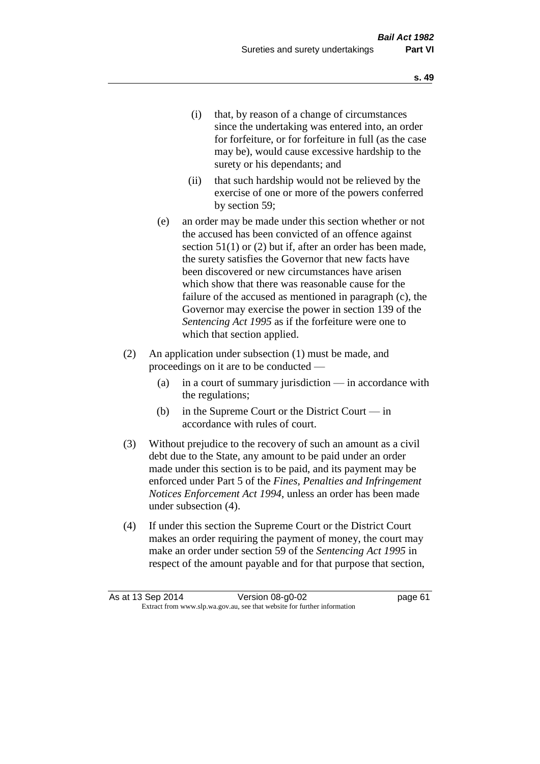- (i) that, by reason of a change of circumstances since the undertaking was entered into, an order for forfeiture, or for forfeiture in full (as the case may be), would cause excessive hardship to the surety or his dependants; and
- (ii) that such hardship would not be relieved by the exercise of one or more of the powers conferred by section 59;
- (e) an order may be made under this section whether or not the accused has been convicted of an offence against section 51(1) or (2) but if, after an order has been made, the surety satisfies the Governor that new facts have been discovered or new circumstances have arisen which show that there was reasonable cause for the failure of the accused as mentioned in paragraph (c), the Governor may exercise the power in section 139 of the *Sentencing Act 1995* as if the forfeiture were one to which that section applied.
- (2) An application under subsection (1) must be made, and proceedings on it are to be conducted —
	- (a) in a court of summary jurisdiction in accordance with the regulations;
	- (b) in the Supreme Court or the District Court in accordance with rules of court.
- (3) Without prejudice to the recovery of such an amount as a civil debt due to the State, any amount to be paid under an order made under this section is to be paid, and its payment may be enforced under Part 5 of the *Fines, Penalties and Infringement Notices Enforcement Act 1994*, unless an order has been made under subsection (4).
- (4) If under this section the Supreme Court or the District Court makes an order requiring the payment of money, the court may make an order under section 59 of the *Sentencing Act 1995* in respect of the amount payable and for that purpose that section,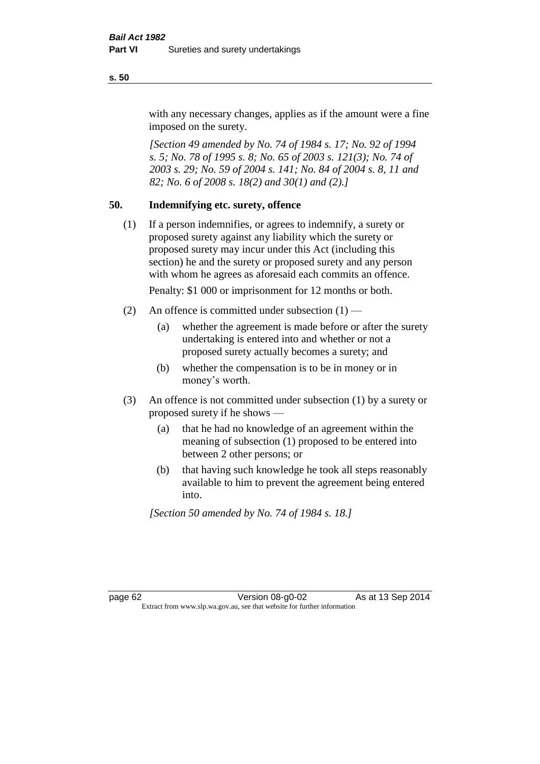with any necessary changes, applies as if the amount were a fine imposed on the surety.

*[Section 49 amended by No. 74 of 1984 s. 17; No. 92 of 1994 s. 5; No. 78 of 1995 s. 8; No. 65 of 2003 s. 121(3); No. 74 of 2003 s. 29; No. 59 of 2004 s. 141; No. 84 of 2004 s. 8, 11 and 82; No. 6 of 2008 s. 18(2) and 30(1) and (2).]* 

#### **50. Indemnifying etc. surety, offence**

(1) If a person indemnifies, or agrees to indemnify, a surety or proposed surety against any liability which the surety or proposed surety may incur under this Act (including this section) he and the surety or proposed surety and any person with whom he agrees as aforesaid each commits an offence.

Penalty: \$1 000 or imprisonment for 12 months or both.

- (2) An offence is committed under subsection  $(1)$ 
	- (a) whether the agreement is made before or after the surety undertaking is entered into and whether or not a proposed surety actually becomes a surety; and
	- (b) whether the compensation is to be in money or in money's worth.
- (3) An offence is not committed under subsection (1) by a surety or proposed surety if he shows —
	- (a) that he had no knowledge of an agreement within the meaning of subsection (1) proposed to be entered into between 2 other persons; or
	- (b) that having such knowledge he took all steps reasonably available to him to prevent the agreement being entered into.

*[Section 50 amended by No. 74 of 1984 s. 18.]* 

page 62 Version 08-g0-02 As at 13 Sep 2014 Extract from www.slp.wa.gov.au, see that website for further information

#### **s. 50**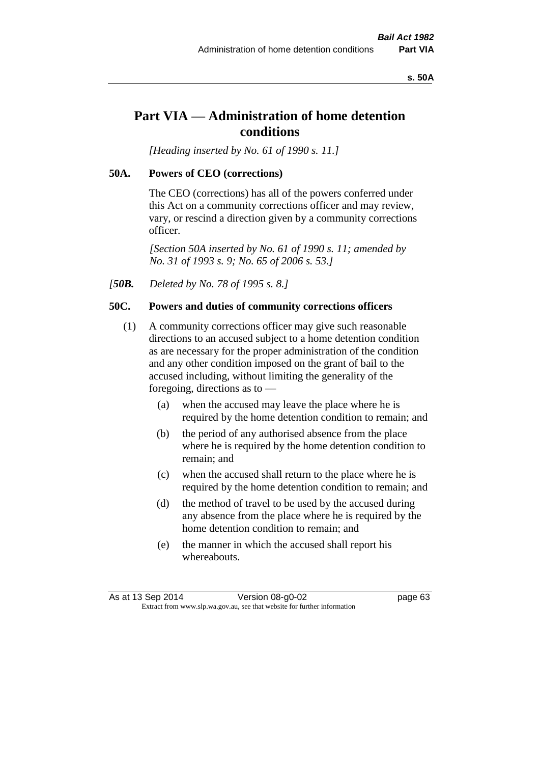#### **s. 50A**

# **Part VIA — Administration of home detention conditions**

*[Heading inserted by No. 61 of 1990 s. 11.]* 

#### **50A. Powers of CEO (corrections)**

The CEO (corrections) has all of the powers conferred under this Act on a community corrections officer and may review, vary, or rescind a direction given by a community corrections officer.

*[Section 50A inserted by No. 61 of 1990 s. 11; amended by No. 31 of 1993 s. 9; No. 65 of 2006 s. 53.]* 

*[50B. Deleted by No. 78 of 1995 s. 8.]* 

## **50C. Powers and duties of community corrections officers**

- (1) A community corrections officer may give such reasonable directions to an accused subject to a home detention condition as are necessary for the proper administration of the condition and any other condition imposed on the grant of bail to the accused including, without limiting the generality of the foregoing, directions as to —
	- (a) when the accused may leave the place where he is required by the home detention condition to remain; and
	- (b) the period of any authorised absence from the place where he is required by the home detention condition to remain; and
	- (c) when the accused shall return to the place where he is required by the home detention condition to remain; and
	- (d) the method of travel to be used by the accused during any absence from the place where he is required by the home detention condition to remain; and
	- (e) the manner in which the accused shall report his whereabouts.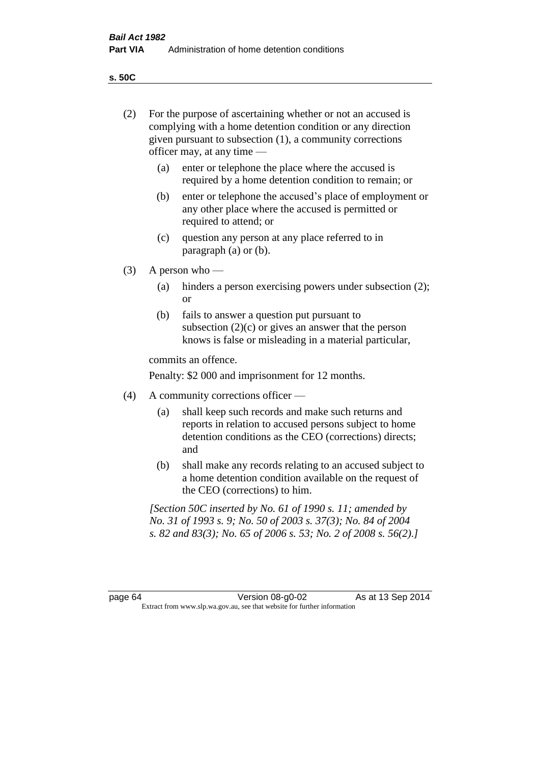**s. 50C**

| (2)                     |     | For the purpose of ascertaining whether or not an accused is<br>complying with a home detention condition or any direction<br>given pursuant to subsection (1), a community corrections<br>officer may, at any time — |
|-------------------------|-----|-----------------------------------------------------------------------------------------------------------------------------------------------------------------------------------------------------------------------|
|                         | (a) | enter or telephone the place where the accused is<br>required by a home detention condition to remain; or                                                                                                             |
|                         | (b) | enter or telephone the accused's place of employment or<br>any other place where the accused is permitted or<br>required to attend; or                                                                                |
|                         | (c) | question any person at any place referred to in<br>paragraph $(a)$ or $(b)$ .                                                                                                                                         |
| (3)<br>A person who $-$ |     |                                                                                                                                                                                                                       |
|                         | (a) | hinders a person exercising powers under subsection (2);<br><sub>or</sub>                                                                                                                                             |
|                         | (b) | fails to answer a question put pursuant to<br>subsection $(2)(c)$ or gives an answer that the person<br>knows is false or misleading in a material particular,                                                        |
|                         |     | commits an offence.                                                                                                                                                                                                   |
|                         |     | Penalty: \$2 000 and imprisonment for 12 months.                                                                                                                                                                      |
| (4)                     |     | A community corrections officer —                                                                                                                                                                                     |
|                         | (a) | shall keep such records and make such returns and<br>reports in relation to accused persons subject to home<br>detention conditions as the CEO (corrections) directs;<br>and                                          |
|                         | (b) | shall make any records relating to an accused subject to<br>a home detention condition available on the request of<br>the CEO (corrections) to him.                                                                   |
|                         |     | [Section 50C inserted by No. 61 of 1990 s. 11; amended by<br>No. 31 of 1993 s. 9; No. 50 of 2003 s. 37(3); No. 84 of 2004<br>s. 82 and 83(3); No. 65 of 2006 s. 53; No. 2 of 2008 s. 56(2).]                          |
|                         |     |                                                                                                                                                                                                                       |
| page 64                 |     | As at 13 Sep 2014<br>Version 08-g0-02<br>Extract from www.slp.wa.gov.au, see that website for further information                                                                                                     |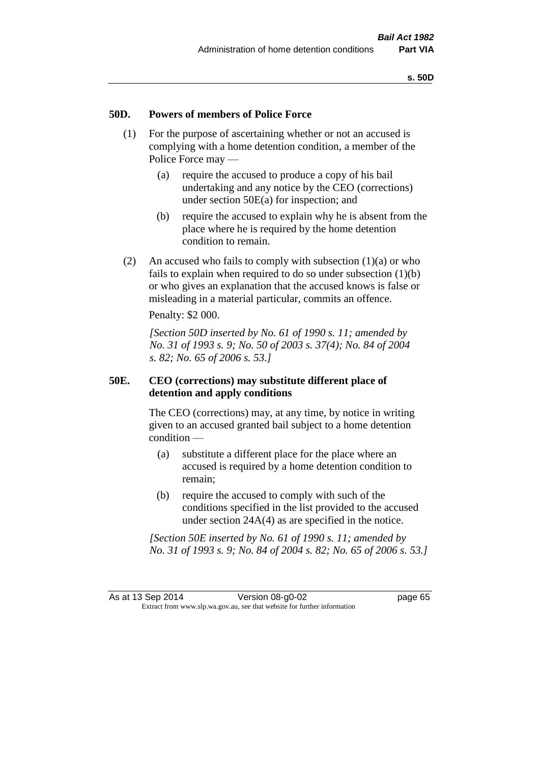### **50D. Powers of members of Police Force**

- (1) For the purpose of ascertaining whether or not an accused is complying with a home detention condition, a member of the Police Force may —
	- (a) require the accused to produce a copy of his bail undertaking and any notice by the CEO (corrections) under section 50E(a) for inspection; and
	- (b) require the accused to explain why he is absent from the place where he is required by the home detention condition to remain.
- (2) An accused who fails to comply with subsection  $(1)(a)$  or who fails to explain when required to do so under subsection  $(1)(b)$ or who gives an explanation that the accused knows is false or misleading in a material particular, commits an offence.

Penalty: \$2 000.

*[Section 50D inserted by No. 61 of 1990 s. 11; amended by No. 31 of 1993 s. 9; No. 50 of 2003 s. 37(4); No. 84 of 2004 s. 82; No. 65 of 2006 s. 53.]* 

## **50E. CEO (corrections) may substitute different place of detention and apply conditions**

The CEO (corrections) may, at any time, by notice in writing given to an accused granted bail subject to a home detention condition —

- (a) substitute a different place for the place where an accused is required by a home detention condition to remain;
- (b) require the accused to comply with such of the conditions specified in the list provided to the accused under section 24A(4) as are specified in the notice.

*[Section 50E inserted by No. 61 of 1990 s. 11; amended by No. 31 of 1993 s. 9; No. 84 of 2004 s. 82; No. 65 of 2006 s. 53.]*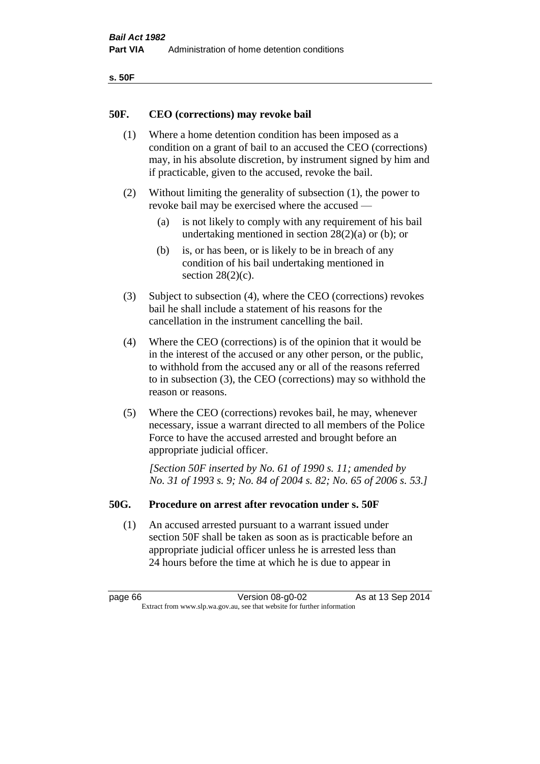| v<br>٩<br>۰,<br>×<br>× |
|------------------------|
|------------------------|

### **50F. CEO (corrections) may revoke bail**

- (1) Where a home detention condition has been imposed as a condition on a grant of bail to an accused the CEO (corrections) may, in his absolute discretion, by instrument signed by him and if practicable, given to the accused, revoke the bail.
- (2) Without limiting the generality of subsection (1), the power to revoke bail may be exercised where the accused —
	- (a) is not likely to comply with any requirement of his bail undertaking mentioned in section 28(2)(a) or (b); or
	- (b) is, or has been, or is likely to be in breach of any condition of his bail undertaking mentioned in section  $28(2)(c)$ .
- (3) Subject to subsection (4), where the CEO (corrections) revokes bail he shall include a statement of his reasons for the cancellation in the instrument cancelling the bail.
- (4) Where the CEO (corrections) is of the opinion that it would be in the interest of the accused or any other person, or the public, to withhold from the accused any or all of the reasons referred to in subsection (3), the CEO (corrections) may so withhold the reason or reasons.
- (5) Where the CEO (corrections) revokes bail, he may, whenever necessary, issue a warrant directed to all members of the Police Force to have the accused arrested and brought before an appropriate judicial officer.

*[Section 50F inserted by No. 61 of 1990 s. 11; amended by No. 31 of 1993 s. 9; No. 84 of 2004 s. 82; No. 65 of 2006 s. 53.]* 

### **50G. Procedure on arrest after revocation under s. 50F**

(1) An accused arrested pursuant to a warrant issued under section 50F shall be taken as soon as is practicable before an appropriate judicial officer unless he is arrested less than 24 hours before the time at which he is due to appear in

page 66 Version 08-g0-02 As at 13 Sep 2014 Extract from www.slp.wa.gov.au, see that website for further information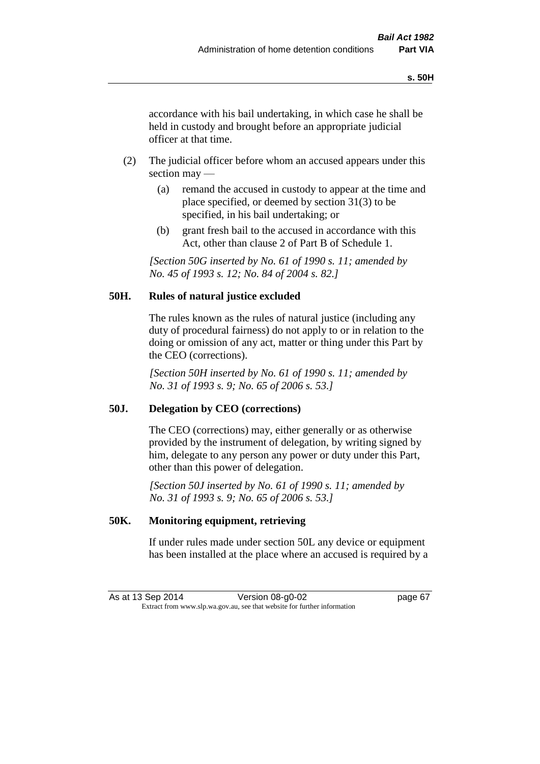accordance with his bail undertaking, in which case he shall be held in custody and brought before an appropriate judicial officer at that time.

- (2) The judicial officer before whom an accused appears under this section may —
	- (a) remand the accused in custody to appear at the time and place specified, or deemed by section 31(3) to be specified, in his bail undertaking; or
	- (b) grant fresh bail to the accused in accordance with this Act, other than clause 2 of Part B of Schedule 1.

*[Section 50G inserted by No. 61 of 1990 s. 11; amended by No. 45 of 1993 s. 12; No. 84 of 2004 s. 82.]* 

# **50H. Rules of natural justice excluded**

The rules known as the rules of natural justice (including any duty of procedural fairness) do not apply to or in relation to the doing or omission of any act, matter or thing under this Part by the CEO (corrections).

*[Section 50H inserted by No. 61 of 1990 s. 11; amended by No. 31 of 1993 s. 9; No. 65 of 2006 s. 53.]* 

# **50J. Delegation by CEO (corrections)**

The CEO (corrections) may, either generally or as otherwise provided by the instrument of delegation, by writing signed by him, delegate to any person any power or duty under this Part, other than this power of delegation.

*[Section 50J inserted by No. 61 of 1990 s. 11; amended by No. 31 of 1993 s. 9; No. 65 of 2006 s. 53.]* 

# **50K. Monitoring equipment, retrieving**

If under rules made under section 50L any device or equipment has been installed at the place where an accused is required by a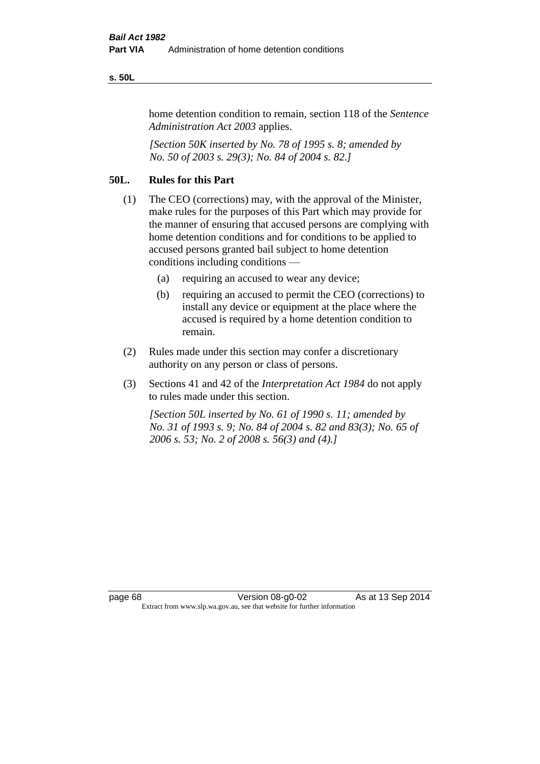#### **s. 50L**

home detention condition to remain, section 118 of the *Sentence Administration Act 2003* applies.

*[Section 50K inserted by No. 78 of 1995 s. 8; amended by No. 50 of 2003 s. 29(3); No. 84 of 2004 s. 82.]* 

# **50L. Rules for this Part**

- (1) The CEO (corrections) may, with the approval of the Minister, make rules for the purposes of this Part which may provide for the manner of ensuring that accused persons are complying with home detention conditions and for conditions to be applied to accused persons granted bail subject to home detention conditions including conditions —
	- (a) requiring an accused to wear any device;
	- (b) requiring an accused to permit the CEO (corrections) to install any device or equipment at the place where the accused is required by a home detention condition to remain.
- (2) Rules made under this section may confer a discretionary authority on any person or class of persons.
- (3) Sections 41 and 42 of the *Interpretation Act 1984* do not apply to rules made under this section.

*[Section 50L inserted by No. 61 of 1990 s. 11; amended by No. 31 of 1993 s. 9; No. 84 of 2004 s. 82 and 83(3); No. 65 of 2006 s. 53; No. 2 of 2008 s. 56(3) and (4).]*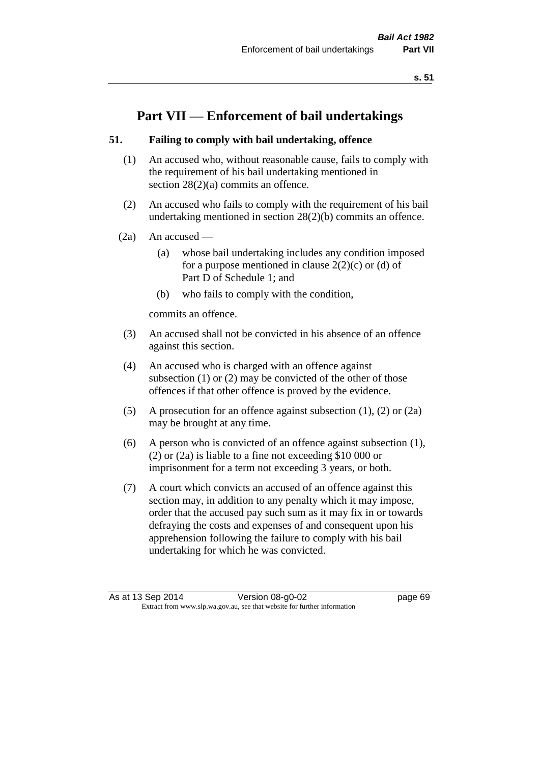# **Part VII — Enforcement of bail undertakings**

# **51. Failing to comply with bail undertaking, offence**

- (1) An accused who, without reasonable cause, fails to comply with the requirement of his bail undertaking mentioned in section  $28(2)(a)$  commits an offence.
- (2) An accused who fails to comply with the requirement of his bail undertaking mentioned in section 28(2)(b) commits an offence.
- $(2a)$  An accused
	- (a) whose bail undertaking includes any condition imposed for a purpose mentioned in clause  $2(2)(c)$  or (d) of Part D of Schedule 1; and
	- (b) who fails to comply with the condition,

commits an offence.

- (3) An accused shall not be convicted in his absence of an offence against this section.
- (4) An accused who is charged with an offence against subsection (1) or (2) may be convicted of the other of those offences if that other offence is proved by the evidence.
- (5) A prosecution for an offence against subsection (1), (2) or (2a) may be brought at any time.
- (6) A person who is convicted of an offence against subsection (1), (2) or (2a) is liable to a fine not exceeding \$10 000 or imprisonment for a term not exceeding 3 years, or both.
- (7) A court which convicts an accused of an offence against this section may, in addition to any penalty which it may impose, order that the accused pay such sum as it may fix in or towards defraying the costs and expenses of and consequent upon his apprehension following the failure to comply with his bail undertaking for which he was convicted.

As at 13 Sep 2014 Version 08-g0-02 page 69 Extract from www.slp.wa.gov.au, see that website for further information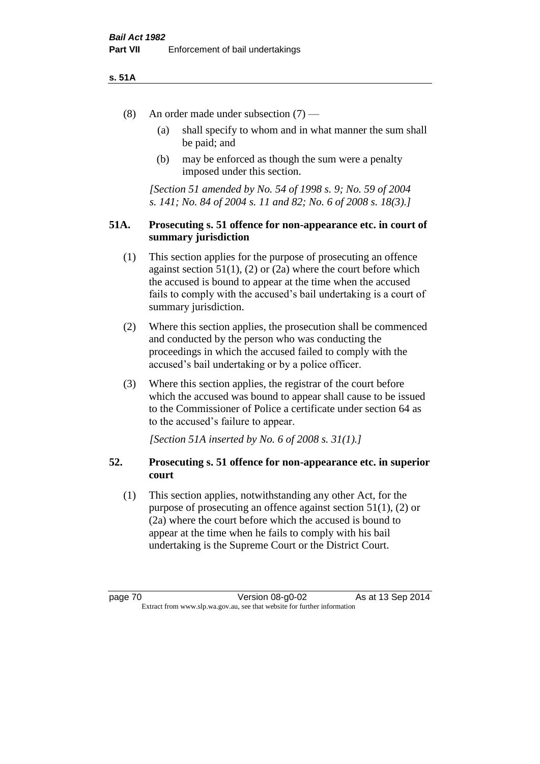#### **s. 51A**

- (8) An order made under subsection (7)
	- (a) shall specify to whom and in what manner the sum shall be paid; and
	- (b) may be enforced as though the sum were a penalty imposed under this section.

*[Section 51 amended by No. 54 of 1998 s. 9; No. 59 of 2004 s. 141; No. 84 of 2004 s. 11 and 82; No. 6 of 2008 s. 18(3).]*

# **51A. Prosecuting s. 51 offence for non-appearance etc. in court of summary jurisdiction**

- (1) This section applies for the purpose of prosecuting an offence against section  $51(1)$ ,  $(2)$  or  $(2a)$  where the court before which the accused is bound to appear at the time when the accused fails to comply with the accused's bail undertaking is a court of summary jurisdiction.
- (2) Where this section applies, the prosecution shall be commenced and conducted by the person who was conducting the proceedings in which the accused failed to comply with the accused's bail undertaking or by a police officer.
- (3) Where this section applies, the registrar of the court before which the accused was bound to appear shall cause to be issued to the Commissioner of Police a certificate under section 64 as to the accused's failure to appear.

*[Section 51A inserted by No. 6 of 2008 s. 31(1).]*

# **52. Prosecuting s. 51 offence for non-appearance etc. in superior court**

(1) This section applies, notwithstanding any other Act, for the purpose of prosecuting an offence against section 51(1), (2) or (2a) where the court before which the accused is bound to appear at the time when he fails to comply with his bail undertaking is the Supreme Court or the District Court.

page 70 Version 08-g0-02 As at 13 Sep 2014 Extract from www.slp.wa.gov.au, see that website for further information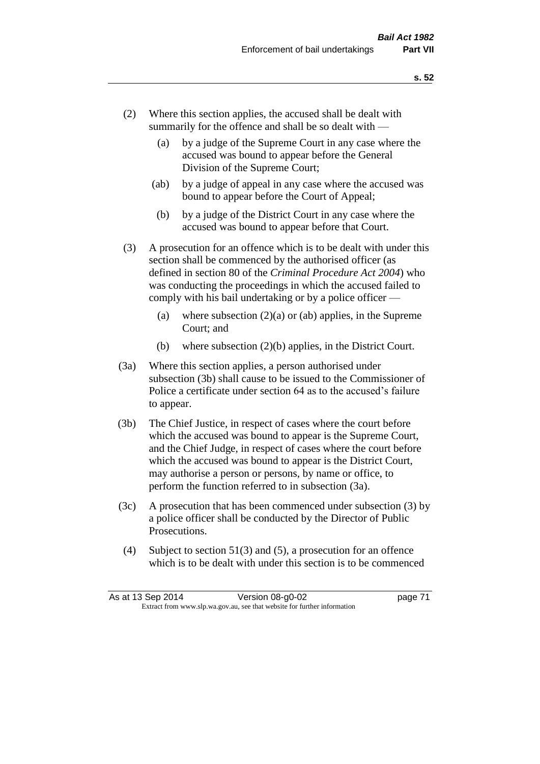- (2) Where this section applies, the accused shall be dealt with summarily for the offence and shall be so dealt with —
	- (a) by a judge of the Supreme Court in any case where the accused was bound to appear before the General Division of the Supreme Court;
	- (ab) by a judge of appeal in any case where the accused was bound to appear before the Court of Appeal;
	- (b) by a judge of the District Court in any case where the accused was bound to appear before that Court.
- (3) A prosecution for an offence which is to be dealt with under this section shall be commenced by the authorised officer (as defined in section 80 of the *Criminal Procedure Act 2004*) who was conducting the proceedings in which the accused failed to comply with his bail undertaking or by a police officer —
	- (a) where subsection  $(2)(a)$  or (ab) applies, in the Supreme Court; and
	- (b) where subsection (2)(b) applies, in the District Court.
- (3a) Where this section applies, a person authorised under subsection (3b) shall cause to be issued to the Commissioner of Police a certificate under section 64 as to the accused's failure to appear.
- (3b) The Chief Justice, in respect of cases where the court before which the accused was bound to appear is the Supreme Court, and the Chief Judge, in respect of cases where the court before which the accused was bound to appear is the District Court, may authorise a person or persons, by name or office, to perform the function referred to in subsection (3a).
- (3c) A prosecution that has been commenced under subsection (3) by a police officer shall be conducted by the Director of Public Prosecutions.
- (4) Subject to section 51(3) and (5), a prosecution for an offence which is to be dealt with under this section is to be commenced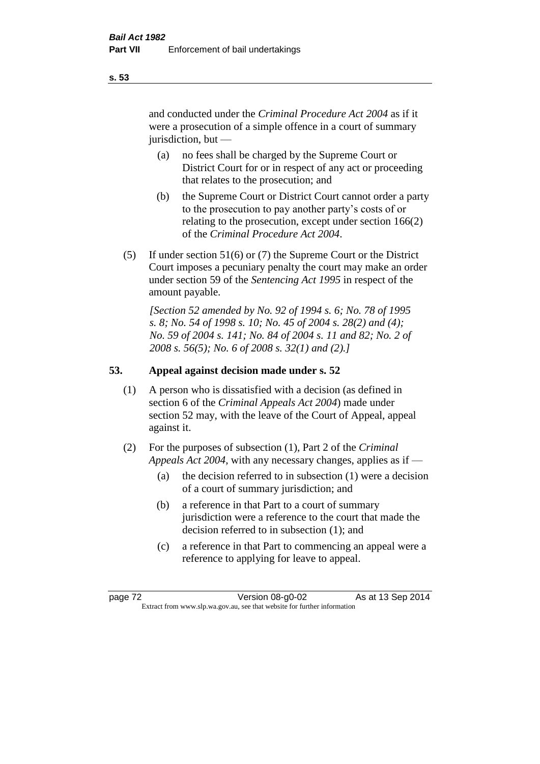and conducted under the *Criminal Procedure Act 2004* as if it were a prosecution of a simple offence in a court of summary jurisdiction, but —

- (a) no fees shall be charged by the Supreme Court or District Court for or in respect of any act or proceeding that relates to the prosecution; and
- (b) the Supreme Court or District Court cannot order a party to the prosecution to pay another party's costs of or relating to the prosecution, except under section 166(2) of the *Criminal Procedure Act 2004*.
- (5) If under section 51(6) or (7) the Supreme Court or the District Court imposes a pecuniary penalty the court may make an order under section 59 of the *Sentencing Act 1995* in respect of the amount payable.

*[Section 52 amended by No. 92 of 1994 s. 6; No. 78 of 1995 s. 8; No. 54 of 1998 s. 10; No. 45 of 2004 s. 28(2) and (4); No. 59 of 2004 s. 141; No. 84 of 2004 s. 11 and 82; No. 2 of 2008 s. 56(5); No. 6 of 2008 s. 32(1) and (2).]* 

# **53. Appeal against decision made under s. 52**

- (1) A person who is dissatisfied with a decision (as defined in section 6 of the *Criminal Appeals Act 2004*) made under section 52 may, with the leave of the Court of Appeal, appeal against it.
- (2) For the purposes of subsection (1), Part 2 of the *Criminal Appeals Act 2004*, with any necessary changes, applies as if —
	- (a) the decision referred to in subsection (1) were a decision of a court of summary jurisdiction; and
	- (b) a reference in that Part to a court of summary jurisdiction were a reference to the court that made the decision referred to in subsection (1); and
	- (c) a reference in that Part to commencing an appeal were a reference to applying for leave to appeal.

**s. 53**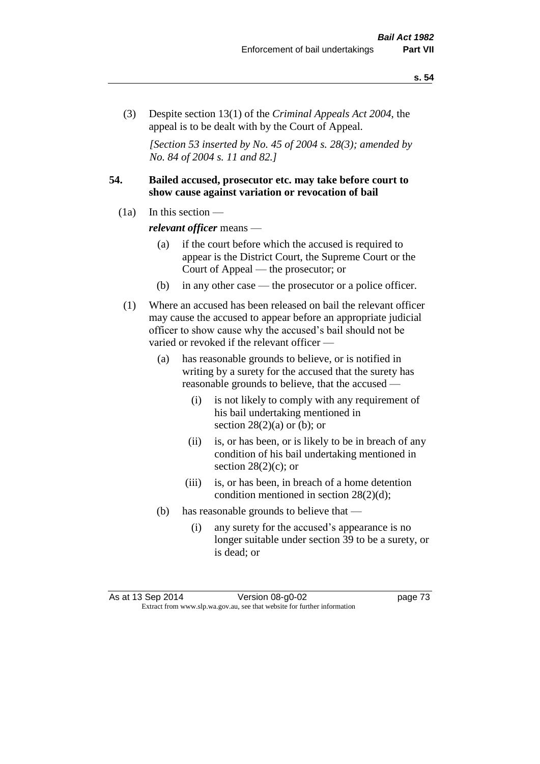(3) Despite section 13(1) of the *Criminal Appeals Act 2004*, the appeal is to be dealt with by the Court of Appeal.

*[Section 53 inserted by No. 45 of 2004 s. 28(3); amended by No. 84 of 2004 s. 11 and 82.]*

### **54. Bailed accused, prosecutor etc. may take before court to show cause against variation or revocation of bail**

 $(1a)$  In this section —

*relevant officer* means —

- (a) if the court before which the accused is required to appear is the District Court, the Supreme Court or the Court of Appeal — the prosecutor; or
- (b) in any other case the prosecutor or a police officer.
- (1) Where an accused has been released on bail the relevant officer may cause the accused to appear before an appropriate judicial officer to show cause why the accused's bail should not be varied or revoked if the relevant officer —
	- (a) has reasonable grounds to believe, or is notified in writing by a surety for the accused that the surety has reasonable grounds to believe, that the accused —
		- (i) is not likely to comply with any requirement of his bail undertaking mentioned in section  $28(2)(a)$  or (b); or
		- (ii) is, or has been, or is likely to be in breach of any condition of his bail undertaking mentioned in section  $28(2)(c)$ ; or
		- (iii) is, or has been, in breach of a home detention condition mentioned in section 28(2)(d);
	- (b) has reasonable grounds to believe that
		- (i) any surety for the accused's appearance is no longer suitable under section 39 to be a surety, or is dead; or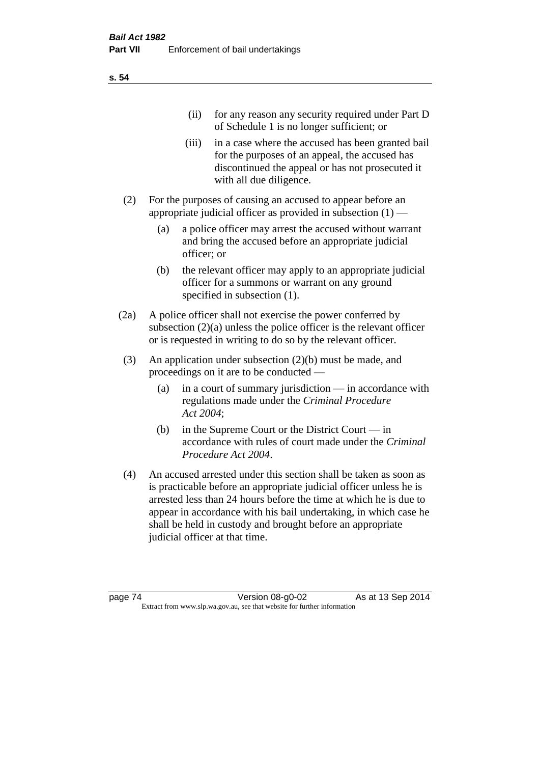| (11)  | for any reason any security required under Part D<br>of Schedule 1 is no longer sufficient; or                                                                                     |
|-------|------------------------------------------------------------------------------------------------------------------------------------------------------------------------------------|
| (111) | in a case where the accused has been granted bail<br>for the purposes of an appeal, the accused has<br>discontinued the appeal or has not prosecuted it<br>with all due diligence. |
|       | For the purposes of causing an accused to appear before an                                                                                                                         |

- appropriate judicial officer as provided in subsection  $(1)$ 
	- (a) a police officer may arrest the accused without warrant and bring the accused before an appropriate judicial officer; or
	- (b) the relevant officer may apply to an appropriate judicial officer for a summons or warrant on any ground specified in subsection  $(1)$ .
- (2a) A police officer shall not exercise the power conferred by subsection (2)(a) unless the police officer is the relevant officer or is requested in writing to do so by the relevant officer.
- (3) An application under subsection (2)(b) must be made, and proceedings on it are to be conducted —
	- (a) in a court of summary jurisdiction in accordance with regulations made under the *Criminal Procedure Act 2004*;
	- (b) in the Supreme Court or the District Court  $-\text{in}$ accordance with rules of court made under the *Criminal Procedure Act 2004*.
- (4) An accused arrested under this section shall be taken as soon as is practicable before an appropriate judicial officer unless he is arrested less than 24 hours before the time at which he is due to appear in accordance with his bail undertaking, in which case he shall be held in custody and brought before an appropriate judicial officer at that time.

**s. 54**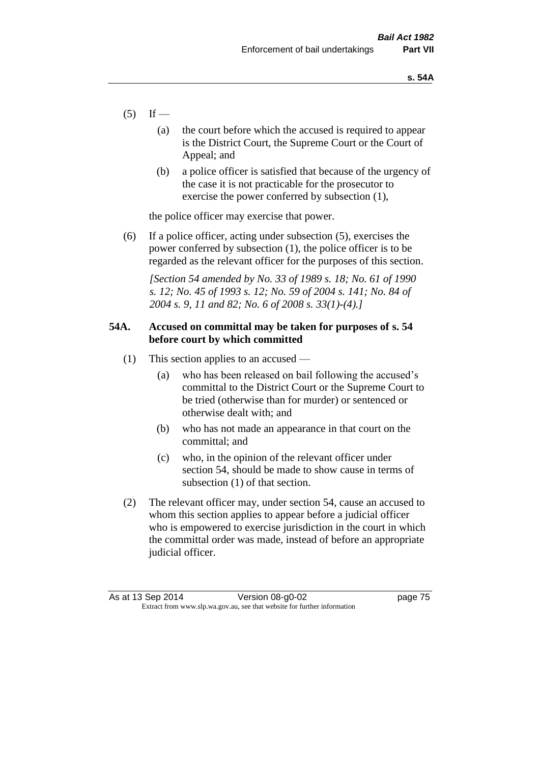- $(5)$  If
	- (a) the court before which the accused is required to appear is the District Court, the Supreme Court or the Court of Appeal; and
	- (b) a police officer is satisfied that because of the urgency of the case it is not practicable for the prosecutor to exercise the power conferred by subsection (1),

the police officer may exercise that power.

(6) If a police officer, acting under subsection (5), exercises the power conferred by subsection (1), the police officer is to be regarded as the relevant officer for the purposes of this section.

*[Section 54 amended by No. 33 of 1989 s. 18; No. 61 of 1990 s. 12; No. 45 of 1993 s. 12; No. 59 of 2004 s. 141; No. 84 of 2004 s. 9, 11 and 82; No. 6 of 2008 s. 33(1)-(4).]* 

# **54A. Accused on committal may be taken for purposes of s. 54 before court by which committed**

- (1) This section applies to an accused
	- (a) who has been released on bail following the accused's committal to the District Court or the Supreme Court to be tried (otherwise than for murder) or sentenced or otherwise dealt with; and
	- (b) who has not made an appearance in that court on the committal; and
	- (c) who, in the opinion of the relevant officer under section 54, should be made to show cause in terms of subsection (1) of that section.
- (2) The relevant officer may, under section 54, cause an accused to whom this section applies to appear before a judicial officer who is empowered to exercise jurisdiction in the court in which the committal order was made, instead of before an appropriate judicial officer.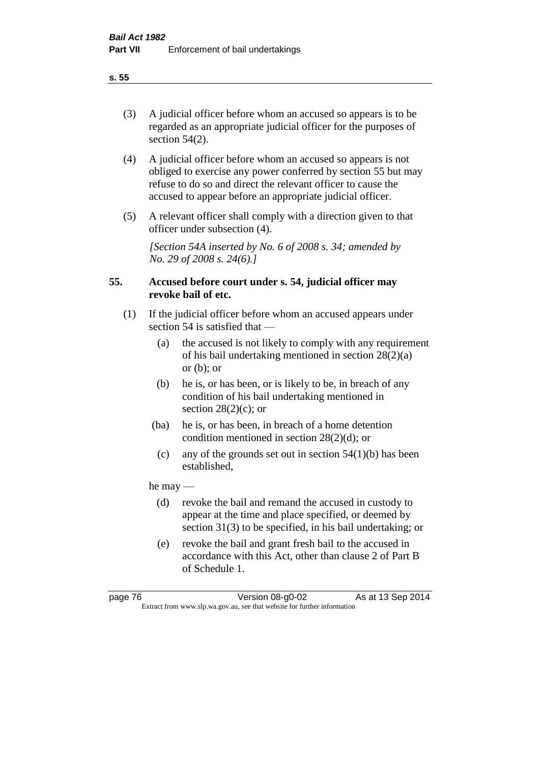(3) A judicial officer before whom an accused so appears is to be regarded as an appropriate judicial officer for the purposes of section 54(2).

- (4) A judicial officer before whom an accused so appears is not obliged to exercise any power conferred by section 55 but may refuse to do so and direct the relevant officer to cause the accused to appear before an appropriate judicial officer.
- (5) A relevant officer shall comply with a direction given to that officer under subsection (4).

*[Section 54A inserted by No. 6 of 2008 s. 34; amended by No. 29 of 2008 s. 24(6).]*

# **55. Accused before court under s. 54, judicial officer may revoke bail of etc.**

- (1) If the judicial officer before whom an accused appears under section 54 is satisfied that —
	- (a) the accused is not likely to comply with any requirement of his bail undertaking mentioned in section 28(2)(a) or  $(b)$ ; or
	- (b) he is, or has been, or is likely to be, in breach of any condition of his bail undertaking mentioned in section  $28(2)(c)$ ; or
	- (ba) he is, or has been, in breach of a home detention condition mentioned in section 28(2)(d); or
	- (c) any of the grounds set out in section  $54(1)(b)$  has been established,

he may —

- (d) revoke the bail and remand the accused in custody to appear at the time and place specified, or deemed by section 31(3) to be specified, in his bail undertaking; or
- (e) revoke the bail and grant fresh bail to the accused in accordance with this Act, other than clause 2 of Part B of Schedule 1.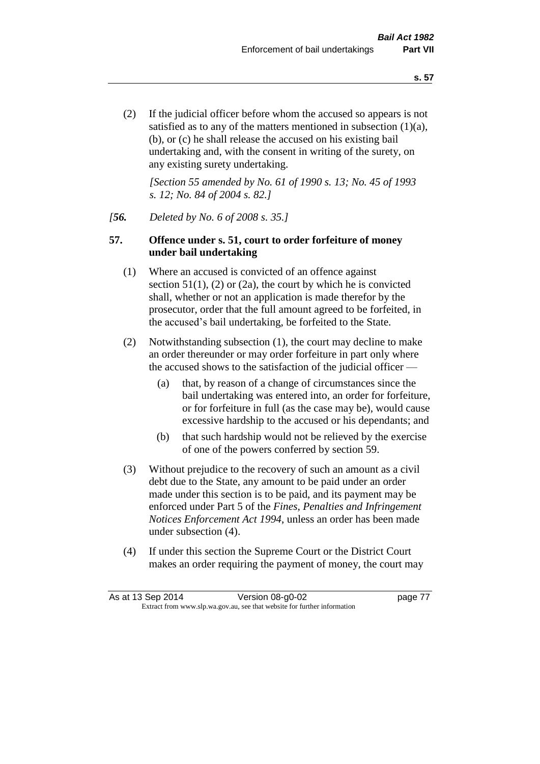(2) If the judicial officer before whom the accused so appears is not satisfied as to any of the matters mentioned in subsection (1)(a), (b), or (c) he shall release the accused on his existing bail undertaking and, with the consent in writing of the surety, on any existing surety undertaking.

*[Section 55 amended by No. 61 of 1990 s. 13; No. 45 of 1993 s. 12; No. 84 of 2004 s. 82.]* 

### *[56. Deleted by No. 6 of 2008 s. 35.]*

### **57. Offence under s. 51, court to order forfeiture of money under bail undertaking**

- (1) Where an accused is convicted of an offence against section  $51(1)$ ,  $(2)$  or  $(2a)$ , the court by which he is convicted shall, whether or not an application is made therefor by the prosecutor, order that the full amount agreed to be forfeited, in the accused's bail undertaking, be forfeited to the State.
- (2) Notwithstanding subsection (1), the court may decline to make an order thereunder or may order forfeiture in part only where the accused shows to the satisfaction of the judicial officer —
	- (a) that, by reason of a change of circumstances since the bail undertaking was entered into, an order for forfeiture, or for forfeiture in full (as the case may be), would cause excessive hardship to the accused or his dependants; and
	- (b) that such hardship would not be relieved by the exercise of one of the powers conferred by section 59.
- (3) Without prejudice to the recovery of such an amount as a civil debt due to the State, any amount to be paid under an order made under this section is to be paid, and its payment may be enforced under Part 5 of the *Fines, Penalties and Infringement Notices Enforcement Act 1994*, unless an order has been made under subsection (4).
- (4) If under this section the Supreme Court or the District Court makes an order requiring the payment of money, the court may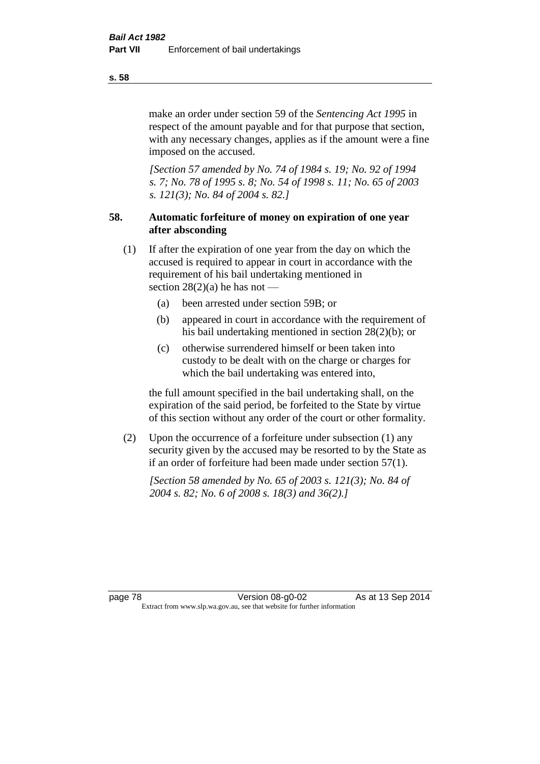make an order under section 59 of the *Sentencing Act 1995* in respect of the amount payable and for that purpose that section, with any necessary changes, applies as if the amount were a fine imposed on the accused.

*[Section 57 amended by No. 74 of 1984 s. 19; No. 92 of 1994 s. 7; No. 78 of 1995 s. 8; No. 54 of 1998 s. 11; No. 65 of 2003 s. 121(3); No. 84 of 2004 s. 82.]* 

# **58. Automatic forfeiture of money on expiration of one year after absconding**

- (1) If after the expiration of one year from the day on which the accused is required to appear in court in accordance with the requirement of his bail undertaking mentioned in section  $28(2)(a)$  he has not —
	- (a) been arrested under section 59B; or
	- (b) appeared in court in accordance with the requirement of his bail undertaking mentioned in section 28(2)(b); or
	- (c) otherwise surrendered himself or been taken into custody to be dealt with on the charge or charges for which the bail undertaking was entered into,

the full amount specified in the bail undertaking shall, on the expiration of the said period, be forfeited to the State by virtue of this section without any order of the court or other formality.

(2) Upon the occurrence of a forfeiture under subsection (1) any security given by the accused may be resorted to by the State as if an order of forfeiture had been made under section 57(1).

*[Section 58 amended by No. 65 of 2003 s. 121(3); No. 84 of 2004 s. 82; No. 6 of 2008 s. 18(3) and 36(2).]*

page 78 Version 08-g0-02 As at 13 Sep 2014 Extract from www.slp.wa.gov.au, see that website for further information

**s. 58**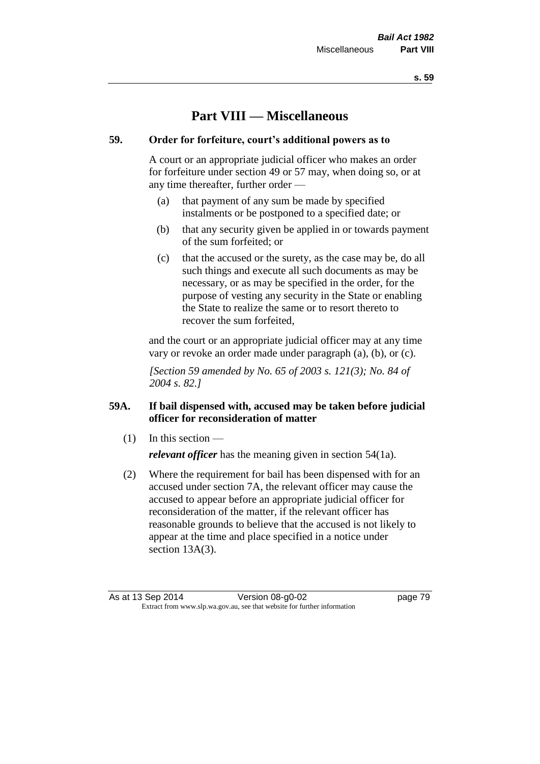# **Part VIII — Miscellaneous**

# **59. Order for forfeiture, court's additional powers as to**

A court or an appropriate judicial officer who makes an order for forfeiture under section 49 or 57 may, when doing so, or at any time thereafter, further order —

- (a) that payment of any sum be made by specified instalments or be postponed to a specified date; or
- (b) that any security given be applied in or towards payment of the sum forfeited; or
- (c) that the accused or the surety, as the case may be, do all such things and execute all such documents as may be necessary, or as may be specified in the order, for the purpose of vesting any security in the State or enabling the State to realize the same or to resort thereto to recover the sum forfeited,

and the court or an appropriate judicial officer may at any time vary or revoke an order made under paragraph (a), (b), or (c).

*[Section 59 amended by No. 65 of 2003 s. 121(3); No. 84 of 2004 s. 82.]*

# **59A. If bail dispensed with, accused may be taken before judicial officer for reconsideration of matter**

(1) In this section —

*relevant officer* has the meaning given in section 54(1a).

(2) Where the requirement for bail has been dispensed with for an accused under section 7A, the relevant officer may cause the accused to appear before an appropriate judicial officer for reconsideration of the matter, if the relevant officer has reasonable grounds to believe that the accused is not likely to appear at the time and place specified in a notice under section 13A(3).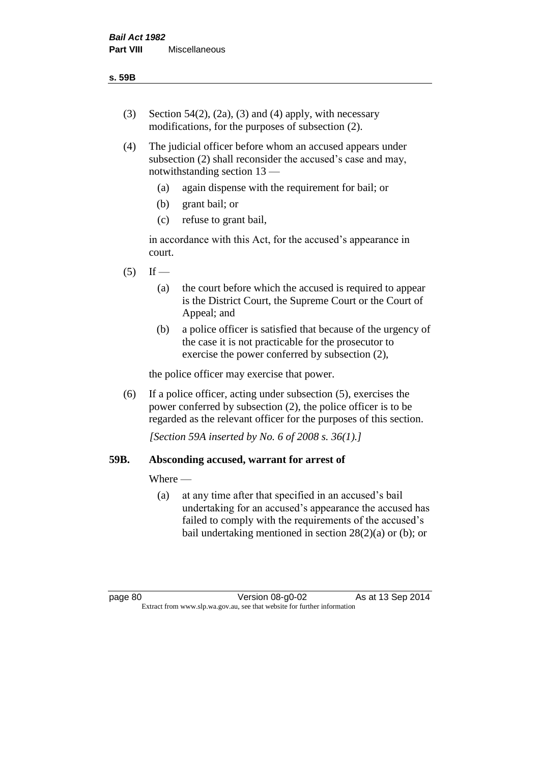- (3) Section 54(2), (2a), (3) and (4) apply, with necessary modifications, for the purposes of subsection (2).
- (4) The judicial officer before whom an accused appears under subsection (2) shall reconsider the accused's case and may, notwithstanding section 13 —
	- (a) again dispense with the requirement for bail; or
	- (b) grant bail; or
	- (c) refuse to grant bail,

in accordance with this Act, for the accused's appearance in court.

- $(5)$  If
	- (a) the court before which the accused is required to appear is the District Court, the Supreme Court or the Court of Appeal; and
	- (b) a police officer is satisfied that because of the urgency of the case it is not practicable for the prosecutor to exercise the power conferred by subsection (2),

the police officer may exercise that power.

(6) If a police officer, acting under subsection (5), exercises the power conferred by subsection (2), the police officer is to be regarded as the relevant officer for the purposes of this section.

*[Section 59A inserted by No. 6 of 2008 s. 36(1).]*

# **59B. Absconding accused, warrant for arrest of**

Where —

(a) at any time after that specified in an accused's bail undertaking for an accused's appearance the accused has failed to comply with the requirements of the accused's bail undertaking mentioned in section  $28(2)(a)$  or (b); or

page 80 Version 08-g0-02 As at 13 Sep 2014 Extract from www.slp.wa.gov.au, see that website for further information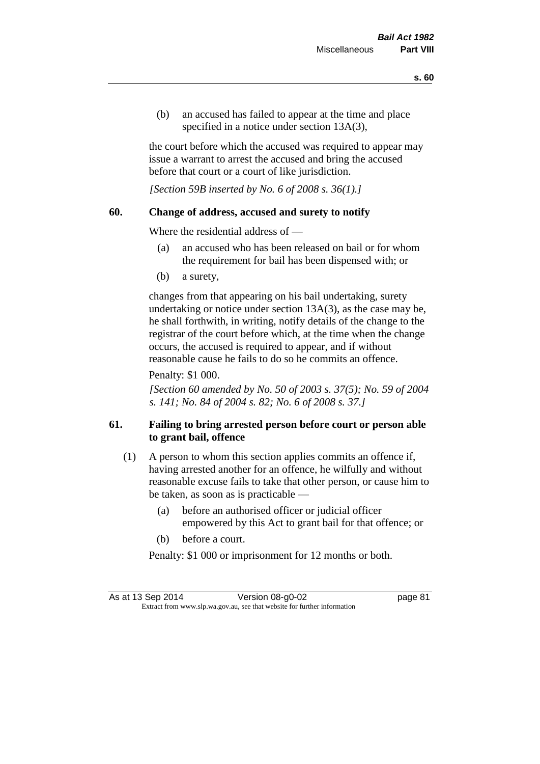(b) an accused has failed to appear at the time and place specified in a notice under section 13A(3).

the court before which the accused was required to appear may issue a warrant to arrest the accused and bring the accused before that court or a court of like jurisdiction.

*[Section 59B inserted by No. 6 of 2008 s. 36(1).]*

### **60. Change of address, accused and surety to notify**

Where the residential address of —

- (a) an accused who has been released on bail or for whom the requirement for bail has been dispensed with; or
- (b) a surety,

changes from that appearing on his bail undertaking, surety undertaking or notice under section 13A(3), as the case may be, he shall forthwith, in writing, notify details of the change to the registrar of the court before which, at the time when the change occurs, the accused is required to appear, and if without reasonable cause he fails to do so he commits an offence.

Penalty: \$1 000.

*[Section 60 amended by No. 50 of 2003 s. 37(5); No. 59 of 2004 s. 141; No. 84 of 2004 s. 82; No. 6 of 2008 s. 37.]*

# **61. Failing to bring arrested person before court or person able to grant bail, offence**

- (1) A person to whom this section applies commits an offence if, having arrested another for an offence, he wilfully and without reasonable excuse fails to take that other person, or cause him to be taken, as soon as is practicable —
	- (a) before an authorised officer or judicial officer empowered by this Act to grant bail for that offence; or
	- (b) before a court.

Penalty: \$1 000 or imprisonment for 12 months or both.

As at 13 Sep 2014 Version 08-g0-02 page 81 Extract from www.slp.wa.gov.au, see that website for further information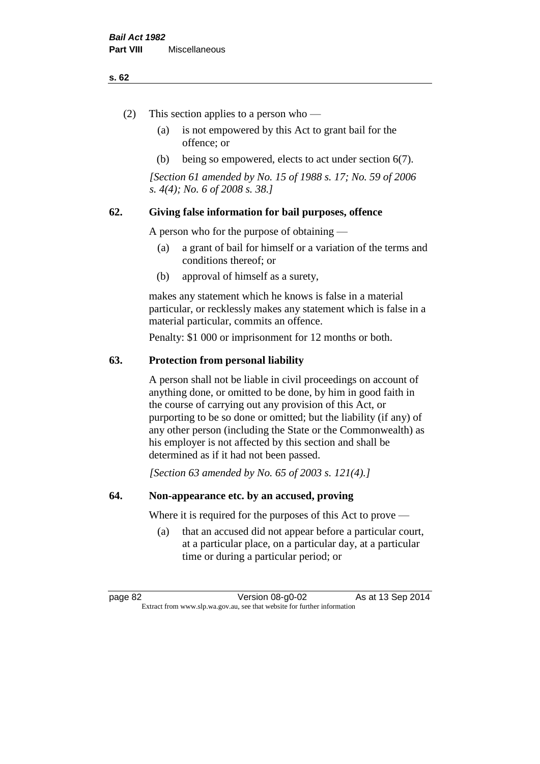#### **s. 62**

- (2) This section applies to a person who
	- (a) is not empowered by this Act to grant bail for the offence; or
	- (b) being so empowered, elects to act under section 6(7).

*[Section 61 amended by No. 15 of 1988 s. 17; No. 59 of 2006 s. 4(4); No. 6 of 2008 s. 38.]* 

# **62. Giving false information for bail purposes, offence**

A person who for the purpose of obtaining —

- (a) a grant of bail for himself or a variation of the terms and conditions thereof; or
- (b) approval of himself as a surety,

makes any statement which he knows is false in a material particular, or recklessly makes any statement which is false in a material particular, commits an offence.

Penalty: \$1 000 or imprisonment for 12 months or both.

### **63. Protection from personal liability**

A person shall not be liable in civil proceedings on account of anything done, or omitted to be done, by him in good faith in the course of carrying out any provision of this Act, or purporting to be so done or omitted; but the liability (if any) of any other person (including the State or the Commonwealth) as his employer is not affected by this section and shall be determined as if it had not been passed.

*[Section 63 amended by No. 65 of 2003 s. 121(4).]*

# **64. Non-appearance etc. by an accused, proving**

Where it is required for the purposes of this Act to prove —

(a) that an accused did not appear before a particular court, at a particular place, on a particular day, at a particular time or during a particular period; or

page 82 Version 08-g0-02 As at 13 Sep 2014 Extract from www.slp.wa.gov.au, see that website for further information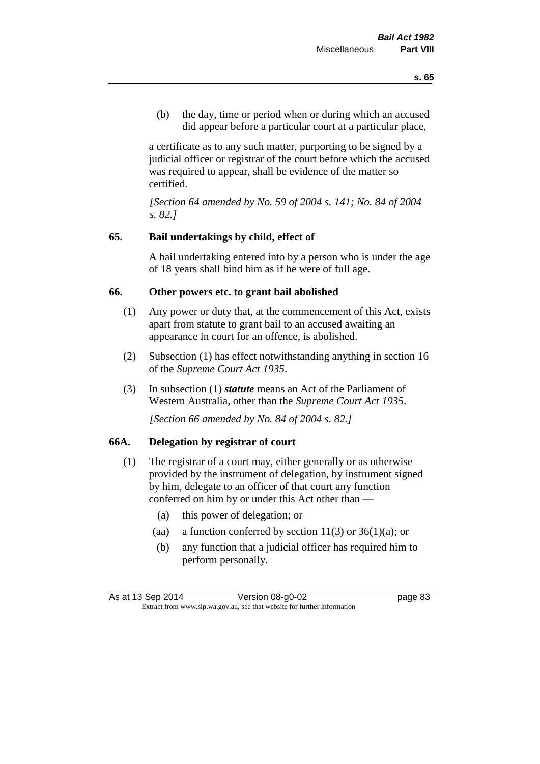(b) the day, time or period when or during which an accused did appear before a particular court at a particular place,

a certificate as to any such matter, purporting to be signed by a judicial officer or registrar of the court before which the accused was required to appear, shall be evidence of the matter so certified.

*[Section 64 amended by No. 59 of 2004 s. 141; No. 84 of 2004 s. 82.]* 

# **65. Bail undertakings by child, effect of**

A bail undertaking entered into by a person who is under the age of 18 years shall bind him as if he were of full age.

#### **66. Other powers etc. to grant bail abolished**

- (1) Any power or duty that, at the commencement of this Act, exists apart from statute to grant bail to an accused awaiting an appearance in court for an offence, is abolished.
- (2) Subsection (1) has effect notwithstanding anything in section 16 of the *Supreme Court Act 1935*.
- (3) In subsection (1) *statute* means an Act of the Parliament of Western Australia, other than the *Supreme Court Act 1935*.

*[Section 66 amended by No. 84 of 2004 s. 82.]*

### **66A. Delegation by registrar of court**

- (1) The registrar of a court may, either generally or as otherwise provided by the instrument of delegation, by instrument signed by him, delegate to an officer of that court any function conferred on him by or under this Act other than —
	- (a) this power of delegation; or
	- (aa) a function conferred by section  $11(3)$  or  $36(1)(a)$ ; or
	- (b) any function that a judicial officer has required him to perform personally.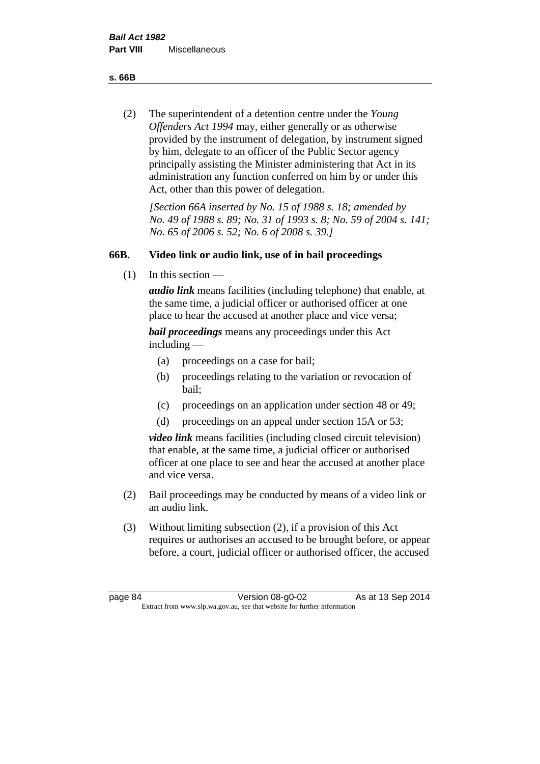**s. 66B**

(2) The superintendent of a detention centre under the *Young Offenders Act 1994* may, either generally or as otherwise provided by the instrument of delegation, by instrument signed by him, delegate to an officer of the Public Sector agency principally assisting the Minister administering that Act in its administration any function conferred on him by or under this Act, other than this power of delegation.

*[Section 66A inserted by No. 15 of 1988 s. 18; amended by No. 49 of 1988 s. 89; No. 31 of 1993 s. 8; No. 59 of 2004 s. 141; No. 65 of 2006 s. 52; No. 6 of 2008 s. 39.]* 

# **66B. Video link or audio link, use of in bail proceedings**

(1) In this section —

*audio link* means facilities (including telephone) that enable, at the same time, a judicial officer or authorised officer at one place to hear the accused at another place and vice versa;

*bail proceedings* means any proceedings under this Act including —

- (a) proceedings on a case for bail;
- (b) proceedings relating to the variation or revocation of bail;
- (c) proceedings on an application under section 48 or 49;
- (d) proceedings on an appeal under section 15A or 53;

*video link* means facilities (including closed circuit television) that enable, at the same time, a judicial officer or authorised officer at one place to see and hear the accused at another place and vice versa.

- (2) Bail proceedings may be conducted by means of a video link or an audio link.
- (3) Without limiting subsection (2), if a provision of this Act requires or authorises an accused to be brought before, or appear before, a court, judicial officer or authorised officer, the accused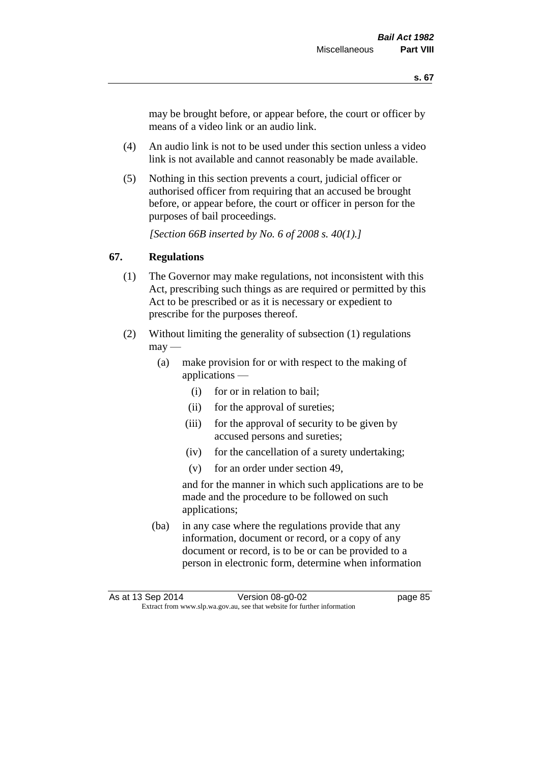may be brought before, or appear before, the court or officer by means of a video link or an audio link.

- (4) An audio link is not to be used under this section unless a video link is not available and cannot reasonably be made available.
- (5) Nothing in this section prevents a court, judicial officer or authorised officer from requiring that an accused be brought before, or appear before, the court or officer in person for the purposes of bail proceedings.

*[Section 66B inserted by No. 6 of 2008 s. 40(1).]*

### **67. Regulations**

- (1) The Governor may make regulations, not inconsistent with this Act, prescribing such things as are required or permitted by this Act to be prescribed or as it is necessary or expedient to prescribe for the purposes thereof.
- (2) Without limiting the generality of subsection (1) regulations  $\text{max}$  —
	- (a) make provision for or with respect to the making of applications —
		- (i) for or in relation to bail;
		- (ii) for the approval of sureties;
		- (iii) for the approval of security to be given by accused persons and sureties;
		- (iv) for the cancellation of a surety undertaking;
		- (v) for an order under section 49,

and for the manner in which such applications are to be made and the procedure to be followed on such applications;

(ba) in any case where the regulations provide that any information, document or record, or a copy of any document or record, is to be or can be provided to a person in electronic form, determine when information

As at 13 Sep 2014 Version 08-g0-02 page 85 Extract from www.slp.wa.gov.au, see that website for further information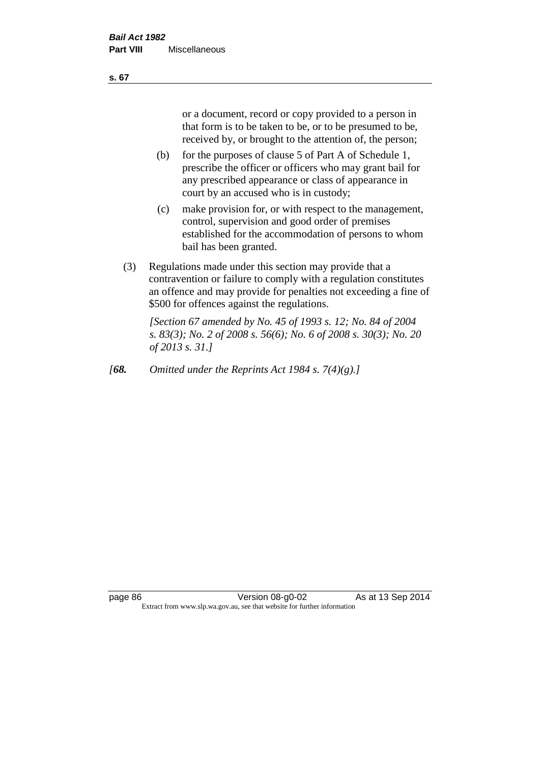or a document, record or copy provided to a person in that form is to be taken to be, or to be presumed to be, received by, or brought to the attention of, the person;

- (b) for the purposes of clause 5 of Part A of Schedule 1, prescribe the officer or officers who may grant bail for any prescribed appearance or class of appearance in court by an accused who is in custody;
- (c) make provision for, or with respect to the management, control, supervision and good order of premises established for the accommodation of persons to whom bail has been granted.
- (3) Regulations made under this section may provide that a contravention or failure to comply with a regulation constitutes an offence and may provide for penalties not exceeding a fine of \$500 for offences against the regulations.

*[Section 67 amended by No. 45 of 1993 s. 12; No. 84 of 2004 s. 83(3); No. 2 of 2008 s. 56(6); No. 6 of 2008 s. 30(3); No. 20 of 2013 s. 31.]* 

*[68. Omitted under the Reprints Act 1984 s. 7(4)(g).]*

**s. 67**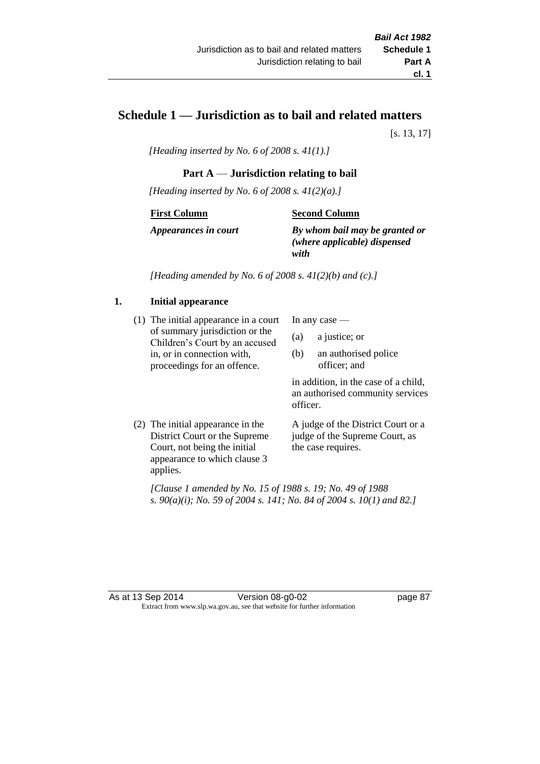# **Schedule 1 — Jurisdiction as to bail and related matters**

[s. 13, 17]

*[Heading inserted by No. 6 of 2008 s. 41(1).]*

# **Part A** — **Jurisdiction relating to bail**

*[Heading inserted by No. 6 of 2008 s. 41(2)(a).]*

#### **First Column**

#### **Second Column**

*Appearances in court*

*By whom bail may be granted or (where applicable) dispensed with*

*[Heading amended by No. 6 of 2008 s. 41(2)(b) and (c).]*

# **1. Initial appearance**

(1) The initial appearance in a court of summary jurisdiction or the Children's Court by an accused in, or in connection with, proceedings for an offence.

In any case —

- (a) a justice; or
- (b) an authorised police officer; and

in addition, in the case of a child, an authorised community services officer.

(2) The initial appearance in the District Court or the Supreme Court, not being the initial appearance to which clause 3 applies.

A judge of the District Court or a judge of the Supreme Court, as the case requires.

*[Clause 1 amended by No. 15 of 1988 s. 19; No. 49 of 1988 s. 90(a)(i); No. 59 of 2004 s. 141; No. 84 of 2004 s. 10(1) and 82.]*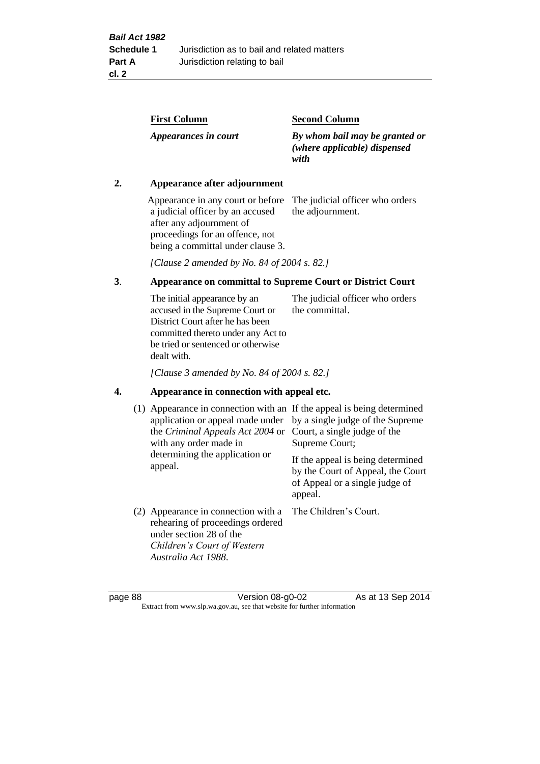| <b>First Column</b>  | <b>Second Column</b>                                                   |
|----------------------|------------------------------------------------------------------------|
| Appearances in court | By whom bail may be granted or<br>(where applicable) dispensed<br>with |

### **2. Appearance after adjournment**

Appearance in any court or before The judicial officer who orders a judicial officer by an accused after any adjournment of proceedings for an offence, not being a committal under clause 3.

the adjournment.

*[Clause 2 amended by No. 84 of 2004 s. 82.]*

# **3**. **Appearance on committal to Supreme Court or District Court**

The initial appearance by an accused in the Supreme Court or District Court after he has been committed thereto under any Act to be tried or sentenced or otherwise dealt with. The judicial officer who orders the committal.

*[Clause 3 amended by No. 84 of 2004 s. 82.]*

#### **4. Appearance in connection with appeal etc.**

| (1) Appearance in connection with an If the appeal is being determined<br>application or appeal made under<br>the <i>Criminal Appeals Act 2004</i> or<br>with any order made in<br>determining the application or<br>appeal. | by a single judge of the Supreme<br>Court, a single judge of the<br>Supreme Court;<br>If the appeal is being determined<br>by the Court of Appeal, the Court<br>of Appeal or a single judge of<br>appeal. |
|------------------------------------------------------------------------------------------------------------------------------------------------------------------------------------------------------------------------------|-----------------------------------------------------------------------------------------------------------------------------------------------------------------------------------------------------------|
| (2) Appearance in connection with a<br>rehearing of proceedings ordered<br>under section 28 of the<br>Children's Court of Western<br>Australia Act 1988.                                                                     | The Children's Court.                                                                                                                                                                                     |

page 88 Version 08-g0-02 As at 13 Sep 2014 Extract from www.slp.wa.gov.au, see that website for further information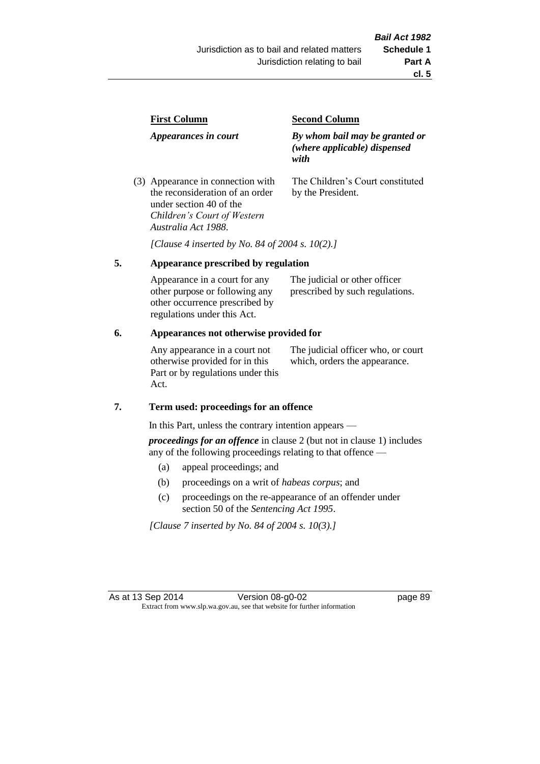| <b>First Column</b>                                                 | <b>Second Column</b>                                                   |  |
|---------------------------------------------------------------------|------------------------------------------------------------------------|--|
| Appearances in court                                                | By whom bail may be granted or<br>(where applicable) dispensed<br>with |  |
| (3) Appearance in connection with<br>the reconcidention of an order | The Children's Court constituted<br>hu tha Drosidant                   |  |

the reconsideration of an order under section 40 of the *Children's Court of Western Australia Act 1988*. by the President.

*[Clause 4 inserted by No. 84 of 2004 s. 10(2).]*

# **5. Appearance prescribed by regulation**

| Appearance in a court for any  | The judicial or other officer   |
|--------------------------------|---------------------------------|
| other purpose or following any | prescribed by such regulations. |
| other occurrence prescribed by |                                 |
| regulations under this Act.    |                                 |

### **6. Appearances not otherwise provided for**

Any appearance in a court not otherwise provided for in this Part or by regulations under this Act.

The judicial officer who, or court which, orders the appearance.

#### **7. Term used: proceedings for an offence**

In this Part, unless the contrary intention appears —

*proceedings for an offence* in clause 2 (but not in clause 1) includes any of the following proceedings relating to that offence —

- (a) appeal proceedings; and
- (b) proceedings on a writ of *habeas corpus*; and
- (c) proceedings on the re-appearance of an offender under section 50 of the *Sentencing Act 1995*.

*[Clause 7 inserted by No. 84 of 2004 s. 10(3).]*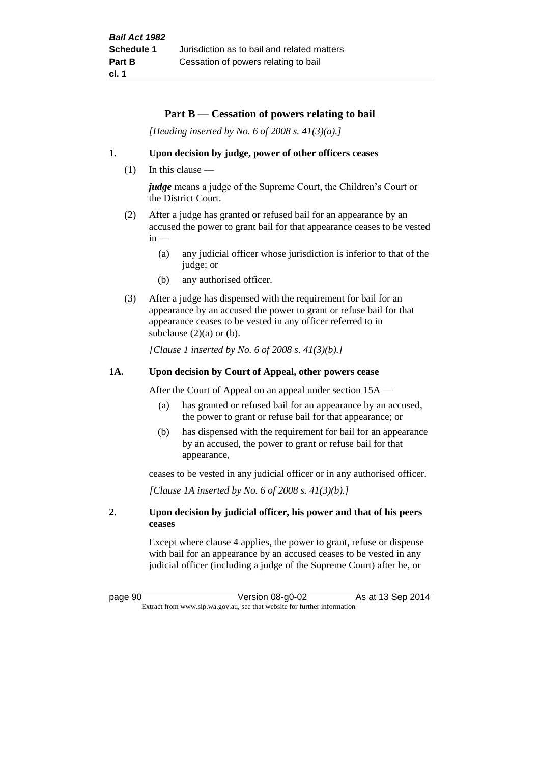### **Part B** — **Cessation of powers relating to bail**

*[Heading inserted by No. 6 of 2008 s. 41(3)(a).]*

#### **1. Upon decision by judge, power of other officers ceases**

 $(1)$  In this clause —

*judge* means a judge of the Supreme Court, the Children's Court or the District Court.

- (2) After a judge has granted or refused bail for an appearance by an accused the power to grant bail for that appearance ceases to be vested  $in -$ 
	- (a) any judicial officer whose jurisdiction is inferior to that of the judge; or
	- (b) any authorised officer.
- (3) After a judge has dispensed with the requirement for bail for an appearance by an accused the power to grant or refuse bail for that appearance ceases to be vested in any officer referred to in subclause  $(2)(a)$  or  $(b)$ .

*[Clause 1 inserted by No. 6 of 2008 s. 41(3)(b).]*

#### **1A. Upon decision by Court of Appeal, other powers cease**

After the Court of Appeal on an appeal under section 15A —

- (a) has granted or refused bail for an appearance by an accused, the power to grant or refuse bail for that appearance; or
- (b) has dispensed with the requirement for bail for an appearance by an accused, the power to grant or refuse bail for that appearance,

ceases to be vested in any judicial officer or in any authorised officer.

*[Clause 1A inserted by No. 6 of 2008 s. 41(3)(b).]*

#### **2. Upon decision by judicial officer, his power and that of his peers ceases**

Except where clause 4 applies, the power to grant, refuse or dispense with bail for an appearance by an accused ceases to be vested in any judicial officer (including a judge of the Supreme Court) after he, or

page 90 Version 08-g0-02 As at 13 Sep 2014 Extract from www.slp.wa.gov.au, see that website for further information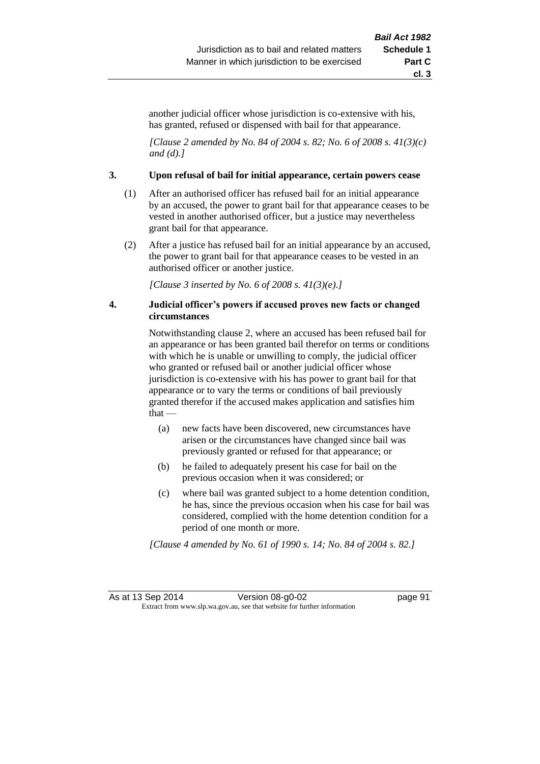another judicial officer whose jurisdiction is co-extensive with his, has granted, refused or dispensed with bail for that appearance.

*[Clause 2 amended by No. 84 of 2004 s. 82; No. 6 of 2008 s. 41(3)(c) and (d).]*

#### **3. Upon refusal of bail for initial appearance, certain powers cease**

- (1) After an authorised officer has refused bail for an initial appearance by an accused, the power to grant bail for that appearance ceases to be vested in another authorised officer, but a justice may nevertheless grant bail for that appearance.
- (2) After a justice has refused bail for an initial appearance by an accused, the power to grant bail for that appearance ceases to be vested in an authorised officer or another justice.

*[Clause 3 inserted by No. 6 of 2008 s. 41(3)(e).]*

#### **4. Judicial officer's powers if accused proves new facts or changed circumstances**

Notwithstanding clause 2, where an accused has been refused bail for an appearance or has been granted bail therefor on terms or conditions with which he is unable or unwilling to comply, the judicial officer who granted or refused bail or another judicial officer whose jurisdiction is co-extensive with his has power to grant bail for that appearance or to vary the terms or conditions of bail previously granted therefor if the accused makes application and satisfies him that —

- (a) new facts have been discovered, new circumstances have arisen or the circumstances have changed since bail was previously granted or refused for that appearance; or
- (b) he failed to adequately present his case for bail on the previous occasion when it was considered; or
- (c) where bail was granted subject to a home detention condition, he has, since the previous occasion when his case for bail was considered, complied with the home detention condition for a period of one month or more.

*[Clause 4 amended by No. 61 of 1990 s. 14; No. 84 of 2004 s. 82.]*

As at 13 Sep 2014 Version 08-g0-02 page 91 Extract from www.slp.wa.gov.au, see that website for further information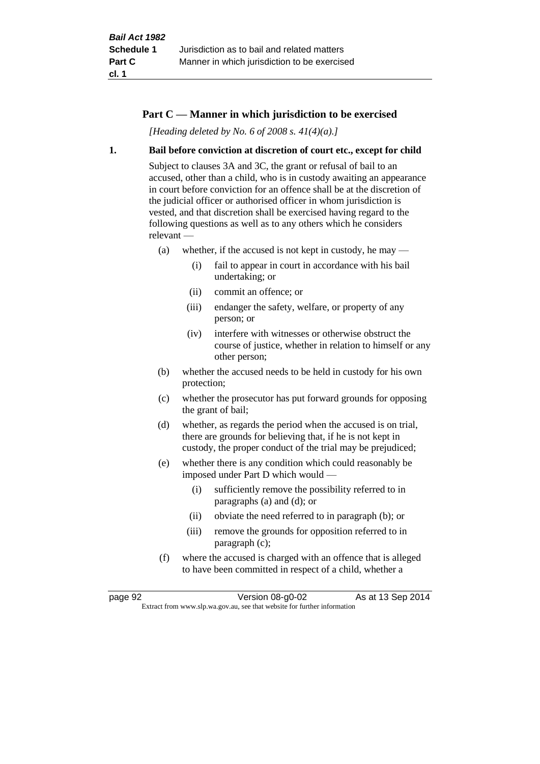### **Part C — Manner in which jurisdiction to be exercised**

*[Heading deleted by No. 6 of 2008 s. 41(4)(a).]*

#### **1. Bail before conviction at discretion of court etc., except for child**

Subject to clauses 3A and 3C, the grant or refusal of bail to an accused, other than a child, who is in custody awaiting an appearance in court before conviction for an offence shall be at the discretion of the judicial officer or authorised officer in whom jurisdiction is vested, and that discretion shall be exercised having regard to the following questions as well as to any others which he considers relevant —

- (a) whether, if the accused is not kept in custody, he may
	- (i) fail to appear in court in accordance with his bail undertaking; or
	- (ii) commit an offence; or
	- (iii) endanger the safety, welfare, or property of any person; or
	- (iv) interfere with witnesses or otherwise obstruct the course of justice, whether in relation to himself or any other person;
- (b) whether the accused needs to be held in custody for his own protection;
- (c) whether the prosecutor has put forward grounds for opposing the grant of bail;
- (d) whether, as regards the period when the accused is on trial, there are grounds for believing that, if he is not kept in custody, the proper conduct of the trial may be prejudiced;
- (e) whether there is any condition which could reasonably be imposed under Part D which would —
	- (i) sufficiently remove the possibility referred to in paragraphs (a) and (d); or
	- (ii) obviate the need referred to in paragraph (b); or
	- (iii) remove the grounds for opposition referred to in paragraph (c);
- (f) where the accused is charged with an offence that is alleged to have been committed in respect of a child, whether a

page 92 Version 08-g0-02 As at 13 Sep 2014 Extract from www.slp.wa.gov.au, see that website for further information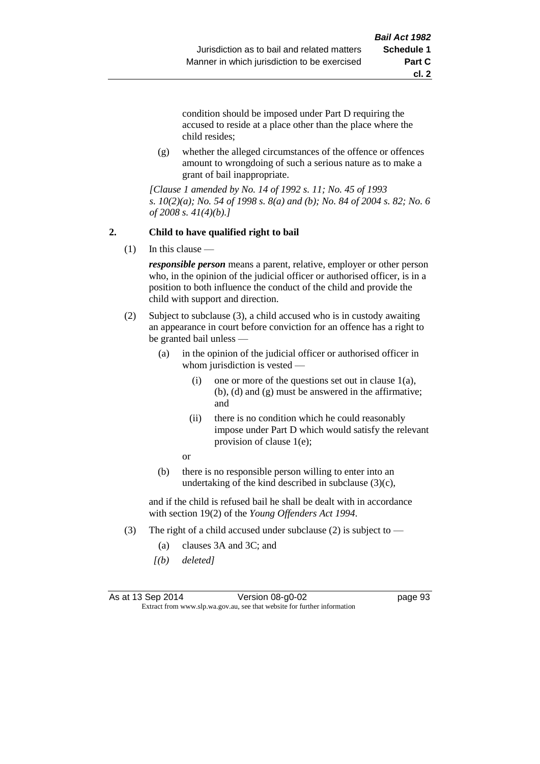**cl. 2**

condition should be imposed under Part D requiring the accused to reside at a place other than the place where the child resides;

(g) whether the alleged circumstances of the offence or offences amount to wrongdoing of such a serious nature as to make a grant of bail inappropriate.

*[Clause 1 amended by No. 14 of 1992 s. 11; No. 45 of 1993 s. 10(2)(a); No. 54 of 1998 s. 8(a) and (b); No. 84 of 2004 s. 82; No. 6 of 2008 s. 41(4)(b).]*

### **2. Child to have qualified right to bail**

(1) In this clause —

*responsible person* means a parent, relative, employer or other person who, in the opinion of the judicial officer or authorised officer, is in a position to both influence the conduct of the child and provide the child with support and direction.

- (2) Subject to subclause (3), a child accused who is in custody awaiting an appearance in court before conviction for an offence has a right to be granted bail unless —
	- (a) in the opinion of the judicial officer or authorised officer in whom jurisdiction is vested —
		- (i) one or more of the questions set out in clause 1(a), (b), (d) and (g) must be answered in the affirmative; and
		- (ii) there is no condition which he could reasonably impose under Part D which would satisfy the relevant provision of clause 1(e);

or

(b) there is no responsible person willing to enter into an undertaking of the kind described in subclause  $(3)(c)$ ,

and if the child is refused bail he shall be dealt with in accordance with section 19(2) of the *Young Offenders Act 1994*.

- (3) The right of a child accused under subclause (2) is subject to  $-$ 
	- (a) clauses 3A and 3C; and
	- *[(b) deleted]*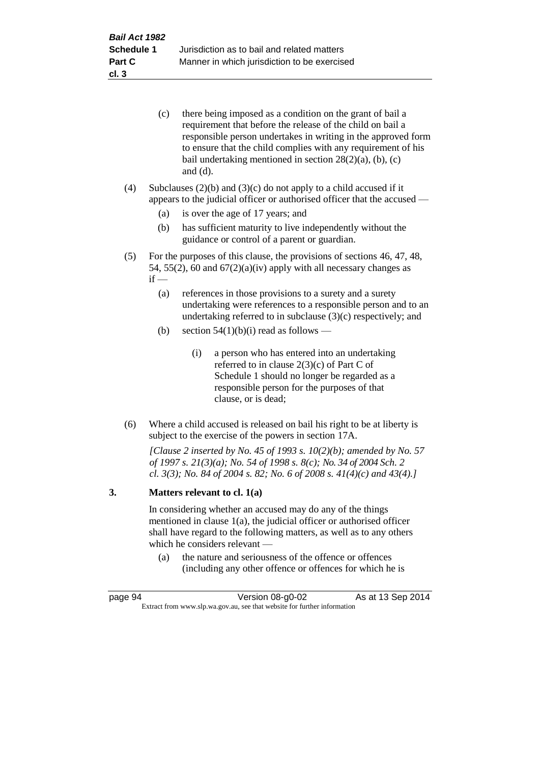| (c) | there being imposed as a condition on the grant of bail a     |
|-----|---------------------------------------------------------------|
|     | requirement that before the release of the child on bail a    |
|     | responsible person undertakes in writing in the approved form |
|     | to ensure that the child complies with any requirement of his |
|     | bail undertaking mentioned in section $28(2)(a)$ , (b), (c)   |
|     | and $(d)$ .                                                   |

(4) Subclauses  $(2)(b)$  and  $(3)(c)$  do not apply to a child accused if it appears to the judicial officer or authorised officer that the accused —

- (a) is over the age of 17 years; and
- (b) has sufficient maturity to live independently without the guidance or control of a parent or guardian.
- (5) For the purposes of this clause, the provisions of sections 46, 47, 48, 54, 55(2), 60 and  $67(2)(a)(iv)$  apply with all necessary changes as  $if -$ 
	- (a) references in those provisions to a surety and a surety undertaking were references to a responsible person and to an undertaking referred to in subclause (3)(c) respectively; and
	- (b) section  $54(1)(b)(i)$  read as follows
		- (i) a person who has entered into an undertaking referred to in clause 2(3)(c) of Part C of Schedule 1 should no longer be regarded as a responsible person for the purposes of that clause, or is dead;
- (6) Where a child accused is released on bail his right to be at liberty is subject to the exercise of the powers in section 17A.

*[Clause 2 inserted by No. 45 of 1993 s. 10(2)(b); amended by No. 57 of 1997 s. 21(3)(a); No. 54 of 1998 s. 8(c); No. 34 of 2004 Sch. 2 cl. 3(3); No. 84 of 2004 s. 82; No. 6 of 2008 s. 41(4)(c) and 43(4).]*

#### **3. Matters relevant to cl. 1(a)**

In considering whether an accused may do any of the things mentioned in clause 1(a), the judicial officer or authorised officer shall have regard to the following matters, as well as to any others which he considers relevant —

(a) the nature and seriousness of the offence or offences (including any other offence or offences for which he is

| page 94                                                                  | Version 08-g0-02 | As at 13 Sep 2014 |
|--------------------------------------------------------------------------|------------------|-------------------|
| Extract from www.slp.wa.gov.au, see that website for further information |                  |                   |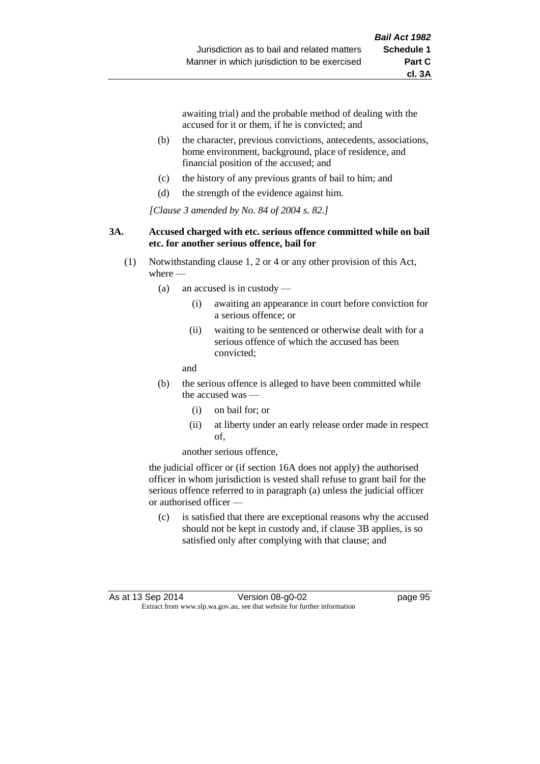awaiting trial) and the probable method of dealing with the accused for it or them, if he is convicted; and

- (b) the character, previous convictions, antecedents, associations, home environment, background, place of residence, and financial position of the accused; and
- (c) the history of any previous grants of bail to him; and
- (d) the strength of the evidence against him.

*[Clause 3 amended by No. 84 of 2004 s. 82.]*

#### **3A. Accused charged with etc. serious offence committed while on bail etc. for another serious offence, bail for**

- (1) Notwithstanding clause 1, 2 or 4 or any other provision of this Act, where -
	- (a) an accused is in custody
		- (i) awaiting an appearance in court before conviction for a serious offence; or
		- (ii) waiting to be sentenced or otherwise dealt with for a serious offence of which the accused has been convicted;

and

- (b) the serious offence is alleged to have been committed while the accused was
	- (i) on bail for; or
	- (ii) at liberty under an early release order made in respect of,

another serious offence,

the judicial officer or (if section 16A does not apply) the authorised officer in whom jurisdiction is vested shall refuse to grant bail for the serious offence referred to in paragraph (a) unless the judicial officer or authorised officer —

(c) is satisfied that there are exceptional reasons why the accused should not be kept in custody and, if clause 3B applies, is so satisfied only after complying with that clause; and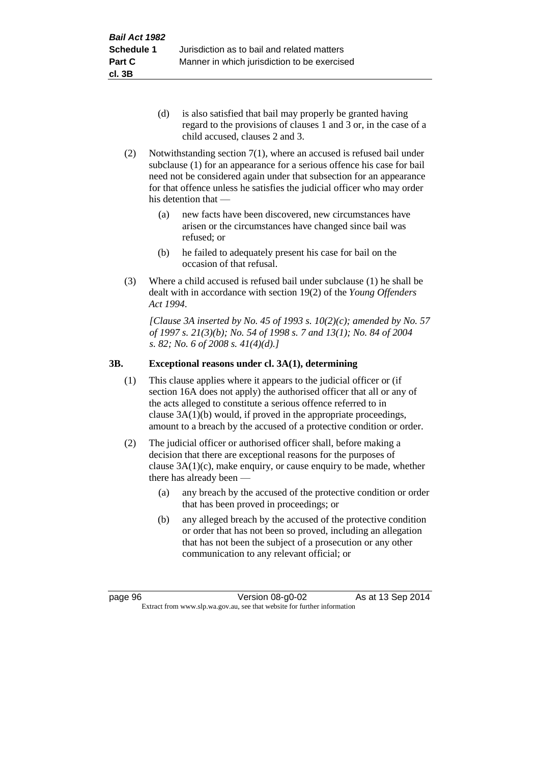- (d) is also satisfied that bail may properly be granted having regard to the provisions of clauses 1 and 3 or, in the case of a child accused, clauses 2 and 3.
- (2) Notwithstanding section 7(1), where an accused is refused bail under subclause (1) for an appearance for a serious offence his case for bail need not be considered again under that subsection for an appearance for that offence unless he satisfies the judicial officer who may order his detention that —
	- (a) new facts have been discovered, new circumstances have arisen or the circumstances have changed since bail was refused; or
	- (b) he failed to adequately present his case for bail on the occasion of that refusal.
- (3) Where a child accused is refused bail under subclause (1) he shall be dealt with in accordance with section 19(2) of the *Young Offenders Act 1994*.

*[Clause 3A inserted by No. 45 of 1993 s. 10(2)(c); amended by No. 57 of 1997 s. 21(3)(b); No. 54 of 1998 s. 7 and 13(1); No. 84 of 2004 s. 82; No. 6 of 2008 s. 41(4)(d).]*

# **3B. Exceptional reasons under cl. 3A(1), determining**

- (1) This clause applies where it appears to the judicial officer or (if section 16A does not apply) the authorised officer that all or any of the acts alleged to constitute a serious offence referred to in clause 3A(1)(b) would, if proved in the appropriate proceedings, amount to a breach by the accused of a protective condition or order.
- (2) The judicial officer or authorised officer shall, before making a decision that there are exceptional reasons for the purposes of clause  $3A(1)(c)$ , make enquiry, or cause enquiry to be made, whether there has already been —
	- (a) any breach by the accused of the protective condition or order that has been proved in proceedings; or
	- (b) any alleged breach by the accused of the protective condition or order that has not been so proved, including an allegation that has not been the subject of a prosecution or any other communication to any relevant official; or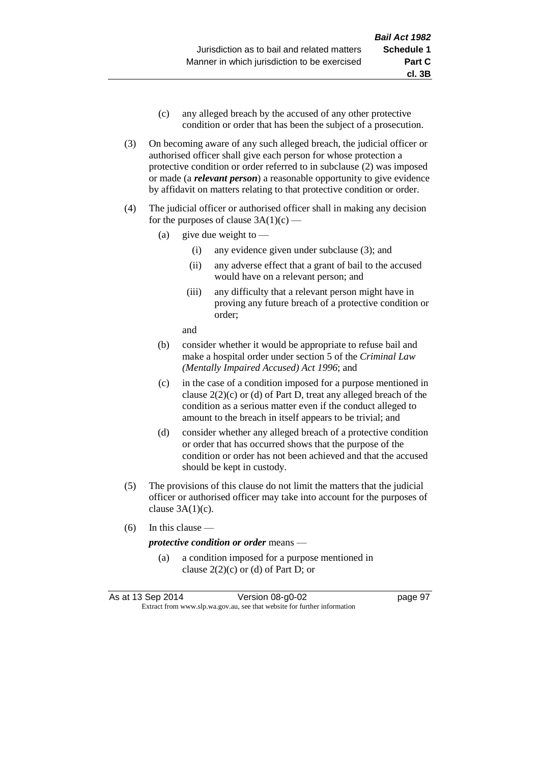- (c) any alleged breach by the accused of any other protective condition or order that has been the subject of a prosecution.
- (3) On becoming aware of any such alleged breach, the judicial officer or authorised officer shall give each person for whose protection a protective condition or order referred to in subclause (2) was imposed or made (a *relevant person*) a reasonable opportunity to give evidence by affidavit on matters relating to that protective condition or order.
- (4) The judicial officer or authorised officer shall in making any decision for the purposes of clause  $3A(1)(c)$  —
	- (a) give due weight to  $-$ 
		- (i) any evidence given under subclause (3); and
		- (ii) any adverse effect that a grant of bail to the accused would have on a relevant person; and
		- (iii) any difficulty that a relevant person might have in proving any future breach of a protective condition or order;

and

- (b) consider whether it would be appropriate to refuse bail and make a hospital order under section 5 of the *Criminal Law (Mentally Impaired Accused) Act 1996*; and
- (c) in the case of a condition imposed for a purpose mentioned in clause 2(2)(c) or (d) of Part D, treat any alleged breach of the condition as a serious matter even if the conduct alleged to amount to the breach in itself appears to be trivial; and
- (d) consider whether any alleged breach of a protective condition or order that has occurred shows that the purpose of the condition or order has not been achieved and that the accused should be kept in custody.
- (5) The provisions of this clause do not limit the matters that the judicial officer or authorised officer may take into account for the purposes of clause  $3A(1)(c)$ .
- (6) In this clause —

#### *protective condition or order* means —

(a) a condition imposed for a purpose mentioned in clause  $2(2)(c)$  or (d) of Part D; or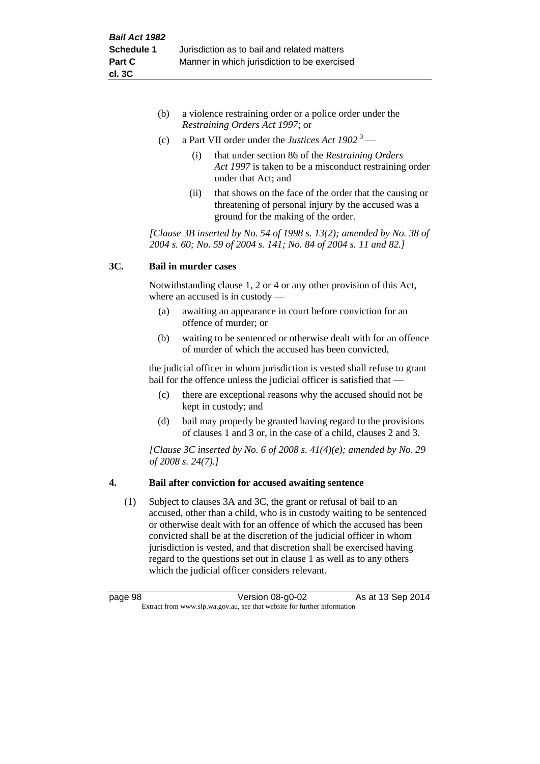- (b) a violence restraining order or a police order under the *Restraining Orders Act 1997*; or
- (c) a Part VII order under the *Justices Act 1902* <sup>3</sup>
	- (i) that under section 86 of the *Restraining Orders Act 1997* is taken to be a misconduct restraining order under that Act; and
	- (ii) that shows on the face of the order that the causing or threatening of personal injury by the accused was a ground for the making of the order.

*[Clause 3B inserted by No. 54 of 1998 s. 13(2); amended by No. 38 of 2004 s. 60; No. 59 of 2004 s. 141; No. 84 of 2004 s. 11 and 82.]*

# **3C. Bail in murder cases**

Notwithstanding clause 1, 2 or 4 or any other provision of this Act, where an accused is in custody —

- (a) awaiting an appearance in court before conviction for an offence of murder; or
- (b) waiting to be sentenced or otherwise dealt with for an offence of murder of which the accused has been convicted,

the judicial officer in whom jurisdiction is vested shall refuse to grant bail for the offence unless the judicial officer is satisfied that —

- (c) there are exceptional reasons why the accused should not be kept in custody; and
- (d) bail may properly be granted having regard to the provisions of clauses 1 and 3 or, in the case of a child, clauses 2 and 3.

*[Clause 3C inserted by No. 6 of 2008 s. 41(4)(e); amended by No. 29 of 2008 s. 24(7).]*

# **4. Bail after conviction for accused awaiting sentence**

(1) Subject to clauses 3A and 3C, the grant or refusal of bail to an accused, other than a child, who is in custody waiting to be sentenced or otherwise dealt with for an offence of which the accused has been convicted shall be at the discretion of the judicial officer in whom jurisdiction is vested, and that discretion shall be exercised having regard to the questions set out in clause 1 as well as to any others which the judicial officer considers relevant.

page 98 Version 08-g0-02 As at 13 Sep 2014 Extract from www.slp.wa.gov.au, see that website for further information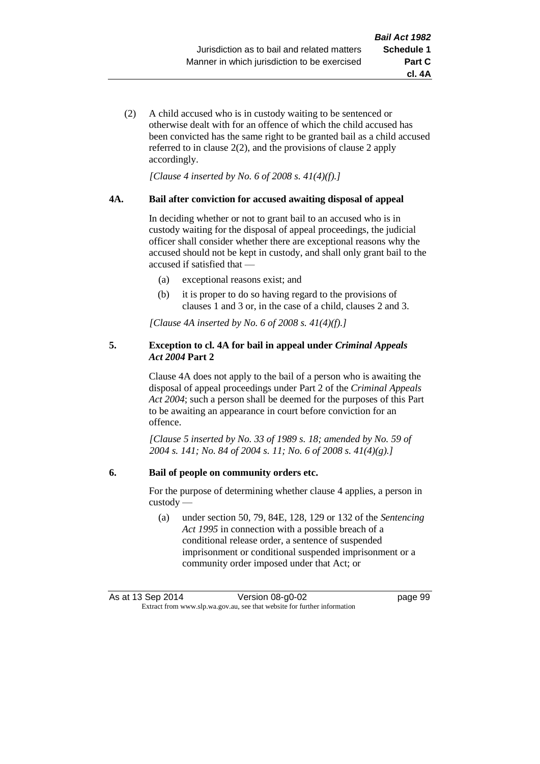**cl. 4A**

(2) A child accused who is in custody waiting to be sentenced or otherwise dealt with for an offence of which the child accused has been convicted has the same right to be granted bail as a child accused referred to in clause 2(2), and the provisions of clause 2 apply accordingly.

*[Clause 4 inserted by No. 6 of 2008 s. 41(4)(f).]*

#### **4A. Bail after conviction for accused awaiting disposal of appeal**

In deciding whether or not to grant bail to an accused who is in custody waiting for the disposal of appeal proceedings, the judicial officer shall consider whether there are exceptional reasons why the accused should not be kept in custody, and shall only grant bail to the accused if satisfied that —

- (a) exceptional reasons exist; and
- (b) it is proper to do so having regard to the provisions of clauses 1 and 3 or, in the case of a child, clauses 2 and 3.

*[Clause 4A inserted by No. 6 of 2008 s. 41(4)(f).]*

#### **5. Exception to cl. 4A for bail in appeal under** *Criminal Appeals Act 2004* **Part 2**

Clause 4A does not apply to the bail of a person who is awaiting the disposal of appeal proceedings under Part 2 of the *Criminal Appeals Act 2004*; such a person shall be deemed for the purposes of this Part to be awaiting an appearance in court before conviction for an offence.

*[Clause 5 inserted by No. 33 of 1989 s. 18; amended by No. 59 of 2004 s. 141; No. 84 of 2004 s. 11; No. 6 of 2008 s. 41(4)(g).]*

#### **6. Bail of people on community orders etc.**

For the purpose of determining whether clause 4 applies, a person in custody —

(a) under section 50, 79, 84E, 128, 129 or 132 of the *Sentencing Act 1995* in connection with a possible breach of a conditional release order, a sentence of suspended imprisonment or conditional suspended imprisonment or a community order imposed under that Act; or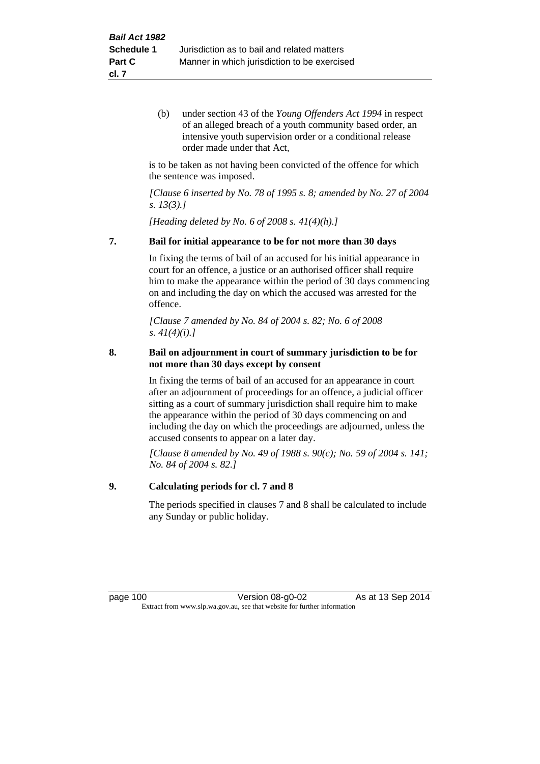(b) under section 43 of the *Young Offenders Act 1994* in respect of an alleged breach of a youth community based order, an intensive youth supervision order or a conditional release order made under that Act,

is to be taken as not having been convicted of the offence for which the sentence was imposed.

*[Clause 6 inserted by No. 78 of 1995 s. 8; amended by No. 27 of 2004 s. 13(3).]*

*[Heading deleted by No. 6 of 2008 s. 41(4)(h).]*

#### **7. Bail for initial appearance to be for not more than 30 days**

In fixing the terms of bail of an accused for his initial appearance in court for an offence, a justice or an authorised officer shall require him to make the appearance within the period of 30 days commencing on and including the day on which the accused was arrested for the offence.

*[Clause 7 amended by No. 84 of 2004 s. 82; No. 6 of 2008 s. 41(4)(i).]*

#### **8. Bail on adjournment in court of summary jurisdiction to be for not more than 30 days except by consent**

In fixing the terms of bail of an accused for an appearance in court after an adjournment of proceedings for an offence, a judicial officer sitting as a court of summary jurisdiction shall require him to make the appearance within the period of 30 days commencing on and including the day on which the proceedings are adjourned, unless the accused consents to appear on a later day.

*[Clause 8 amended by No. 49 of 1988 s. 90(c); No. 59 of 2004 s. 141; No. 84 of 2004 s. 82.]*

#### **9. Calculating periods for cl. 7 and 8**

The periods specified in clauses 7 and 8 shall be calculated to include any Sunday or public holiday.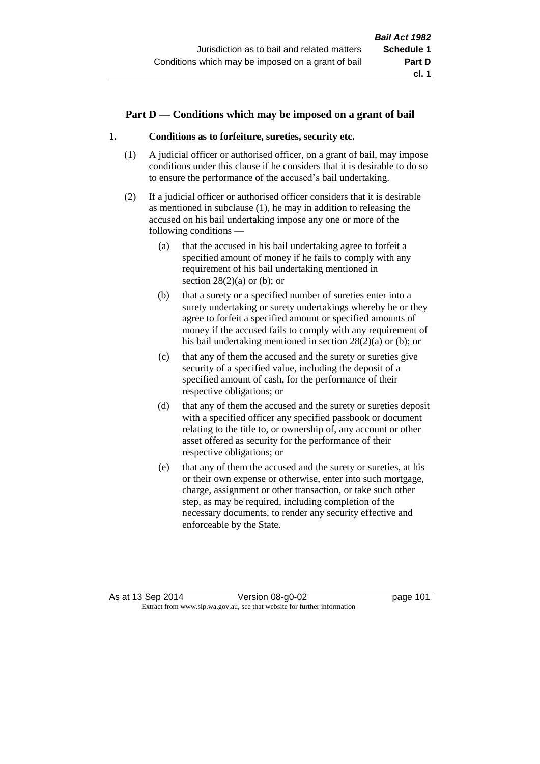### **Part D — Conditions which may be imposed on a grant of bail**

#### **1. Conditions as to forfeiture, sureties, security etc.**

- (1) A judicial officer or authorised officer, on a grant of bail, may impose conditions under this clause if he considers that it is desirable to do so to ensure the performance of the accused's bail undertaking.
- (2) If a judicial officer or authorised officer considers that it is desirable as mentioned in subclause (1), he may in addition to releasing the accused on his bail undertaking impose any one or more of the following conditions —
	- (a) that the accused in his bail undertaking agree to forfeit a specified amount of money if he fails to comply with any requirement of his bail undertaking mentioned in section  $28(2)(a)$  or (b); or
	- (b) that a surety or a specified number of sureties enter into a surety undertaking or surety undertakings whereby he or they agree to forfeit a specified amount or specified amounts of money if the accused fails to comply with any requirement of his bail undertaking mentioned in section 28(2)(a) or (b); or
	- (c) that any of them the accused and the surety or sureties give security of a specified value, including the deposit of a specified amount of cash, for the performance of their respective obligations; or
	- (d) that any of them the accused and the surety or sureties deposit with a specified officer any specified passbook or document relating to the title to, or ownership of, any account or other asset offered as security for the performance of their respective obligations; or
	- (e) that any of them the accused and the surety or sureties, at his or their own expense or otherwise, enter into such mortgage, charge, assignment or other transaction, or take such other step, as may be required, including completion of the necessary documents, to render any security effective and enforceable by the State.

As at 13 Sep 2014 Version 08-g0-02 page 101 Extract from www.slp.wa.gov.au, see that website for further information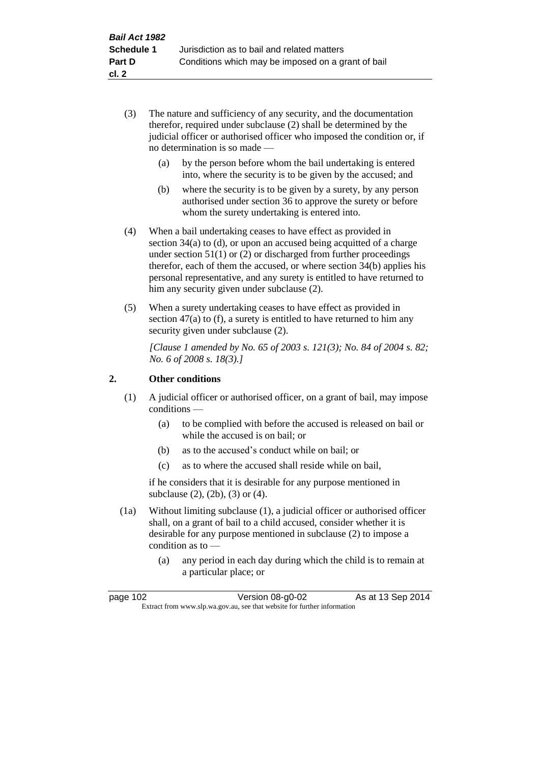- (3) The nature and sufficiency of any security, and the documentation therefor, required under subclause (2) shall be determined by the judicial officer or authorised officer who imposed the condition or, if no determination is so made —
	- (a) by the person before whom the bail undertaking is entered into, where the security is to be given by the accused; and
	- (b) where the security is to be given by a surety, by any person authorised under section 36 to approve the surety or before whom the surety undertaking is entered into.
- (4) When a bail undertaking ceases to have effect as provided in section 34(a) to (d), or upon an accused being acquitted of a charge under section 51(1) or (2) or discharged from further proceedings therefor, each of them the accused, or where section 34(b) applies his personal representative, and any surety is entitled to have returned to him any security given under subclause (2).
- (5) When a surety undertaking ceases to have effect as provided in section 47(a) to (f), a surety is entitled to have returned to him any security given under subclause  $(2)$ .

*[Clause 1 amended by No. 65 of 2003 s. 121(3); No. 84 of 2004 s. 82; No. 6 of 2008 s. 18(3).]*

### **2. Other conditions**

- (1) A judicial officer or authorised officer, on a grant of bail, may impose conditions —
	- (a) to be complied with before the accused is released on bail or while the accused is on bail; or
	- (b) as to the accused's conduct while on bail; or
	- (c) as to where the accused shall reside while on bail,

if he considers that it is desirable for any purpose mentioned in subclause (2), (2b), (3) or (4).

- (1a) Without limiting subclause (1), a judicial officer or authorised officer shall, on a grant of bail to a child accused, consider whether it is desirable for any purpose mentioned in subclause (2) to impose a condition as to —
	- (a) any period in each day during which the child is to remain at a particular place; or

| page 102 | Version 08-g0-02                                                         | As at 13 Sep 2014 |
|----------|--------------------------------------------------------------------------|-------------------|
|          | Extract from www.slp.wa.gov.au, see that website for further information |                   |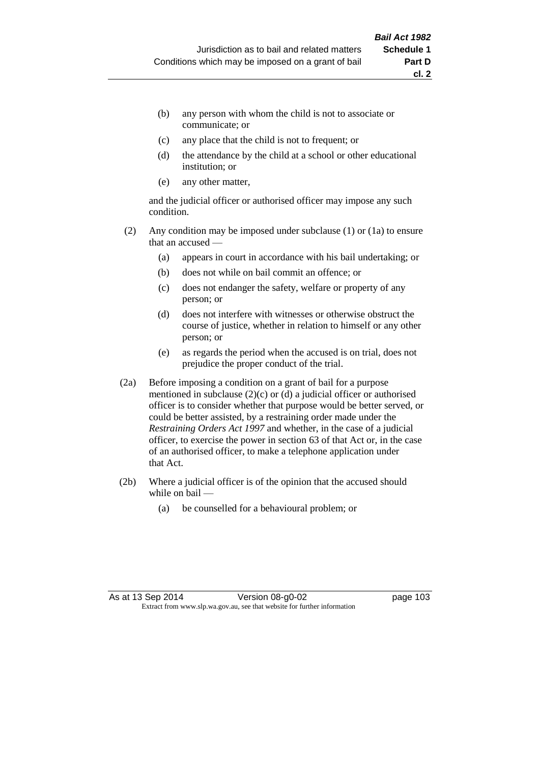- (b) any person with whom the child is not to associate or communicate; or
- (c) any place that the child is not to frequent; or
- (d) the attendance by the child at a school or other educational institution; or
- (e) any other matter,

and the judicial officer or authorised officer may impose any such condition.

- (2) Any condition may be imposed under subclause (1) or (1a) to ensure that an accused —
	- (a) appears in court in accordance with his bail undertaking; or
	- (b) does not while on bail commit an offence; or
	- (c) does not endanger the safety, welfare or property of any person; or
	- (d) does not interfere with witnesses or otherwise obstruct the course of justice, whether in relation to himself or any other person; or
	- (e) as regards the period when the accused is on trial, does not prejudice the proper conduct of the trial.
- (2a) Before imposing a condition on a grant of bail for a purpose mentioned in subclause (2)(c) or (d) a judicial officer or authorised officer is to consider whether that purpose would be better served, or could be better assisted, by a restraining order made under the *Restraining Orders Act 1997* and whether, in the case of a judicial officer, to exercise the power in section 63 of that Act or, in the case of an authorised officer, to make a telephone application under that Act.
- (2b) Where a judicial officer is of the opinion that the accused should while on bail —
	- (a) be counselled for a behavioural problem; or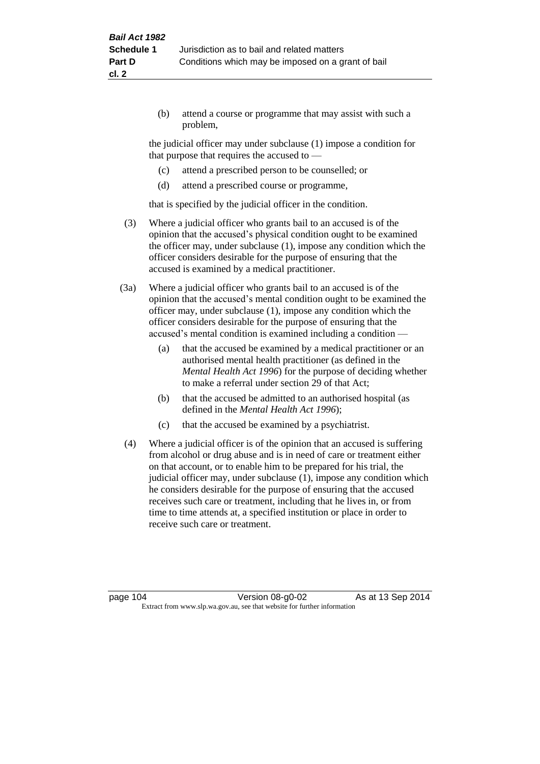(b) attend a course or programme that may assist with such a problem,

the judicial officer may under subclause (1) impose a condition for that purpose that requires the accused to —

- (c) attend a prescribed person to be counselled; or
- (d) attend a prescribed course or programme,

that is specified by the judicial officer in the condition.

- (3) Where a judicial officer who grants bail to an accused is of the opinion that the accused's physical condition ought to be examined the officer may, under subclause (1), impose any condition which the officer considers desirable for the purpose of ensuring that the accused is examined by a medical practitioner.
- (3a) Where a judicial officer who grants bail to an accused is of the opinion that the accused's mental condition ought to be examined the officer may, under subclause (1), impose any condition which the officer considers desirable for the purpose of ensuring that the accused's mental condition is examined including a condition —
	- (a) that the accused be examined by a medical practitioner or an authorised mental health practitioner (as defined in the *Mental Health Act 1996*) for the purpose of deciding whether to make a referral under section 29 of that Act;
	- (b) that the accused be admitted to an authorised hospital (as defined in the *Mental Health Act 1996*);
	- (c) that the accused be examined by a psychiatrist.
- (4) Where a judicial officer is of the opinion that an accused is suffering from alcohol or drug abuse and is in need of care or treatment either on that account, or to enable him to be prepared for his trial, the judicial officer may, under subclause (1), impose any condition which he considers desirable for the purpose of ensuring that the accused receives such care or treatment, including that he lives in, or from time to time attends at, a specified institution or place in order to receive such care or treatment.

page 104 Version 08-g0-02 As at 13 Sep 2014 Extract from www.slp.wa.gov.au, see that website for further information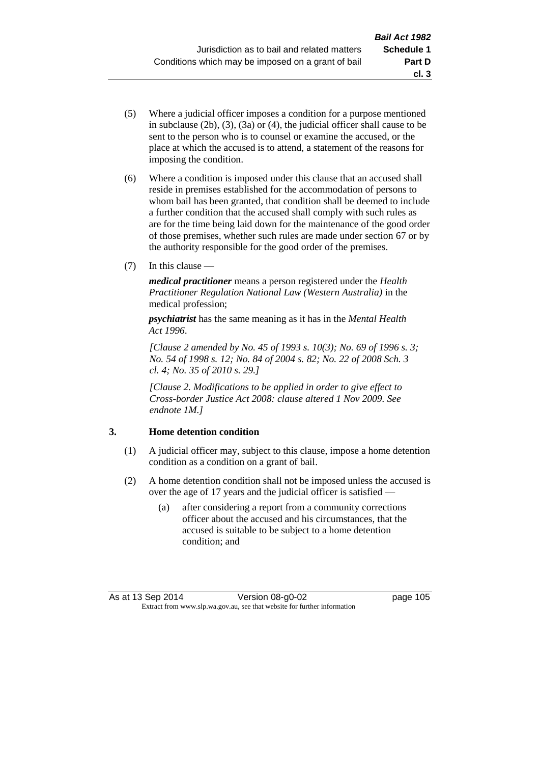- (5) Where a judicial officer imposes a condition for a purpose mentioned in subclause (2b), (3), (3a) or (4), the judicial officer shall cause to be sent to the person who is to counsel or examine the accused, or the place at which the accused is to attend, a statement of the reasons for imposing the condition.
- (6) Where a condition is imposed under this clause that an accused shall reside in premises established for the accommodation of persons to whom bail has been granted, that condition shall be deemed to include a further condition that the accused shall comply with such rules as are for the time being laid down for the maintenance of the good order of those premises, whether such rules are made under section 67 or by the authority responsible for the good order of the premises.
- (7) In this clause —

*medical practitioner* means a person registered under the *Health Practitioner Regulation National Law (Western Australia)* in the medical profession;

*psychiatrist* has the same meaning as it has in the *Mental Health Act 1996*.

*[Clause 2 amended by No. 45 of 1993 s. 10(3); No. 69 of 1996 s. 3; No. 54 of 1998 s. 12; No. 84 of 2004 s. 82; No. 22 of 2008 Sch. 3 cl. 4; No. 35 of 2010 s. 29.]*

*[Clause 2. Modifications to be applied in order to give effect to Cross-border Justice Act 2008: clause altered 1 Nov 2009. See endnote 1M.]*

### **3. Home detention condition**

- (1) A judicial officer may, subject to this clause, impose a home detention condition as a condition on a grant of bail.
- (2) A home detention condition shall not be imposed unless the accused is over the age of 17 years and the judicial officer is satisfied —
	- (a) after considering a report from a community corrections officer about the accused and his circumstances, that the accused is suitable to be subject to a home detention condition; and

**cl. 3**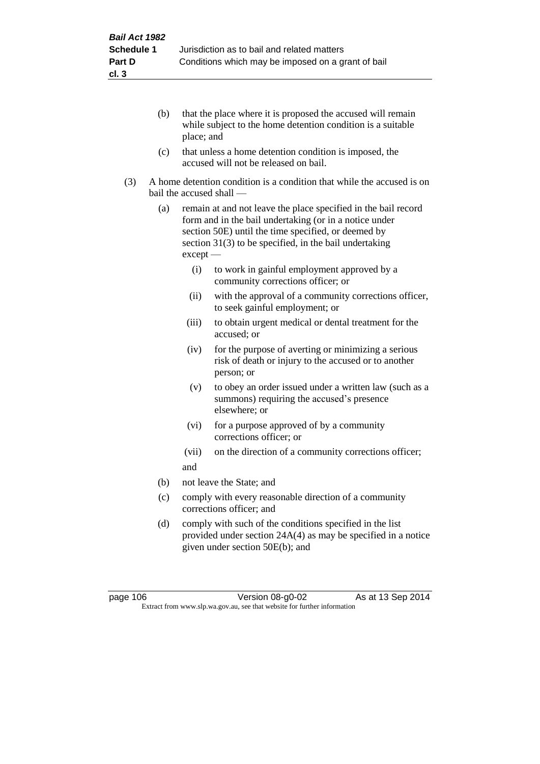- (b) that the place where it is proposed the accused will remain while subject to the home detention condition is a suitable place; and
- (c) that unless a home detention condition is imposed, the accused will not be released on bail.
- (3) A home detention condition is a condition that while the accused is on bail the accused shall —
	- (a) remain at and not leave the place specified in the bail record form and in the bail undertaking (or in a notice under section 50E) until the time specified, or deemed by section 31(3) to be specified, in the bail undertaking except —
		- (i) to work in gainful employment approved by a community corrections officer; or
		- (ii) with the approval of a community corrections officer, to seek gainful employment; or
		- (iii) to obtain urgent medical or dental treatment for the accused; or
		- (iv) for the purpose of averting or minimizing a serious risk of death or injury to the accused or to another person; or
		- (v) to obey an order issued under a written law (such as a summons) requiring the accused's presence elsewhere; or
		- (vi) for a purpose approved of by a community corrections officer; or
		- (vii) on the direction of a community corrections officer; and
	- (b) not leave the State; and
	- (c) comply with every reasonable direction of a community corrections officer; and
	- (d) comply with such of the conditions specified in the list provided under section 24A(4) as may be specified in a notice given under section 50E(b); and

page 106 **Version 08-g0-02** As at 13 Sep 2014 Extract from www.slp.wa.gov.au, see that website for further information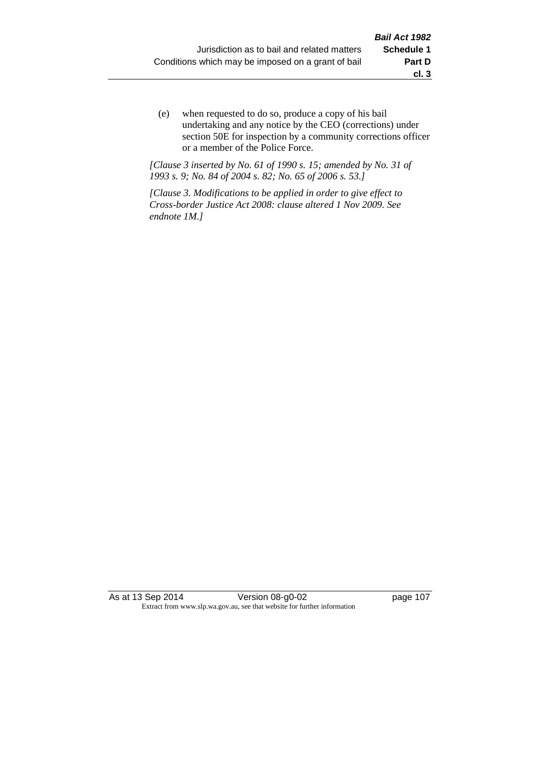(e) when requested to do so, produce a copy of his bail undertaking and any notice by the CEO (corrections) under section 50E for inspection by a community corrections officer or a member of the Police Force.

*[Clause 3 inserted by No. 61 of 1990 s. 15; amended by No. 31 of 1993 s. 9; No. 84 of 2004 s. 82; No. 65 of 2006 s. 53.]*

*[Clause 3. Modifications to be applied in order to give effect to Cross-border Justice Act 2008: clause altered 1 Nov 2009. See endnote 1M.]*

As at 13 Sep 2014 Version 08-g0-02 Page 107 Extract from www.slp.wa.gov.au, see that website for further information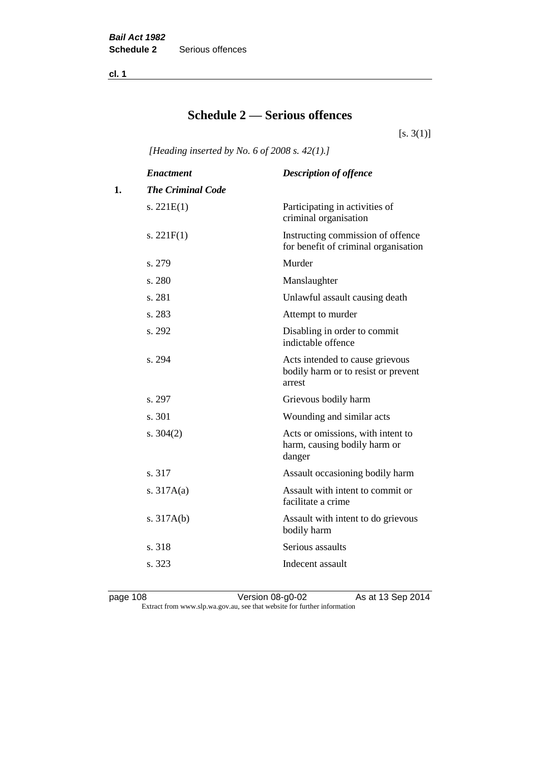**cl. 1**

# **Schedule 2 — Serious offences**

 $[s. 3(1)]$ 

*[Heading inserted by No. 6 of 2008 s. 42(1).]*

|    | <b>Enactment</b>         | <b>Description of offence</b>                                                    |
|----|--------------------------|----------------------------------------------------------------------------------|
| 1. | <b>The Criminal Code</b> |                                                                                  |
|    | s. $221E(1)$             | Participating in activities of<br>criminal organisation                          |
|    | s. $221F(1)$             | Instructing commission of offence<br>for benefit of criminal organisation        |
|    | s. 279                   | Murder                                                                           |
|    | s. 280                   | Manslaughter                                                                     |
|    | s. 281                   | Unlawful assault causing death                                                   |
|    | s. 283                   | Attempt to murder                                                                |
|    | s. 292                   | Disabling in order to commit<br>indictable offence                               |
|    | s. 294                   | Acts intended to cause grievous<br>bodily harm or to resist or prevent<br>arrest |
|    | s. 297                   | Grievous bodily harm                                                             |
|    | s. 301                   | Wounding and similar acts                                                        |
|    | s. $304(2)$              | Acts or omissions, with intent to<br>harm, causing bodily harm or<br>danger      |
|    | s. 317                   | Assault occasioning bodily harm                                                  |
|    | s. $317A(a)$             | Assault with intent to commit or<br>facilitate a crime                           |
|    | s. $317A(b)$             | Assault with intent to do grievous<br>bodily harm                                |
|    | s. 318                   | Serious assaults                                                                 |
|    | s. 323                   | Indecent assault                                                                 |
|    |                          |                                                                                  |

page 108 **beide 108** Version 08-g0-02 **As at 13 Sep 2014** Extract from www.slp.wa.gov.au, see that website for further information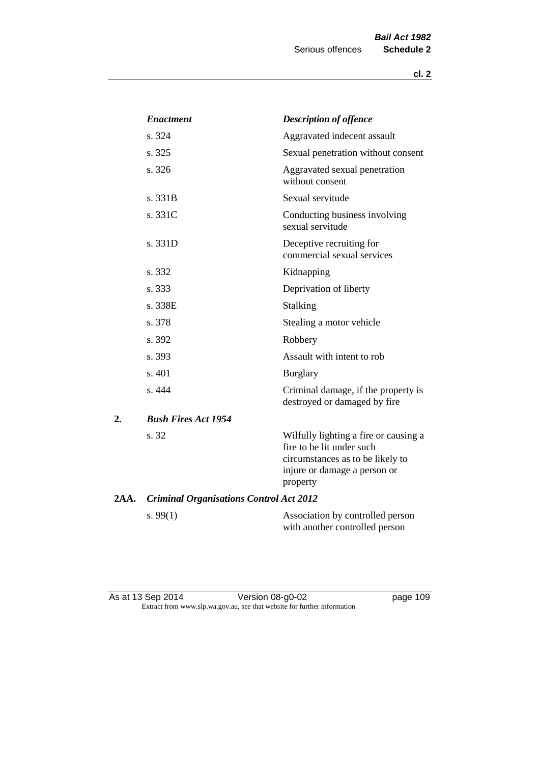|      | <b>Enactment</b>                               | <b>Description of offence</b>                                                                                                                      |
|------|------------------------------------------------|----------------------------------------------------------------------------------------------------------------------------------------------------|
|      | s. 324                                         | Aggravated indecent assault                                                                                                                        |
|      | s. 325                                         | Sexual penetration without consent                                                                                                                 |
|      | s. 326                                         | Aggravated sexual penetration<br>without consent                                                                                                   |
|      | s. 331B                                        | Sexual servitude                                                                                                                                   |
|      | s. 331C                                        | Conducting business involving<br>sexual servitude                                                                                                  |
|      | s. 331D                                        | Deceptive recruiting for<br>commercial sexual services                                                                                             |
|      | s. 332                                         | Kidnapping                                                                                                                                         |
|      | s. 333                                         | Deprivation of liberty                                                                                                                             |
|      | s. 338E                                        | <b>Stalking</b>                                                                                                                                    |
|      | s. 378                                         | Stealing a motor vehicle                                                                                                                           |
|      | s. 392                                         | Robbery                                                                                                                                            |
|      | s. 393                                         | Assault with intent to rob                                                                                                                         |
|      | s. 401                                         | <b>Burglary</b>                                                                                                                                    |
|      | s. 444                                         | Criminal damage, if the property is<br>destroyed or damaged by fire                                                                                |
| 2.   | <b>Bush Fires Act 1954</b>                     |                                                                                                                                                    |
|      | s. 32                                          | Wilfully lighting a fire or causing a<br>fire to be lit under such<br>circumstances as to be likely to<br>injure or damage a person or<br>property |
| 2AA. | <b>Criminal Organisations Control Act 2012</b> |                                                                                                                                                    |
|      | s. $99(1)$                                     | Association by controlled person<br>with another controlled person                                                                                 |

As at 13 Sep 2014 **Version 08-g0-02 page 109 page 109** Extract from www.slp.wa.gov.au, see that website for further information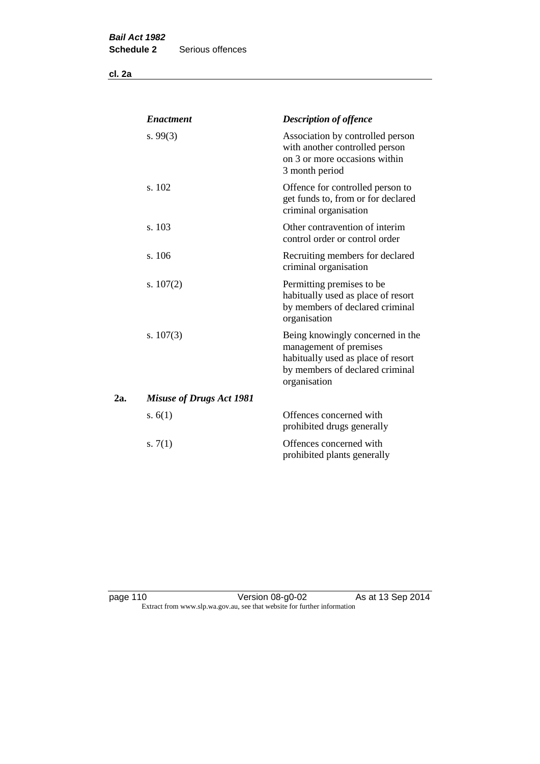**cl. 2a**

|     | <b>Enactment</b>                | <b>Description of offence</b>                                                                                                                       |
|-----|---------------------------------|-----------------------------------------------------------------------------------------------------------------------------------------------------|
|     | s. $99(3)$                      | Association by controlled person<br>with another controlled person<br>on 3 or more occasions within<br>3 month period                               |
|     | s. 102                          | Offence for controlled person to<br>get funds to, from or for declared<br>criminal organisation                                                     |
|     | s. 103                          | Other contravention of interim<br>control order or control order                                                                                    |
|     | s. 106                          | Recruiting members for declared<br>criminal organisation                                                                                            |
|     | s. $107(2)$                     | Permitting premises to be<br>habitually used as place of resort<br>by members of declared criminal<br>organisation                                  |
|     | s. $107(3)$                     | Being knowingly concerned in the<br>management of premises<br>habitually used as place of resort<br>by members of declared criminal<br>organisation |
| 2а. | <b>Misuse of Drugs Act 1981</b> |                                                                                                                                                     |
|     | s. $6(1)$                       | Offences concerned with<br>prohibited drugs generally                                                                                               |
|     | s. $7(1)$                       | Offences concerned with<br>prohibited plants generally                                                                                              |

page 110 **Details Access 12 Version 08-g0-02** As at 13 Sep 2014 Extract from www.slp.wa.gov.au, see that website for further information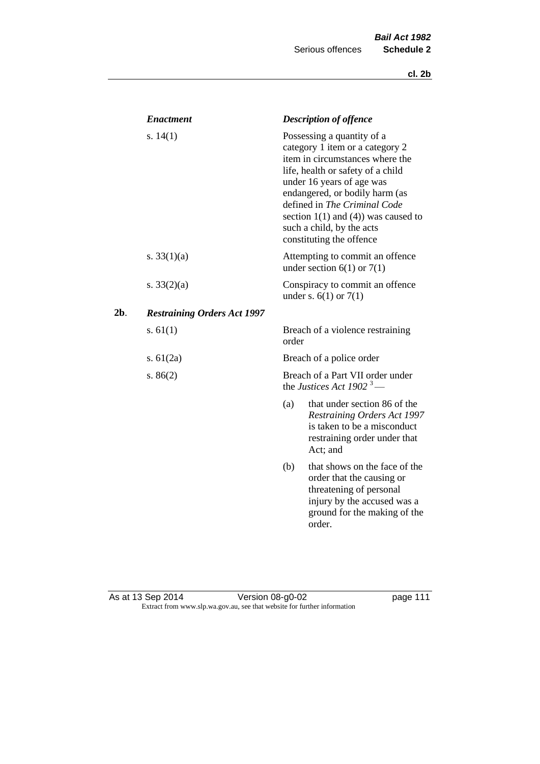|     | <b>Enactment</b>                   |       | <b>Description of offence</b>                                                                                                                                                                                                                                                                                                             |
|-----|------------------------------------|-------|-------------------------------------------------------------------------------------------------------------------------------------------------------------------------------------------------------------------------------------------------------------------------------------------------------------------------------------------|
|     | s. $14(1)$                         |       | Possessing a quantity of a<br>category 1 item or a category 2<br>item in circumstances where the<br>life, health or safety of a child<br>under 16 years of age was<br>endangered, or bodily harm (as<br>defined in The Criminal Code<br>section $1(1)$ and $(4)$ ) was caused to<br>such a child, by the acts<br>constituting the offence |
|     | s. $33(1)(a)$                      |       | Attempting to commit an offence<br>under section $6(1)$ or $7(1)$                                                                                                                                                                                                                                                                         |
|     | s. $33(2)(a)$                      |       | Conspiracy to commit an offence<br>under s. $6(1)$ or $7(1)$                                                                                                                                                                                                                                                                              |
| 2b. | <b>Restraining Orders Act 1997</b> |       |                                                                                                                                                                                                                                                                                                                                           |
|     | s. $61(1)$                         | order | Breach of a violence restraining                                                                                                                                                                                                                                                                                                          |
|     | s. $61(2a)$                        |       | Breach of a police order                                                                                                                                                                                                                                                                                                                  |
|     | s. $86(2)$                         |       | Breach of a Part VII order under<br>the Justices Act 1902 <sup>3</sup> —                                                                                                                                                                                                                                                                  |
|     |                                    | (a)   | that under section 86 of the<br>Restraining Orders Act 1997<br>is taken to be a misconduct<br>restraining order under that<br>Act; and                                                                                                                                                                                                    |
|     |                                    | (b)   | that shows on the face of the<br>order that the causing or<br>threatening of personal<br>injury by the accused was a<br>ground for the making of the<br>order.                                                                                                                                                                            |
|     |                                    |       |                                                                                                                                                                                                                                                                                                                                           |

#### As at 13 Sep 2014 **Version 08-g0-02 page 111** Extract from www.slp.wa.gov.au, see that website for further information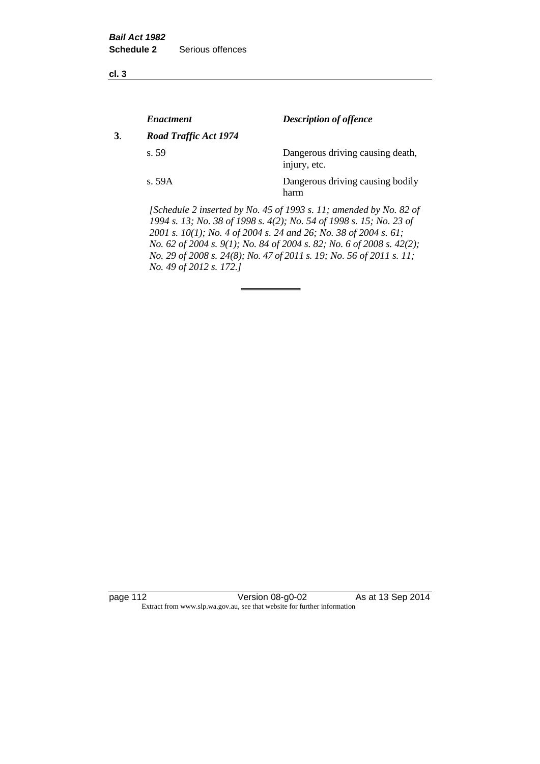**cl. 3**

|    | <b>Enactment</b>      | <b>Description of offence</b>                                                                                                             |
|----|-----------------------|-------------------------------------------------------------------------------------------------------------------------------------------|
| 3. | Road Traffic Act 1974 |                                                                                                                                           |
|    | s. 59                 | Dangerous driving causing death,<br>injury, etc.                                                                                          |
|    | s. 59A                | Dangerous driving causing bodily<br>harm                                                                                                  |
|    |                       | [Schedule 2 inserted by No. 45 of 1993 s. 11; amended by No. 82 of<br>1994 s. 13; No. 38 of 1998 s. 4(2); No. 54 of 1998 s. 15; No. 23 of |

*2001 s. 10(1); No. 4 of 2004 s. 24 and 26; No. 38 of 2004 s. 61; No. 62 of 2004 s. 9(1); No. 84 of 2004 s. 82; No. 6 of 2008 s. 42(2); No. 29 of 2008 s. 24(8); No. 47 of 2011 s. 19; No. 56 of 2011 s. 11; No. 49 of 2012 s. 172.]* 

page 112 **Version 08-g0-02** As at 13 Sep 2014 Extract from www.slp.wa.gov.au, see that website for further information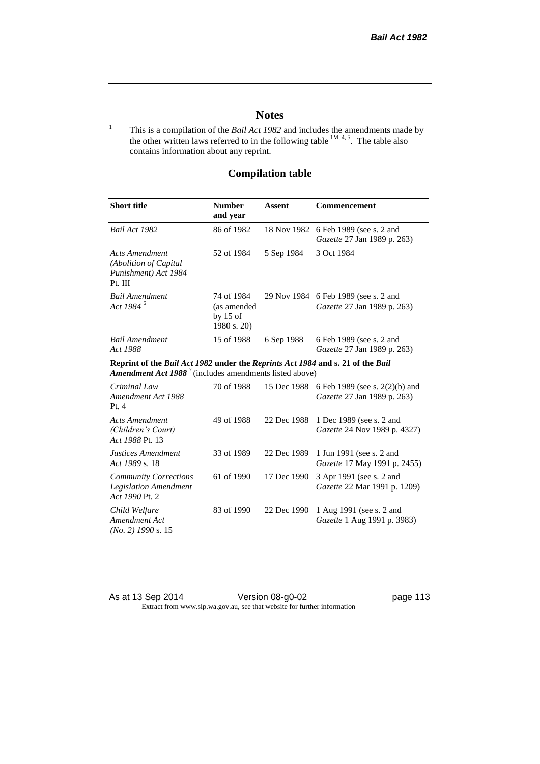### **Notes**

<sup>1</sup> This is a compilation of the *Bail Act 1982* and includes the amendments made by the other written laws referred to in the following table  $^{1M, 4, 5}$ . The table also contains information about any reprint.

## **Compilation table**

| <b>Short title</b>                                                                                                                                          | <b>Number</b><br>and year                              | <b>Assent</b> | <b>Commencement</b>                                                       |
|-------------------------------------------------------------------------------------------------------------------------------------------------------------|--------------------------------------------------------|---------------|---------------------------------------------------------------------------|
| Bail Act 1982                                                                                                                                               | 86 of 1982                                             | 18 Nov 1982   | 6 Feb 1989 (see s. 2 and<br>Gazette 27 Jan 1989 p. 263)                   |
| <b>Acts Amendment</b><br>(Abolition of Capital<br>Punishment) Act 1984<br>Pt. III                                                                           | 52 of 1984                                             | 5 Sep 1984    | 3 Oct 1984                                                                |
| <b>Bail Amendment</b><br>Act 1984 <sup>6</sup>                                                                                                              | 74 of 1984<br>(as amended<br>by $15$ of<br>1980 s. 20) |               | 29 Nov 1984 6 Feb 1989 (see s. 2 and<br>Gazette 27 Jan 1989 p. 263)       |
| <b>Bail Amendment</b><br>Act 1988                                                                                                                           | 15 of 1988                                             | 6 Sep 1988    | 6 Feb 1989 (see s. 2 and<br>Gazette 27 Jan 1989 p. 263)                   |
| Reprint of the Bail Act 1982 under the Reprints Act 1984 and s. 21 of the Bail<br><b>Amendment Act 1988</b> <sup>7</sup> (includes amendments listed above) |                                                        |               |                                                                           |
| Criminal Law<br>Amendment Act 1988<br>Pt.4                                                                                                                  | 70 of 1988                                             |               | 15 Dec 1988 6 Feb 1989 (see s. 2(2)(b) and<br>Gazette 27 Jan 1989 p. 263) |
| <b>Acts Amendment</b><br>(Children's Court)<br>Act 1988 Pt. 13                                                                                              | 49 of 1988                                             | 22 Dec 1988   | 1 Dec 1989 (see s. 2 and<br>Gazette 24 Nov 1989 p. 4327)                  |
| <b>Justices Amendment</b><br>Act 1989 s. 18                                                                                                                 | 33 of 1989                                             | 22 Dec 1989   | 1 Jun 1991 (see s. 2 and<br>Gazette 17 May 1991 p. 2455)                  |
| <b>Community Corrections</b><br><b>Legislation Amendment</b><br>Act 1990 Pt. 2                                                                              | 61 of 1990                                             | 17 Dec 1990   | 3 Apr 1991 (see s. 2 and<br>Gazette 22 Mar 1991 p. 1209)                  |
| Child Welfare<br>Amendment Act<br>$(No. 2)$ 1990 s. 15                                                                                                      | 83 of 1990                                             | 22 Dec 1990   | 1 Aug 1991 (see s. 2 and<br>Gazette 1 Aug 1991 p. 3983)                   |

As at 13 Sep 2014 **Version 08-g0-02 page 113** Extract from www.slp.wa.gov.au, see that website for further information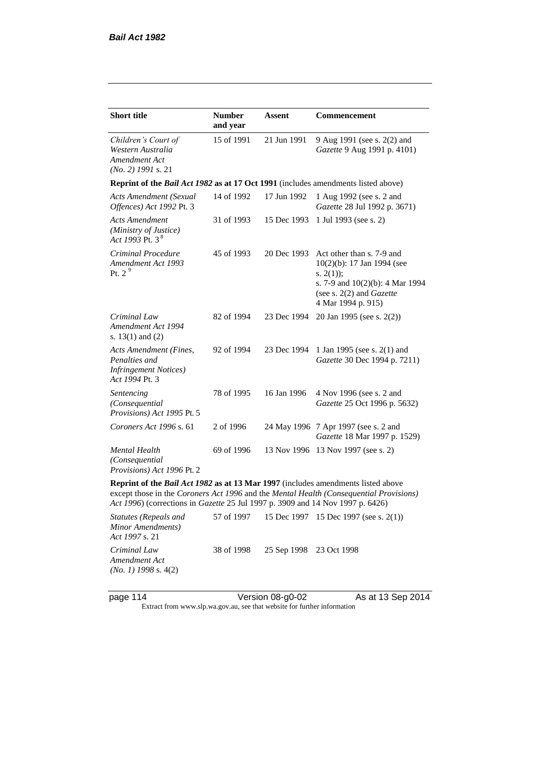| <b>Short title</b>                                                                                                                                                 | <b>Number</b><br>and year | <b>Assent</b> | Commencement                                                                                                                                                         |
|--------------------------------------------------------------------------------------------------------------------------------------------------------------------|---------------------------|---------------|----------------------------------------------------------------------------------------------------------------------------------------------------------------------|
| Children's Court of<br>Western Australia<br>Amendment Act<br>$(No. 2)$ 1991 s. 21                                                                                  | 15 of 1991                | 21 Jun 1991   | 9 Aug 1991 (see s. 2(2) and<br>Gazette 9 Aug 1991 p. 4101)                                                                                                           |
| Reprint of the Bail Act 1982 as at 17 Oct 1991 (includes amendments listed above)                                                                                  |                           |               |                                                                                                                                                                      |
| Acts Amendment (Sexual<br>Offences) Act 1992 Pt. 3                                                                                                                 | 14 of 1992                | 17 Jun 1992   | 1 Aug 1992 (see s. 2 and<br>Gazette 28 Jul 1992 p. 3671)                                                                                                             |
| <b>Acts Amendment</b><br>(Ministry of Justice)<br>Act 1993 Pt. 3 <sup>8</sup>                                                                                      | 31 of 1993                | 15 Dec 1993   | 1 Jul 1993 (see s. 2)                                                                                                                                                |
| Criminal Procedure<br>Amendment Act 1993<br>Pt. $2^9$                                                                                                              | 45 of 1993                | 20 Dec 1993   | Act other than s. 7-9 and<br>10(2)(b): 17 Jan 1994 (see<br>s. $2(1)$ ;<br>s. 7-9 and 10(2)(b): 4 Mar 1994<br>(see s. $2(2)$ and <i>Gazette</i><br>4 Mar 1994 p. 915) |
| Criminal Law<br>Amendment Act 1994<br>s. $13(1)$ and $(2)$                                                                                                         | 82 of 1994                | 23 Dec 1994   | 20 Jan 1995 (see s. 2(2))                                                                                                                                            |
| Acts Amendment (Fines,<br>Penalties and<br><b>Infringement Notices</b> )<br>Act 1994 Pt. 3                                                                         | 92 of 1994                | 23 Dec 1994   | 1 Jan 1995 (see s. 2(1) and<br>Gazette 30 Dec 1994 p. 7211)                                                                                                          |
| Sentencing<br>(Consequential<br>Provisions) Act 1995 Pt. 5                                                                                                         | 78 of 1995                | 16 Jan 1996   | 4 Nov 1996 (see s. 2 and<br>Gazette 25 Oct 1996 p. 5632)                                                                                                             |
| Coroners Act 1996 s. 61                                                                                                                                            | 2 of 1996                 |               | 24 May 1996 7 Apr 1997 (see s. 2 and<br>Gazette 18 Mar 1997 p. 1529)                                                                                                 |
| <b>Mental Health</b><br>(Consequential<br>Provisions) Act 1996 Pt. 2                                                                                               | 69 of 1996                |               | 13 Nov 1996 13 Nov 1997 (see s. 2)                                                                                                                                   |
| Reprint of the Bail Act 1982 as at 13 Mar 1997 (includes amendments listed above<br>Act 1996) (corrections in Gazette 25 Jul 1997 p. 3909 and 14 Nov 1997 p. 6426) |                           |               | except those in the Coroners Act 1996 and the Mental Health (Consequential Provisions)                                                                               |
| Statutes (Repeals and<br>Minor Amendments)<br>Act 1997 s. 21                                                                                                       | 57 of 1997                |               | 15 Dec 1997 15 Dec 1997 (see s. 2(1))                                                                                                                                |

*Criminal Law Amendment Act (No. 1) 1998* s. 4(2)

page 114 **Deciminal Contract Version 08-g0-02** As at 13 Sep 2014 Extract from www.slp.wa.gov.au, see that website for further information

38 of 1998 25 Sep 1998 23 Oct 1998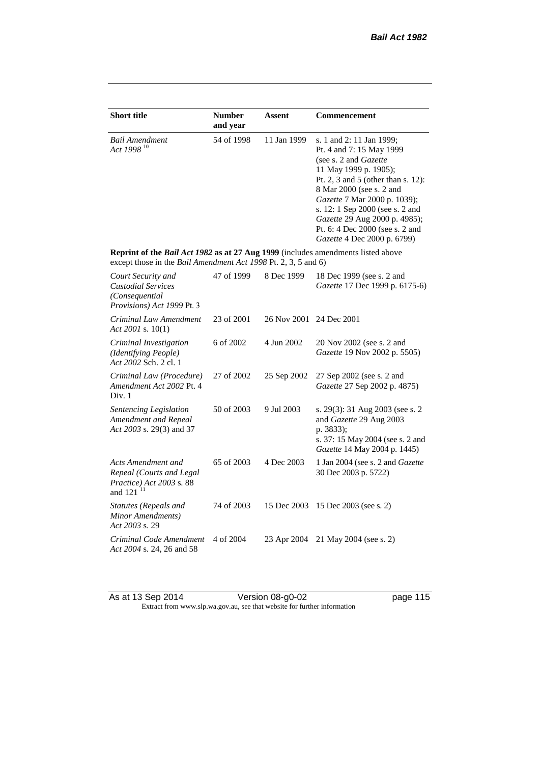| <b>Short title</b>                                                                                                                                 | <b>Number</b><br>and year | Assent      | <b>Commencement</b>                                                                                                                                                                                                                                                                                                                                     |
|----------------------------------------------------------------------------------------------------------------------------------------------------|---------------------------|-------------|---------------------------------------------------------------------------------------------------------------------------------------------------------------------------------------------------------------------------------------------------------------------------------------------------------------------------------------------------------|
| <b>Bail Amendment</b><br>Act 1998 <sup>10</sup>                                                                                                    | 54 of 1998                | 11 Jan 1999 | s. 1 and 2: 11 Jan 1999;<br>Pt. 4 and 7: 15 May 1999<br>(see s. 2 and <i>Gazette</i> )<br>11 May 1999 p. 1905);<br>Pt. 2, 3 and 5 (other than s. 12):<br>8 Mar 2000 (see s. 2 and<br>Gazette 7 Mar 2000 p. 1039);<br>s. 12: 1 Sep 2000 (see s. 2 and<br>Gazette 29 Aug 2000 p. 4985);<br>Pt. 6: 4 Dec 2000 (see s. 2 and<br>Gazette 4 Dec 2000 p. 6799) |
| Reprint of the Bail Act 1982 as at 27 Aug 1999 (includes amendments listed above<br>except those in the Bail Amendment Act 1998 Pt. 2, 3, 5 and 6) |                           |             |                                                                                                                                                                                                                                                                                                                                                         |
| Court Security and<br><b>Custodial Services</b><br>(Consequential<br>Provisions) Act 1999 Pt. 3                                                    | 47 of 1999                | 8 Dec 1999  | 18 Dec 1999 (see s. 2 and<br>Gazette 17 Dec 1999 p. 6175-6)                                                                                                                                                                                                                                                                                             |
| Criminal Law Amendment<br>Act 2001 s. $10(1)$                                                                                                      | 23 of 2001                | 26 Nov 2001 | 24 Dec 2001                                                                                                                                                                                                                                                                                                                                             |
| Criminal Investigation<br>(Identifying People)<br>Act 2002 Sch. 2 cl. 1                                                                            | 6 of 2002                 | 4 Jun 2002  | 20 Nov 2002 (see s. 2 and<br>Gazette 19 Nov 2002 p. 5505)                                                                                                                                                                                                                                                                                               |
| Criminal Law (Procedure)<br>Amendment Act 2002 Pt. 4<br>Div. 1                                                                                     | 27 of 2002                | 25 Sep 2002 | 27 Sep 2002 (see s. 2 and<br>Gazette 27 Sep 2002 p. 4875)                                                                                                                                                                                                                                                                                               |
| Sentencing Legislation<br>Amendment and Repeal<br>Act 2003 s. 29(3) and 37                                                                         | 50 of 2003                | 9 Jul 2003  | s. 29(3): 31 Aug 2003 (see s. 2<br>and Gazette 29 Aug 2003<br>p. 3833);<br>s. 37: 15 May 2004 (see s. 2 and<br>Gazette 14 May 2004 p. 1445)                                                                                                                                                                                                             |
| Acts Amendment and<br>Repeal (Courts and Legal<br>Practice) Act 2003 s. 88<br>and 121 <sup>11</sup>                                                | 65 of 2003                | 4 Dec 2003  | 1 Jan 2004 (see s. 2 and Gazette<br>30 Dec 2003 p. 5722)                                                                                                                                                                                                                                                                                                |
| Statutes (Repeals and<br>Minor Amendments)<br>Act 2003 s. 29                                                                                       | 74 of 2003                | 15 Dec 2003 | 15 Dec 2003 (see s. 2)                                                                                                                                                                                                                                                                                                                                  |
| Criminal Code Amendment<br>Act 2004 s. 24, 26 and 58                                                                                               | 4 of 2004                 | 23 Apr 2004 | 21 May 2004 (see s. 2)                                                                                                                                                                                                                                                                                                                                  |

As at 13 Sep 2014 **Version 08-g0-02 page 115** Extract from www.slp.wa.gov.au, see that website for further information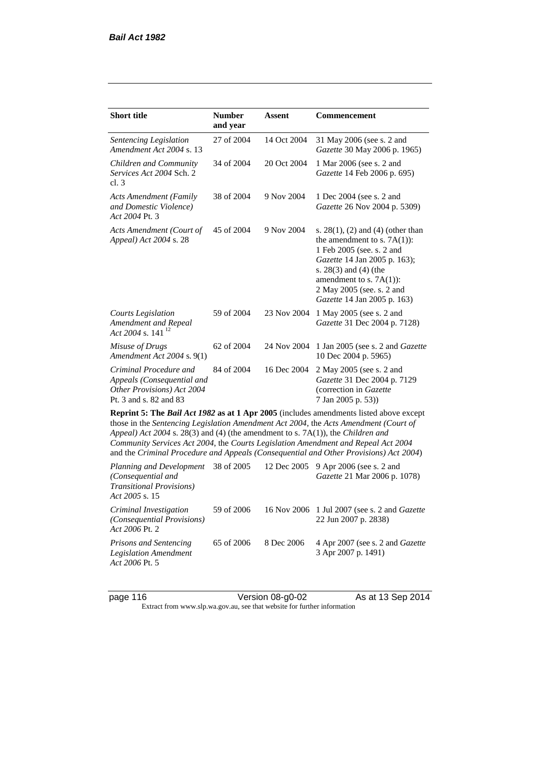| <b>Short title</b>                                                                                                                                                                                                                                                                                                                                                                                                                                     | <b>Number</b><br>and year | <b>Assent</b> | Commencement                                                                                                                                                                                                                                             |  |
|--------------------------------------------------------------------------------------------------------------------------------------------------------------------------------------------------------------------------------------------------------------------------------------------------------------------------------------------------------------------------------------------------------------------------------------------------------|---------------------------|---------------|----------------------------------------------------------------------------------------------------------------------------------------------------------------------------------------------------------------------------------------------------------|--|
| Sentencing Legislation<br>Amendment Act 2004 s. 13                                                                                                                                                                                                                                                                                                                                                                                                     | 27 of 2004                | 14 Oct 2004   | 31 May 2006 (see s. 2 and<br>Gazette 30 May 2006 p. 1965)                                                                                                                                                                                                |  |
| Children and Community<br>Services Act 2004 Sch. 2<br>cl.3                                                                                                                                                                                                                                                                                                                                                                                             | 34 of 2004                | 20 Oct 2004   | 1 Mar 2006 (see s. 2 and<br>Gazette 14 Feb 2006 p. 695)                                                                                                                                                                                                  |  |
| <b>Acts Amendment (Family</b><br>and Domestic Violence)<br>Act 2004 Pt. 3                                                                                                                                                                                                                                                                                                                                                                              | 38 of 2004                | 9 Nov 2004    | 1 Dec 2004 (see s. 2 and<br>Gazette 26 Nov 2004 p. 5309)                                                                                                                                                                                                 |  |
| Acts Amendment (Court of<br>Appeal) Act 2004 s. 28                                                                                                                                                                                                                                                                                                                                                                                                     | 45 of 2004                | 9 Nov 2004    | s. $28(1)$ , (2) and (4) (other than<br>the amendment to s. $7A(1)$ :<br>1 Feb 2005 (see. s. 2 and<br>Gazette 14 Jan 2005 p. 163);<br>s. $28(3)$ and $(4)$ (the<br>amendment to s. $7A(1)$ :<br>2 May 2005 (see. s. 2 and<br>Gazette 14 Jan 2005 p. 163) |  |
| <b>Courts Legislation</b><br>Amendment and Repeal<br>Act 2004 s. 141 $^{12}$                                                                                                                                                                                                                                                                                                                                                                           | 59 of 2004                | 23 Nov 2004   | 1 May 2005 (see s. 2 and<br>Gazette 31 Dec 2004 p. 7128)                                                                                                                                                                                                 |  |
| Misuse of Drugs<br>Amendment Act 2004 s. 9(1)                                                                                                                                                                                                                                                                                                                                                                                                          | 62 of 2004                | 24 Nov 2004   | 1 Jan 2005 (see s. 2 and <i>Gazette</i><br>10 Dec 2004 p. 5965)                                                                                                                                                                                          |  |
| Criminal Procedure and<br>Appeals (Consequential and<br>Other Provisions) Act 2004<br>Pt. 3 and s. 82 and 83                                                                                                                                                                                                                                                                                                                                           | 84 of 2004                | 16 Dec 2004   | 2 May 2005 (see s. 2 and<br>Gazette 31 Dec 2004 p. 7129<br>(correction in Gazette<br>7 Jan 2005 p. 53))                                                                                                                                                  |  |
| <b>Reprint 5: The Bail Act 1982 as at 1 Apr 2005</b> (includes amendments listed above except<br>those in the Sentencing Legislation Amendment Act 2004, the Acts Amendment (Court of<br>Appeal) Act 2004 s. 28(3) and (4) (the amendment to s. 7A(1)), the Children and<br>Community Services Act 2004, the Courts Legislation Amendment and Repeal Act 2004<br>and the Criminal Procedure and Appeals (Consequential and Other Provisions) Act 2004) |                           |               |                                                                                                                                                                                                                                                          |  |
| Planning and Development<br>(Consequential and<br><b>Transitional Provisions)</b><br>Act 2005 s. 15                                                                                                                                                                                                                                                                                                                                                    | 38 of 2005                | 12 Dec 2005   | 9 Apr 2006 (see s. 2 and<br>Gazette 21 Mar 2006 p. 1078)                                                                                                                                                                                                 |  |
| Criminal Investigation                                                                                                                                                                                                                                                                                                                                                                                                                                 | 59 of 2006                |               | 16 Nov 2006 1 Jul 2007 (see s. 2 and Gazette                                                                                                                                                                                                             |  |

*(Consequential Provisions) Act 2006* Pt. 2 22 Jun 2007 p. 2838) *Prisons and Sentencing Legislation Amendment Act 2006* Pt. 5 65 of 2006 8 Dec 2006 4 Apr 2007 (see s. 2 and *Gazette* 3 Apr 2007 p. 1491)

page 116 **Decime 2011** Version 08-g0-02 As at 13 Sep 2014 Extract from www.slp.wa.gov.au, see that website for further information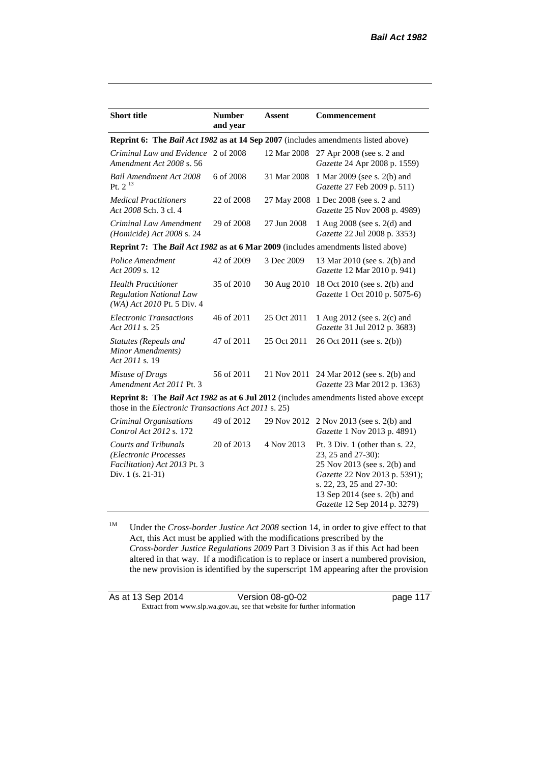| <b>Short title</b>                                                                                          | <b>Number</b><br>and year                                | Assent      | Commencement                                                                                                                                                                                                         |  |
|-------------------------------------------------------------------------------------------------------------|----------------------------------------------------------|-------------|----------------------------------------------------------------------------------------------------------------------------------------------------------------------------------------------------------------------|--|
| Reprint 6: The Bail Act 1982 as at 14 Sep 2007 (includes amendments listed above)                           |                                                          |             |                                                                                                                                                                                                                      |  |
| Criminal Law and Evidence 2 of 2008<br>Amendment Act 2008 s. 56                                             |                                                          | 12 Mar 2008 | 27 Apr 2008 (see s. 2 and<br>Gazette 24 Apr 2008 p. 1559)                                                                                                                                                            |  |
| <b>Bail Amendment Act 2008</b><br>Pt. $2^{13}$                                                              | 6 of 2008                                                | 31 Mar 2008 | 1 Mar 2009 (see s. 2(b) and<br>Gazette 27 Feb 2009 p. 511)                                                                                                                                                           |  |
| <b>Medical Practitioners</b><br>Act 2008 Sch. 3 cl. 4                                                       | 22 of 2008                                               | 27 May 2008 | 1 Dec 2008 (see s. 2 and<br>Gazette 25 Nov 2008 p. 4989)                                                                                                                                                             |  |
| Criminal Law Amendment<br>(Homicide) Act 2008 s. 24                                                         | 29 of 2008<br>27 Jun 2008<br>1 Aug 2008 (see s. 2(d) and |             | Gazette 22 Jul 2008 p. 3353)                                                                                                                                                                                         |  |
| Reprint 7: The Bail Act 1982 as at 6 Mar 2009 (includes amendments listed above)                            |                                                          |             |                                                                                                                                                                                                                      |  |
| Police Amendment<br>Act 2009 s. 12                                                                          | 42 of 2009                                               | 3 Dec 2009  | 13 Mar 2010 (see s. 2(b) and<br>Gazette 12 Mar 2010 p. 941)                                                                                                                                                          |  |
| <b>Health Practitioner</b><br><b>Regulation National Law</b><br>(WA) Act 2010 Pt. 5 Div. 4                  | 35 of 2010                                               | 30 Aug 2010 | 18 Oct 2010 (see s. 2(b) and<br>Gazette 1 Oct 2010 p. 5075-6)                                                                                                                                                        |  |
| <b>Electronic Transactions</b><br>Act 2011 s. 25                                                            | 46 of 2011                                               | 25 Oct 2011 | 1 Aug 2012 (see s. 2(c) and<br>Gazette 31 Jul 2012 p. 3683)                                                                                                                                                          |  |
| <b>Statutes (Repeals and</b><br>Minor Amendments)<br>Act 2011 s. 19                                         | 47 of 2011                                               | 25 Oct 2011 | 26 Oct 2011 (see s. 2(b))                                                                                                                                                                                            |  |
| Misuse of Drugs<br>Amendment Act 2011 Pt. 3                                                                 | 56 of 2011                                               | 21 Nov 2011 | 24 Mar 2012 (see s. 2(b) and<br>Gazette 23 Mar 2012 p. 1363)                                                                                                                                                         |  |
| those in the <i>Electronic Transactions Act 2011</i> s. 25)                                                 |                                                          |             | <b>Reprint 8:</b> The <i>Bail Act 1982</i> as at 6 Jul 2012 (includes amendments listed above except                                                                                                                 |  |
| Criminal Organisations<br>Control Act 2012 s. 172                                                           | 49 of 2012                                               | 29 Nov 2012 | 2 Nov 2013 (see s. 2(b) and<br>Gazette 1 Nov 2013 p. 4891)                                                                                                                                                           |  |
| <b>Courts and Tribunals</b><br>(Electronic Processes<br>Facilitation) Act 2013 Pt. 3<br>Div. $1$ (s. 21-31) | 20 of 2013                                               | 4 Nov 2013  | Pt. $3$ Div. 1 (other than s. 22,<br>23, 25 and 27-30):<br>25 Nov 2013 (see s. 2(b) and<br>Gazette 22 Nov 2013 p. 5391);<br>s. 22, 23, 25 and 27-30:<br>13 Sep 2014 (see s. 2(b) and<br>Gazette 12 Sep 2014 p. 3279) |  |

<sup>1M</sup> Under the *Cross-border Justice Act 2008* section 14, in order to give effect to that Act, this Act must be applied with the modifications prescribed by the *Cross-border Justice Regulations 2009* Part 3 Division 3 as if this Act had been altered in that way. If a modification is to replace or insert a numbered provision, the new provision is identified by the superscript 1M appearing after the provision

| As at 13 Sep 2014 | Version 08-g0-02                                                         | page 117 |
|-------------------|--------------------------------------------------------------------------|----------|
|                   | Extract from www.slp.wa.gov.au, see that website for further information |          |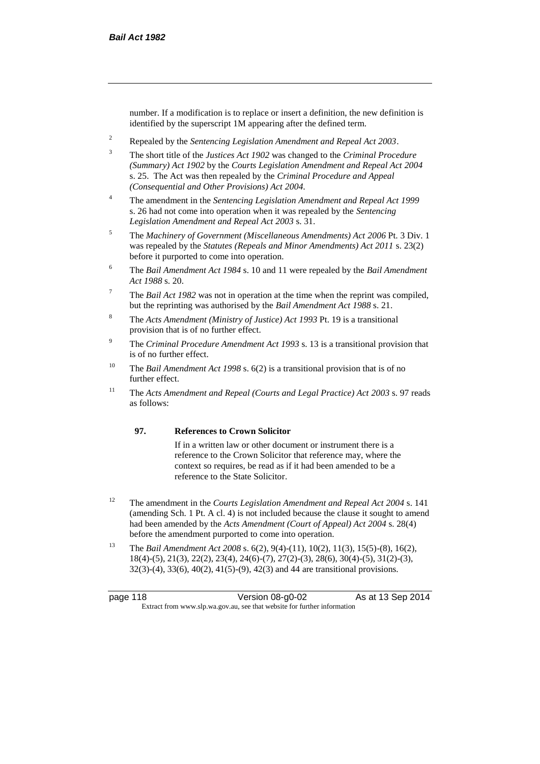number. If a modification is to replace or insert a definition, the new definition is identified by the superscript 1M appearing after the defined term.

- <sup>2</sup> Repealed by the *Sentencing Legislation Amendment and Repeal Act 2003*.
- <sup>3</sup> The short title of the *Justices Act 1902* was changed to the *Criminal Procedure (Summary) Act 1902* by the *Courts Legislation Amendment and Repeal Act 2004*  s. 25. The Act was then repealed by the *Criminal Procedure and Appeal (Consequential and Other Provisions) Act 2004.*
- <sup>4</sup> The amendment in the *Sentencing Legislation Amendment and Repeal Act 1999* s. 26 had not come into operation when it was repealed by the *Sentencing Legislation Amendment and Repeal Act 2003* s. 31.
- <sup>5</sup> The *Machinery of Government (Miscellaneous Amendments) Act 2006* Pt. 3 Div. 1 was repealed by the *Statutes (Repeals and Minor Amendments) Act 2011* s. 23(2) before it purported to come into operation.
- <sup>6</sup> The *Bail Amendment Act 1984* s. 10 and 11 were repealed by the *Bail Amendment Act 1988* s. 20.
- <sup>7</sup> The *Bail Act 1982* was not in operation at the time when the reprint was compiled, but the reprinting was authorised by the *Bail Amendment Act 1988* s. 21.
- <sup>8</sup> The *Acts Amendment (Ministry of Justice) Act 1993* Pt. 19 is a transitional provision that is of no further effect.
- <sup>9</sup> The *Criminal Procedure Amendment Act 1993* s. 13 is a transitional provision that is of no further effect.
- <sup>10</sup> The *Bail Amendment Act 1998* s. 6(2) is a transitional provision that is of no further effect.
- <sup>11</sup> The *Acts Amendment and Repeal (Courts and Legal Practice) Act 2003* s. 97 reads as follows:

#### **97. References to Crown Solicitor**

If in a written law or other document or instrument there is a reference to the Crown Solicitor that reference may, where the context so requires, be read as if it had been amended to be a reference to the State Solicitor.

- <sup>12</sup> The amendment in the *Courts Legislation Amendment and Repeal Act 2004* s. 141 (amending Sch. 1 Pt. A cl. 4) is not included because the clause it sought to amend had been amended by the *Acts Amendment (Court of Appeal) Act 2004* s. 28(4) before the amendment purported to come into operation.
- <sup>13</sup> The *Bail Amendment Act 2008* s. 6(2), 9(4)-(11), 10(2), 11(3), 15(5)-(8), 16(2), 18(4)-(5), 21(3), 22(2), 23(4), 24(6)-(7), 27(2)-(3), 28(6), 30(4)-(5), 31(2)-(3), 32(3)-(4), 33(6), 40(2), 41(5)-(9), 42(3) and 44 are transitional provisions.

page 118 Version 08-g0-02 As at 13 Sep 2014 Extract from www.slp.wa.gov.au, see that website for further information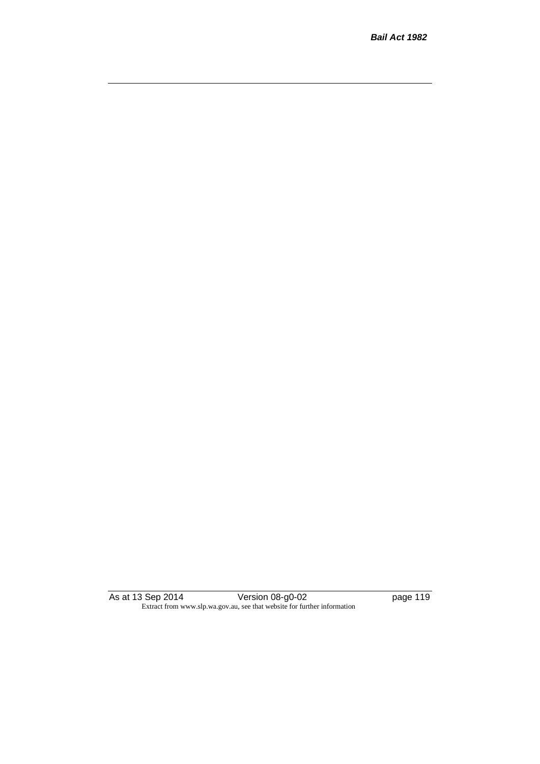As at 13 Sep 2014 **Version 08-g0-02 page 119** Extract from www.slp.wa.gov.au, see that website for further information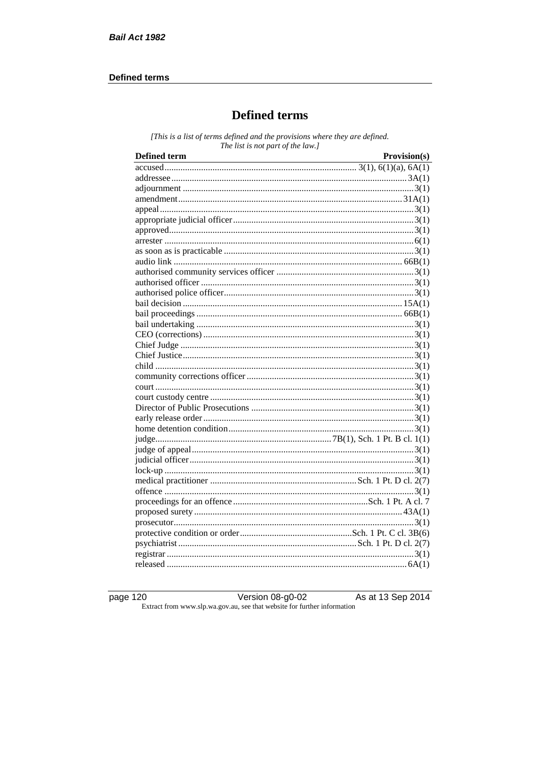#### **Defined terms**

# **Defined terms**

[This is a list of terms defined and the provisions where they are defined. The list is not part of the law.]

| <b>Defined term</b><br><u> 1989 - Johann Stoff, Amerikaansk politiker (</u> | Provision(s) |
|-----------------------------------------------------------------------------|--------------|
|                                                                             |              |
|                                                                             |              |
|                                                                             |              |
|                                                                             |              |
|                                                                             |              |
|                                                                             |              |
|                                                                             |              |
|                                                                             |              |
|                                                                             |              |
|                                                                             |              |
|                                                                             |              |
|                                                                             |              |
|                                                                             |              |
|                                                                             |              |
|                                                                             |              |
|                                                                             |              |
|                                                                             |              |
|                                                                             |              |
|                                                                             |              |
|                                                                             |              |
|                                                                             |              |
|                                                                             |              |
|                                                                             |              |
|                                                                             |              |
|                                                                             |              |
|                                                                             |              |
|                                                                             |              |
|                                                                             |              |
|                                                                             |              |
|                                                                             |              |
|                                                                             |              |
|                                                                             |              |
|                                                                             |              |
|                                                                             |              |
|                                                                             |              |
|                                                                             |              |
|                                                                             |              |
|                                                                             |              |
|                                                                             |              |

page  $120$ 

20<br>Extract from www.slp.wa.gov.au, see that website for further information

As at 13 Sep 2014